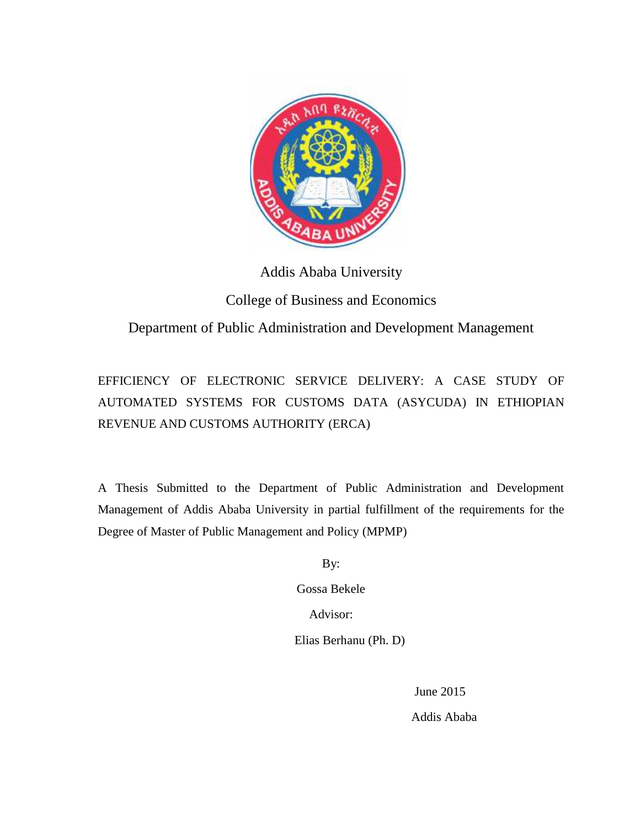

Addis Ababa University

## College of Business and Economics

## Department of Public Administration and Development Management

# EFFICIENCY OF ELECTRONIC SERVICE DELIVERY: A CASE STUDY OF AUTOMATED SYSTEMS FOR CUSTOMS DATA (ASYCUDA) IN ETHIOPIAN REVENUE AND CUSTOMS AUTHORITY (ERCA) EFFICIENCY OF ELECTRONIC SERVICE DELIVERY:<br>AUTOMATED SYSTEMS FOR CUSTOMS DATA (ASY<br>REVENUE AND CUSTOMS AUTHORITY (ERCA)<br>A Thesis Submitted to the Department of Public Adminis

A Thesis Submitted to the Department of Public Administration and Development Management of Addis Ababa University in partial fulfillment of the requirements for the Degree of Master of Public Management and Policy (MPMP) ent of Addis Ababa University in partial fulfillment of the requested Master of Public Management and Policy (MPMP)<br>By:<br>Gossa Bekele<br>Advisor:<br>Elias Berhanu (Ph. D)<br>June 2015<br>Addis Ababa

By:

Gossa Bekele

Advisor:

Elias Berhanu (Ph. D)

June 2015

Addis Ababa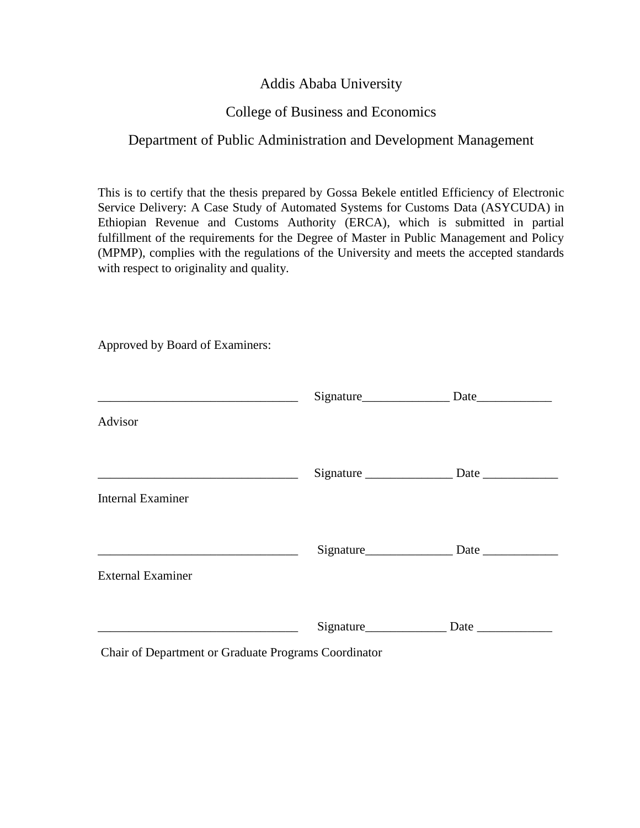## Addis Ababa University

## College of Business and Economics

## Department of Public Administration and Development Management

This is to certify that the thesis prepared by Gossa Bekele entitled Efficiency of Electronic Service Delivery: A Case Study of Automated Systems for Customs Data (ASYCUDA) in Ethiopian Revenue and Customs Authority (ERCA), which is submitted in partial fulfillment of the requirements for the Degree of Master in Public Management and Policy (MPMP), complies with the regulations of the University and meets the accepted standards with respect to originality and quality.

Approved by Board of Examiners:

| <b>Internal Examiner</b>                             |  |
|------------------------------------------------------|--|
|                                                      |  |
| <b>External Examiner</b>                             |  |
|                                                      |  |
| Chair of Department or Graduate Programs Coordinator |  |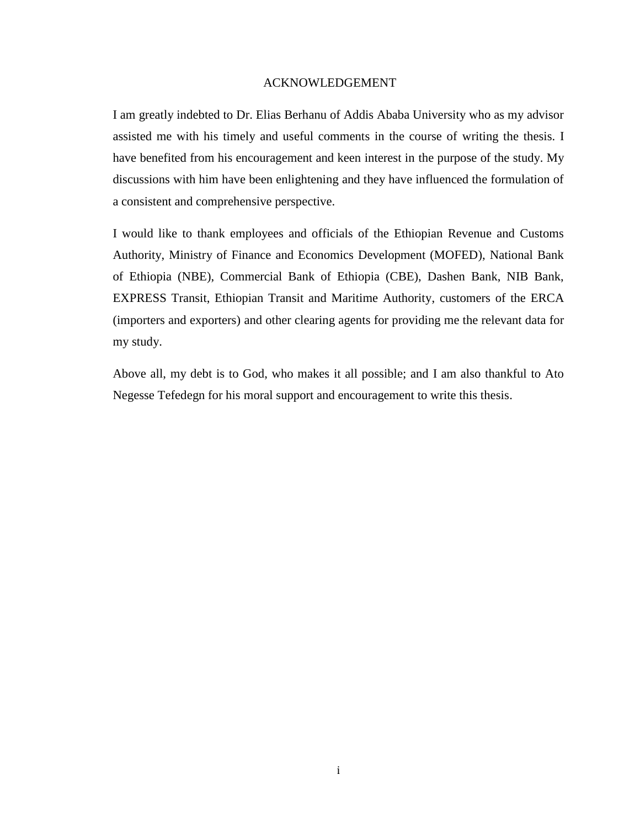#### ACKNOWLEDGEMENT

I am greatly indebted to Dr. Elias Berhanu of Addis Ababa University who as my advisor assisted me with his timely and useful comments in the course of writing the thesis. I have benefited from his encouragement and keen interest in the purpose of the study. My discussions with him have been enlightening and they have influenced the formulation of a consistent and comprehensive perspective.

I would like to thank employees and officials of the Ethiopian Revenue and Customs Authority, Ministry of Finance and Economics Development (MOFED), National Bank of Ethiopia (NBE), Commercial Bank of Ethiopia (CBE), Dashen Bank, NIB Bank, EXPRESS Transit, Ethiopian Transit and Maritime Authority, customers of the ERCA (importers and exporters) and other clearing agents for providing me the relevant data for my study.

Above all, my debt is to God, who makes it all possible; and I am also thankful to Ato Negesse Tefedegn for his moral support and encouragement to write this thesis.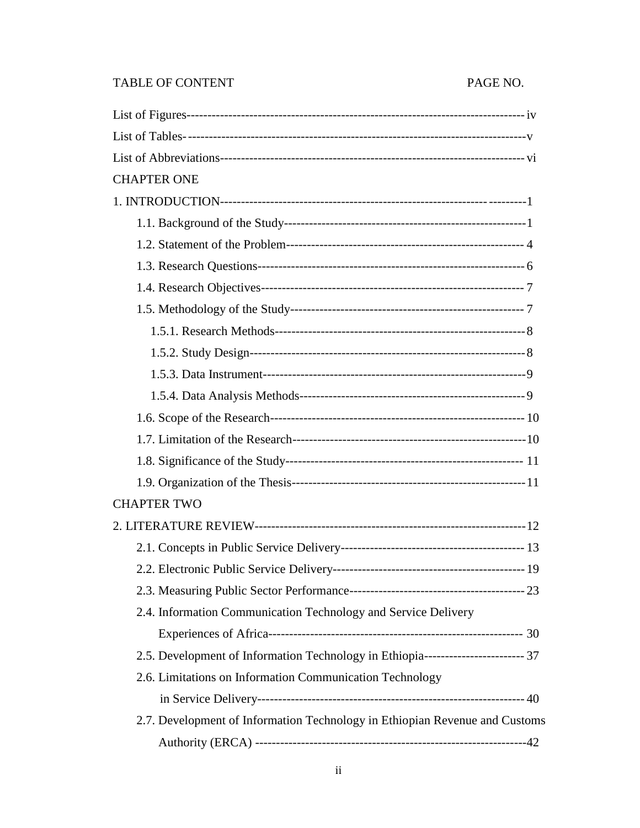## TABLE OF CONTENT PAGE NO.

| <b>CHAPTER ONE</b>                                                                |  |
|-----------------------------------------------------------------------------------|--|
|                                                                                   |  |
|                                                                                   |  |
|                                                                                   |  |
|                                                                                   |  |
|                                                                                   |  |
|                                                                                   |  |
|                                                                                   |  |
|                                                                                   |  |
|                                                                                   |  |
|                                                                                   |  |
|                                                                                   |  |
|                                                                                   |  |
|                                                                                   |  |
|                                                                                   |  |
| <b>CHAPTER TWO</b>                                                                |  |
|                                                                                   |  |
|                                                                                   |  |
|                                                                                   |  |
|                                                                                   |  |
| 2.4. Information Communication Technology and Service Delivery                    |  |
|                                                                                   |  |
| 2.5. Development of Information Technology in Ethiopia------------------------ 37 |  |
| 2.6. Limitations on Information Communication Technology                          |  |
|                                                                                   |  |
| 2.7. Development of Information Technology in Ethiopian Revenue and Customs       |  |
|                                                                                   |  |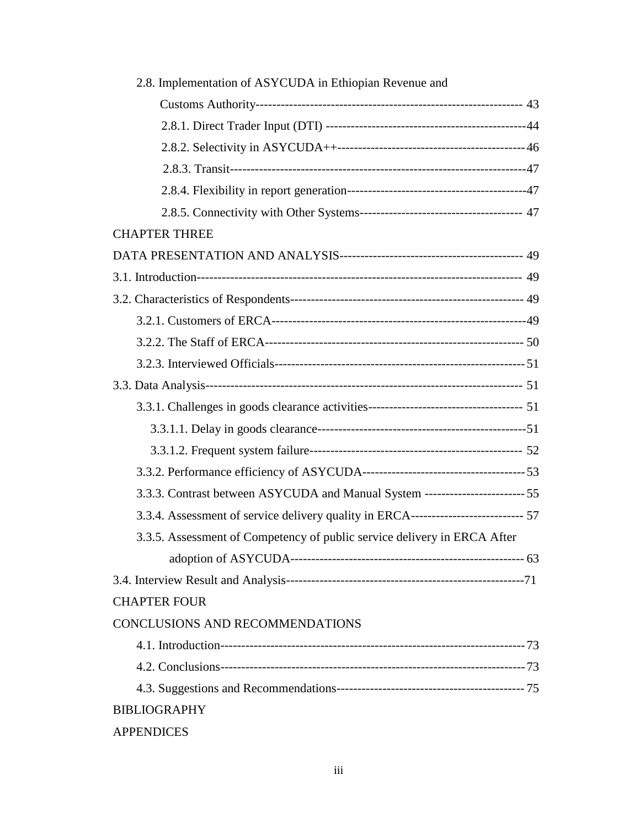| 2.8. Implementation of ASYCUDA in Ethiopian Revenue and                            |  |
|------------------------------------------------------------------------------------|--|
|                                                                                    |  |
|                                                                                    |  |
|                                                                                    |  |
|                                                                                    |  |
|                                                                                    |  |
|                                                                                    |  |
| <b>CHAPTER THREE</b>                                                               |  |
|                                                                                    |  |
|                                                                                    |  |
|                                                                                    |  |
|                                                                                    |  |
|                                                                                    |  |
|                                                                                    |  |
|                                                                                    |  |
|                                                                                    |  |
|                                                                                    |  |
|                                                                                    |  |
|                                                                                    |  |
| 3.3.3. Contrast between ASYCUDA and Manual System ------------------------ 55      |  |
| 3.3.4. Assessment of service delivery quality in ERCA-------------------------- 57 |  |
| 3.3.5. Assessment of Competency of public service delivery in ERCA After           |  |
|                                                                                    |  |
|                                                                                    |  |
| <b>CHAPTER FOUR</b>                                                                |  |
| <b>CONCLUSIONS AND RECOMMENDATIONS</b>                                             |  |
|                                                                                    |  |
|                                                                                    |  |
|                                                                                    |  |
| <b>BIBLIOGRAPHY</b>                                                                |  |
| <b>APPENDICES</b>                                                                  |  |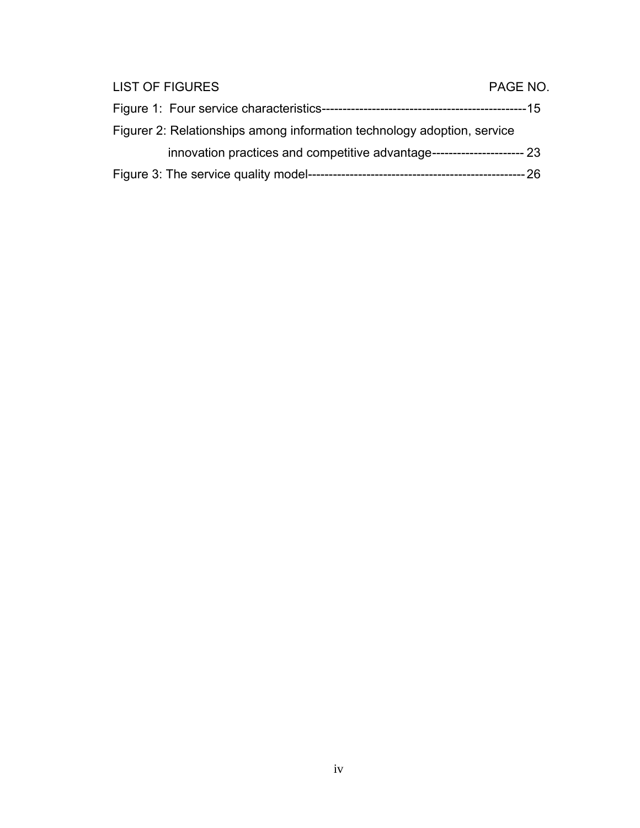| <b>LIST OF FIGURES</b>                                                       | PAGE NO. |
|------------------------------------------------------------------------------|----------|
|                                                                              |          |
| Figurer 2: Relationships among information technology adoption, service      |          |
| innovation practices and competitive advantage--------------------------- 23 |          |
|                                                                              |          |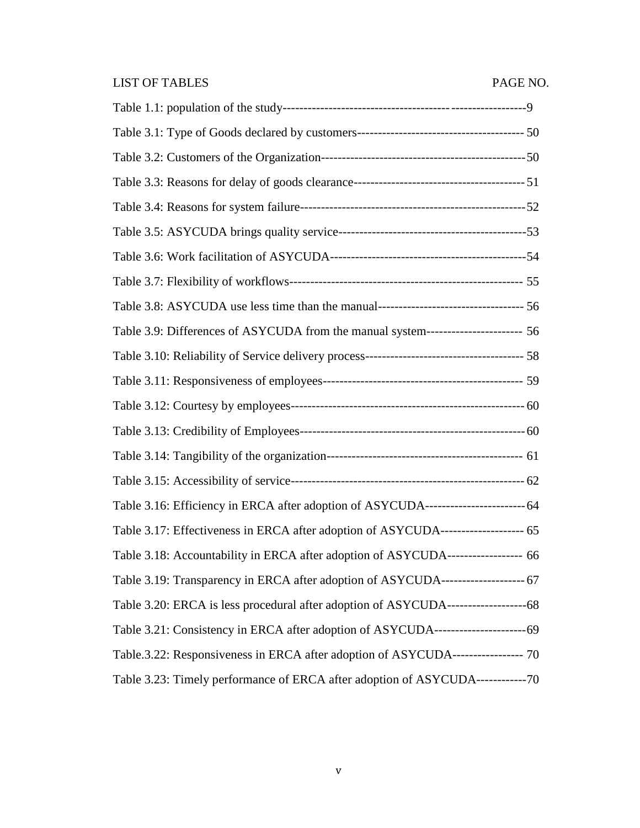## LIST OF TABLES PAGE NO.

| Table 3.9: Differences of ASYCUDA from the manual system----------------------- 56   |  |
|--------------------------------------------------------------------------------------|--|
|                                                                                      |  |
|                                                                                      |  |
|                                                                                      |  |
|                                                                                      |  |
|                                                                                      |  |
|                                                                                      |  |
| Table 3.16: Efficiency in ERCA after adoption of ASYCUDA------------------------- 64 |  |
| Table 3.17: Effectiveness in ERCA after adoption of ASYCUDA-------------------- 65   |  |
| Table 3.18: Accountability in ERCA after adoption of ASYCUDA------------------ 66    |  |
| Table 3.19: Transparency in ERCA after adoption of ASYCUDA---------------------- 67  |  |
|                                                                                      |  |
|                                                                                      |  |
| Table.3.22: Responsiveness in ERCA after adoption of ASYCUDA------------------ 70    |  |
| Table 3.23: Timely performance of ERCA after adoption of ASYCUDA-------------70      |  |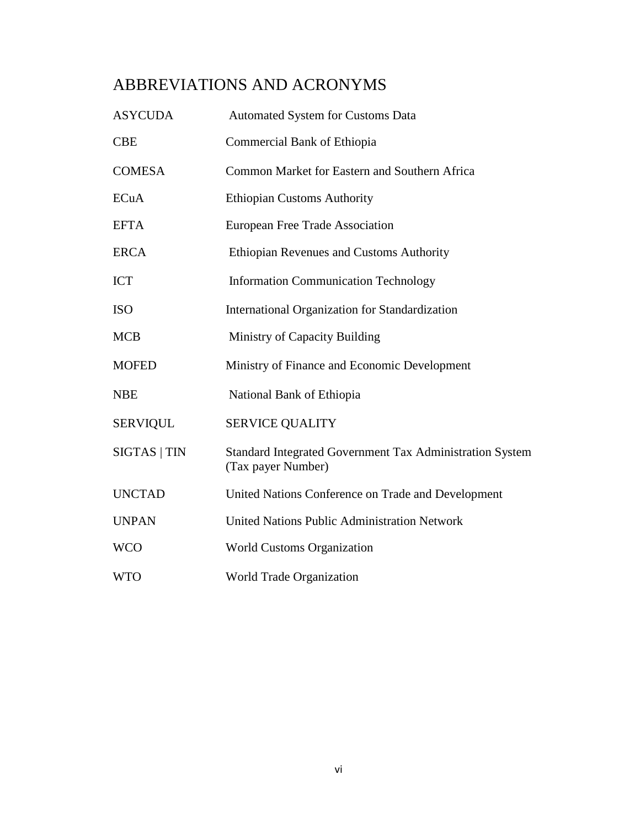## ABBREVIATIONS AND ACRONYMS

| <b>ASYCUDA</b>  | <b>Automated System for Customs Data</b>                                       |
|-----------------|--------------------------------------------------------------------------------|
| <b>CBE</b>      | Commercial Bank of Ethiopia                                                    |
| <b>COMESA</b>   | Common Market for Eastern and Southern Africa                                  |
| <b>ECuA</b>     | <b>Ethiopian Customs Authority</b>                                             |
| <b>EFTA</b>     | European Free Trade Association                                                |
| <b>ERCA</b>     | Ethiopian Revenues and Customs Authority                                       |
| <b>ICT</b>      | <b>Information Communication Technology</b>                                    |
| <b>ISO</b>      | International Organization for Standardization                                 |
| <b>MCB</b>      | Ministry of Capacity Building                                                  |
| <b>MOFED</b>    | Ministry of Finance and Economic Development                                   |
| <b>NBE</b>      | National Bank of Ethiopia                                                      |
| <b>SERVIQUL</b> | <b>SERVICE QUALITY</b>                                                         |
| SIGTAS   TIN    | Standard Integrated Government Tax Administration System<br>(Tax payer Number) |
| <b>UNCTAD</b>   | United Nations Conference on Trade and Development                             |
| <b>UNPAN</b>    | <b>United Nations Public Administration Network</b>                            |
| <b>WCO</b>      | <b>World Customs Organization</b>                                              |
| <b>WTO</b>      | World Trade Organization                                                       |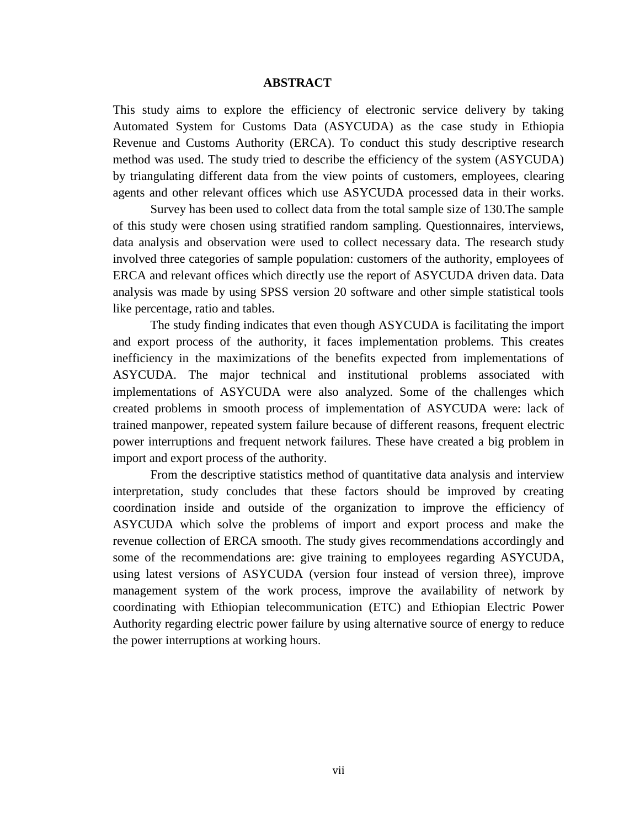#### **ABSTRACT**

This study aims to explore the efficiency of electronic service delivery by taking Automated System for Customs Data (ASYCUDA) as the case study in Ethiopia Revenue and Customs Authority (ERCA). To conduct this study descriptive research method was used. The study tried to describe the efficiency of the system (ASYCUDA) by triangulating different data from the view points of customers, employees, clearing agents and other relevant offices which use ASYCUDA processed data in their works.

Survey has been used to collect data from the total sample size of 130.The sample of this study were chosen using stratified random sampling. Questionnaires, interviews, data analysis and observation were used to collect necessary data. The research study involved three categories of sample population: customers of the authority, employees of ERCA and relevant offices which directly use the report of ASYCUDA driven data. Data analysis was made by using SPSS version 20 software and other simple statistical tools like percentage, ratio and tables.

The study finding indicates that even though ASYCUDA is facilitating the import and export process of the authority, it faces implementation problems. This creates inefficiency in the maximizations of the benefits expected from implementations of ASYCUDA. The major technical and institutional problems associated with implementations of ASYCUDA were also analyzed. Some of the challenges which created problems in smooth process of implementation of ASYCUDA were: lack of trained manpower, repeated system failure because of different reasons, frequent electric power interruptions and frequent network failures. These have created a big problem in import and export process of the authority.

From the descriptive statistics method of quantitative data analysis and interview interpretation, study concludes that these factors should be improved by creating coordination inside and outside of the organization to improve the efficiency of ASYCUDA which solve the problems of import and export process and make the revenue collection of ERCA smooth. The study gives recommendations accordingly and some of the recommendations are: give training to employees regarding ASYCUDA, using latest versions of ASYCUDA (version four instead of version three), improve management system of the work process, improve the availability of network by coordinating with Ethiopian telecommunication (ETC) and Ethiopian Electric Power Authority regarding electric power failure by using alternative source of energy to reduce the power interruptions at working hours.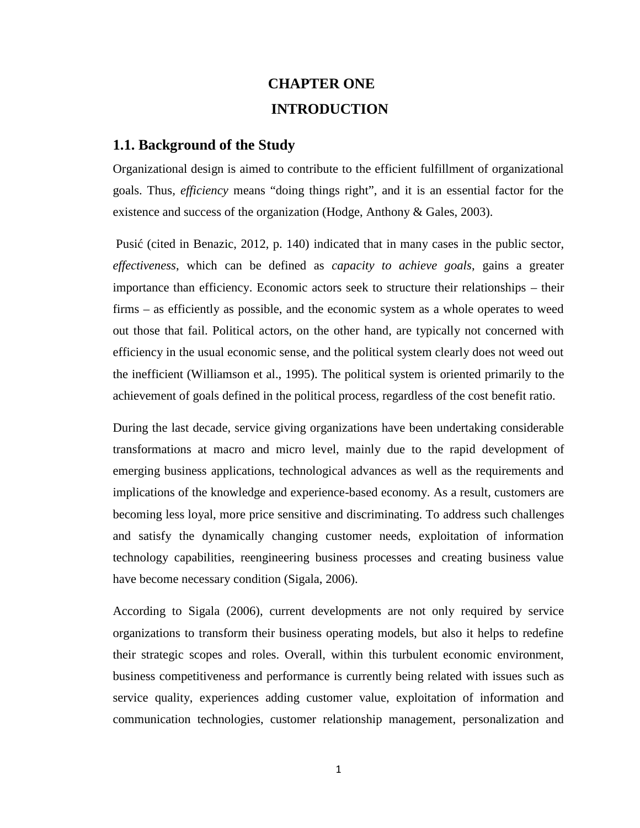## **CHAPTER ONE INTRODUCTION**

#### **1.1. Background of the Study**

Organizational design is aimed to contribute to the efficient fulfillment of organizational goals. Thus*, efficiency* means "doing things right", and it is an essential factor for the existence and success of the organization (Hodge, Anthony & Gales, 2003).

Pusi (cited in Benazic, 2012, p. 140) indicated that in many cases in the public sector, *effectiveness*, which can be defined as *capacity to achieve goals*, gains a greater importance than efficiency. Economic actors seek to structure their relationships – their firms – as efficiently as possible, and the economic system as a whole operates to weed out those that fail. Political actors, on the other hand, are typically not concerned with efficiency in the usual economic sense, and the political system clearly does not weed out the inefficient (Williamson et al., 1995). The political system is oriented primarily to the achievement of goals defined in the political process, regardless of the cost benefit ratio.

During the last decade, service giving organizations have been undertaking considerable transformations at macro and micro level, mainly due to the rapid development of emerging business applications, technological advances as well as the requirements and implications of the knowledge and experience-based economy. As a result, customers are becoming less loyal, more price sensitive and discriminating. To address such challenges and satisfy the dynamically changing customer needs, exploitation of information technology capabilities, reengineering business processes and creating business value have become necessary condition (Sigala, 2006).

According to Sigala (2006), current developments are not only required by service organizations to transform their business operating models, but also it helps to redefine their strategic scopes and roles. Overall, within this turbulent economic environment, business competitiveness and performance is currently being related with issues such as service quality, experiences adding customer value, exploitation of information and communication technologies, customer relationship management, personalization and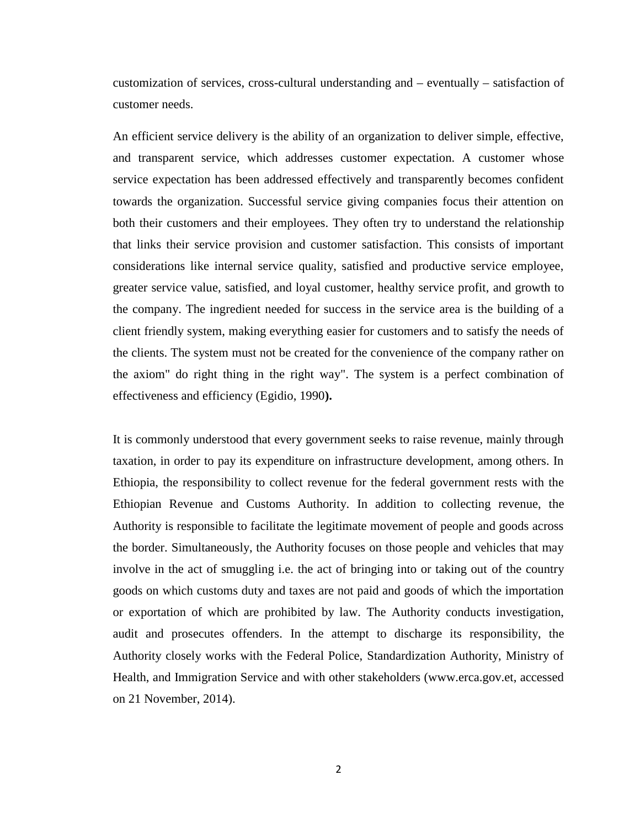customization of services, cross-cultural understanding and – eventually – satisfaction of customer needs.

An efficient service delivery is the ability of an organization to deliver simple, effective, and transparent service, which addresses customer expectation. A customer whose service expectation has been addressed effectively and transparently becomes confident towards the organization. Successful service giving companies focus their attention on both their customers and their employees. They often try to understand the relationship that links their service provision and customer satisfaction. This consists of important considerations like internal service quality, satisfied and productive service employee, greater service value, satisfied, and loyal customer, healthy service profit, and growth to the company. The ingredient needed for success in the service area is the building of a client friendly system, making everything easier for customers and to satisfy the needs of the clients. The system must not be created for the convenience of the company rather on the axiom" do right thing in the right way". The system is a perfect combination of effectiveness and efficiency (Egidio, 1990**).**

It is commonly understood that every government seeks to raise revenue, mainly through taxation, in order to pay its expenditure on infrastructure development, among others. In Ethiopia, the responsibility to collect revenue for the federal government rests with the Ethiopian Revenue and Customs Authority. In addition to collecting revenue, the Authority is responsible to facilitate the legitimate movement of people and goods across the border. Simultaneously, the Authority focuses on those people and vehicles that may involve in the act of smuggling i.e. the act of bringing into or taking out of the country goods on which customs duty and taxes are not paid and goods of which the importation or exportation of which are prohibited by law. The Authority conducts investigation, audit and prosecutes offenders. In the attempt to discharge its responsibility, the Authority closely works with the Federal Police, Standardization Authority, Ministry of Health, and Immigration Service and with other stakeholders (www.erca.gov.et, accessed on 21 November, 2014).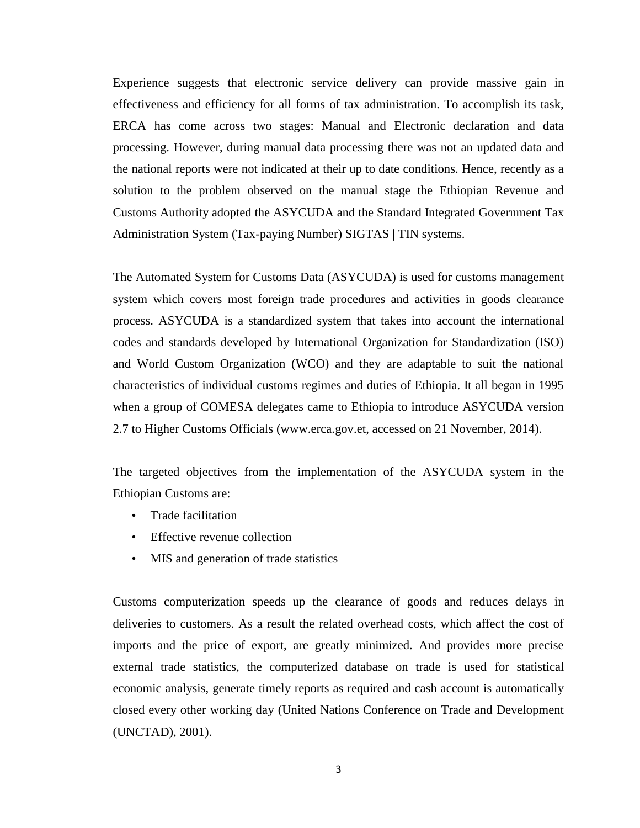Experience suggests that electronic service delivery can provide massive gain in effectiveness and efficiency for all forms of tax administration. To accomplish its task, ERCA has come across two stages: Manual and Electronic declaration and data processing. However, during manual data processing there was not an updated data and the national reports were not indicated at their up to date conditions. Hence, recently as a solution to the problem observed on the manual stage the Ethiopian Revenue and Customs Authority adopted the ASYCUDA and the Standard Integrated Government Tax Administration System (Tax-paying Number) SIGTAS | TIN systems.

The Automated System for Customs Data (ASYCUDA) is used for customs management system which covers most foreign trade procedures and activities in goods clearance process. ASYCUDA is a standardized system that takes into account the international codes and standards developed by International Organization for Standardization (ISO) and World Custom Organization (WCO) and they are adaptable to suit the national characteristics of individual customs regimes and duties of Ethiopia. It all began in 1995 when a group of COMESA delegates came to Ethiopia to introduce ASYCUDA version 2.7 to Higher Customs Officials (www.erca.gov.et, accessed on 21 November, 2014).

The targeted objectives from the implementation of the ASYCUDA system in the Ethiopian Customs are:

- Trade facilitation
- Effective revenue collection
- MIS and generation of trade statistics

Customs computerization speeds up the clearance of goods and reduces delays in deliveries to customers. As a result the related overhead costs, which affect the cost of imports and the price of export, are greatly minimized. And provides more precise external trade statistics, the computerized database on trade is used for statistical economic analysis, generate timely reports as required and cash account is automatically closed every other working day (United Nations Conference on Trade and Development (UNCTAD), 2001).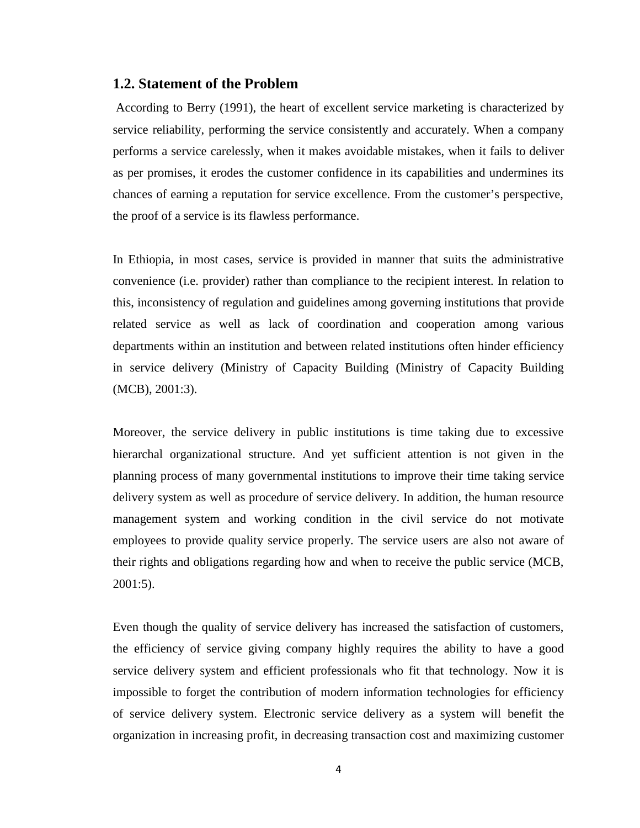#### **1.2. Statement of the Problem**

According to Berry (1991), the heart of excellent service marketing is characterized by service reliability, performing the service consistently and accurately. When a company performs a service carelessly, when it makes avoidable mistakes, when it fails to deliver as per promises, it erodes the customer confidence in its capabilities and undermines its chances of earning a reputation for service excellence. From the customer's perspective, the proof of a service is its flawless performance.

In Ethiopia, in most cases, service is provided in manner that suits the administrative convenience (i.e. provider) rather than compliance to the recipient interest. In relation to this, inconsistency of regulation and guidelines among governing institutions that provide related service as well as lack of coordination and cooperation among various departments within an institution and between related institutions often hinder efficiency in service delivery (Ministry of Capacity Building (Ministry of Capacity Building (MCB), 2001:3).

Moreover, the service delivery in public institutions is time taking due to excessive hierarchal organizational structure. And yet sufficient attention is not given in the planning process of many governmental institutions to improve their time taking service delivery system as well as procedure of service delivery. In addition, the human resource management system and working condition in the civil service do not motivate employees to provide quality service properly. The service users are also not aware of their rights and obligations regarding how and when to receive the public service (MCB, 2001:5).

Even though the quality of service delivery has increased the satisfaction of customers, the efficiency of service giving company highly requires the ability to have a good service delivery system and efficient professionals who fit that technology. Now it is impossible to forget the contribution of modern information technologies for efficiency of service delivery system. Electronic service delivery as a system will benefit the organization in increasing profit, in decreasing transaction cost and maximizing customer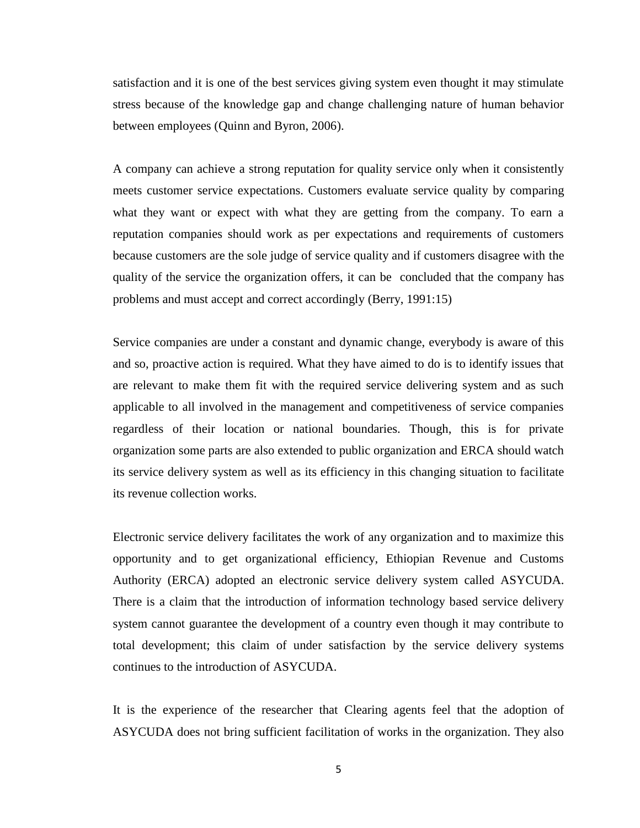satisfaction and it is one of the best services giving system even thought it may stimulate stress because of the knowledge gap and change challenging nature of human behavior between employees (Quinn and Byron, 2006).

A company can achieve a strong reputation for quality service only when it consistently meets customer service expectations. Customers evaluate service quality by comparing what they want or expect with what they are getting from the company. To earn a reputation companies should work as per expectations and requirements of customers because customers are the sole judge of service quality and if customers disagree with the quality of the service the organization offers, it can be concluded that the company has problems and must accept and correct accordingly (Berry, 1991:15)

Service companies are under a constant and dynamic change, everybody is aware of this and so, proactive action is required. What they have aimed to do is to identify issues that are relevant to make them fit with the required service delivering system and as such applicable to all involved in the management and competitiveness of service companies regardless of their location or national boundaries. Though, this is for private organization some parts are also extended to public organization and ERCA should watch its service delivery system as well as its efficiency in this changing situation to facilitate its revenue collection works.

Electronic service delivery facilitates the work of any organization and to maximize this opportunity and to get organizational efficiency, Ethiopian Revenue and Customs Authority (ERCA) adopted an electronic service delivery system called ASYCUDA. There is a claim that the introduction of information technology based service delivery system cannot guarantee the development of a country even though it may contribute to total development; this claim of under satisfaction by the service delivery systems continues to the introduction of ASYCUDA.

It is the experience of the researcher that Clearing agents feel that the adoption of ASYCUDA does not bring sufficient facilitation of works in the organization. They also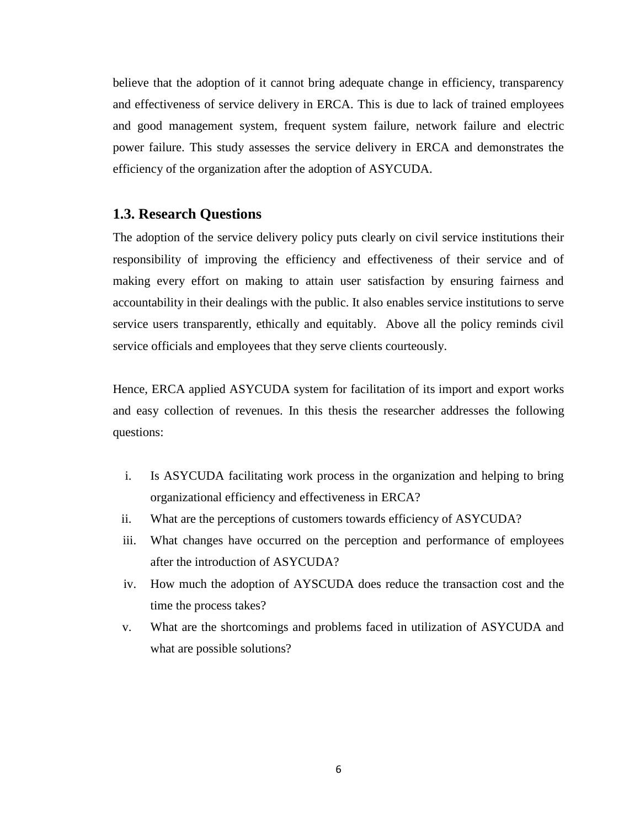believe that the adoption of it cannot bring adequate change in efficiency, transparency and effectiveness of service delivery in ERCA. This is due to lack of trained employees and good management system, frequent system failure, network failure and electric power failure. This study assesses the service delivery in ERCA and demonstrates the efficiency of the organization after the adoption of ASYCUDA.

#### **1.3. Research Questions**

The adoption of the service delivery policy puts clearly on civil service institutions their responsibility of improving the efficiency and effectiveness of their service and of making every effort on making to attain user satisfaction by ensuring fairness and accountability in their dealings with the public. It also enables service institutions to serve service users transparently, ethically and equitably. Above all the policy reminds civil service officials and employees that they serve clients courteously.

Hence, ERCA applied ASYCUDA system for facilitation of its import and export works and easy collection of revenues. In this thesis the researcher addresses the following questions:

- i. Is ASYCUDA facilitating work process in the organization and helping to bring organizational efficiency and effectiveness in ERCA?
- ii. What are the perceptions of customers towards efficiency of ASYCUDA?
- iii. What changes have occurred on the perception and performance of employees after the introduction of ASYCUDA?
- iv. How much the adoption of AYSCUDA does reduce the transaction cost and the time the process takes?
- v. What are the shortcomings and problems faced in utilization of ASYCUDA and what are possible solutions?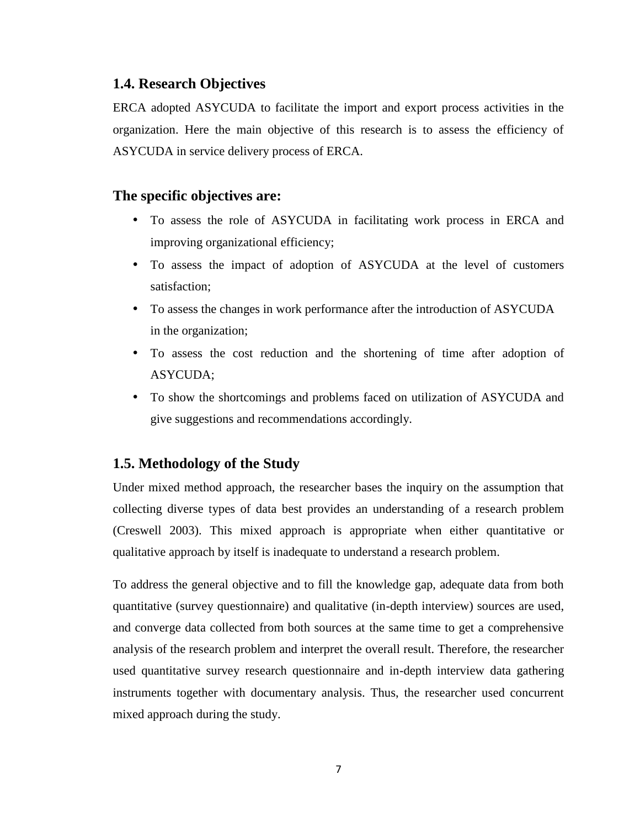## **1.4. Research Objectives**

ERCA adopted ASYCUDA to facilitate the import and export process activities in the organization. Here the main objective of this research is to assess the efficiency of ASYCUDA in service delivery process of ERCA.

### **The specific objectives are:**

- To assess the role of ASYCUDA in facilitating work process in ERCA and improving organizational efficiency;
- To assess the impact of adoption of ASYCUDA at the level of customers satisfaction;
- To assess the changes in work performance after the introduction of ASYCUDA in the organization;
- To assess the cost reduction and the shortening of time after adoption of ASYCUDA;
- To show the shortcomings and problems faced on utilization of ASYCUDA and give suggestions and recommendations accordingly.

## **1.5. Methodology of the Study**

Under mixed method approach, the researcher bases the inquiry on the assumption that collecting diverse types of data best provides an understanding of a research problem (Creswell 2003). This mixed approach is appropriate when either quantitative or qualitative approach by itself is inadequate to understand a research problem.

To address the general objective and to fill the knowledge gap, adequate data from both quantitative (survey questionnaire) and qualitative (in-depth interview) sources are used, and converge data collected from both sources at the same time to get a comprehensive analysis of the research problem and interpret the overall result. Therefore, the researcher used quantitative survey research questionnaire and in-depth interview data gathering instruments together with documentary analysis. Thus, the researcher used concurrent mixed approach during the study.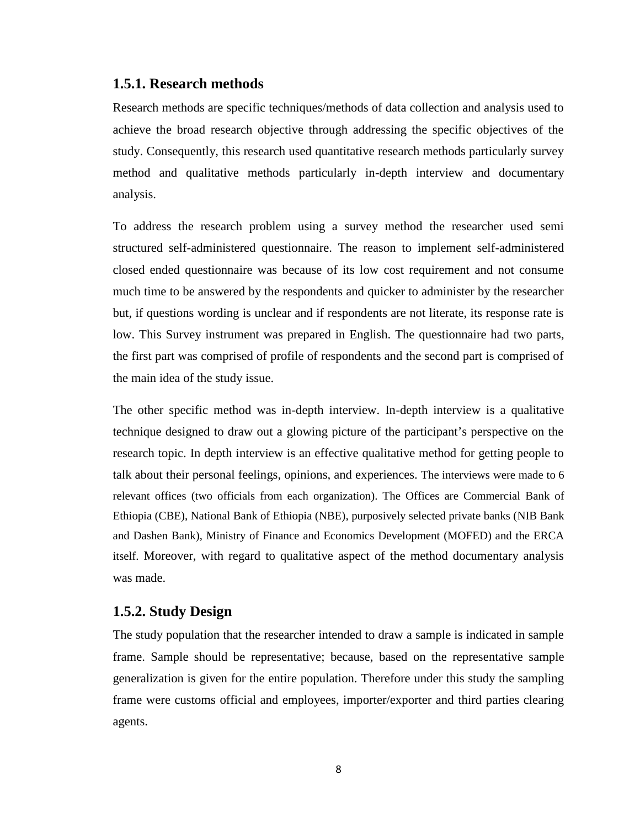#### **1.5.1. Research methods**

Research methods are specific techniques/methods of data collection and analysis used to achieve the broad research objective through addressing the specific objectives of the study. Consequently, this research used quantitative research methods particularly survey method and qualitative methods particularly in-depth interview and documentary analysis.

To address the research problem using a survey method the researcher used semi structured self-administered questionnaire. The reason to implement self-administered closed ended questionnaire was because of its low cost requirement and not consume much time to be answered by the respondents and quicker to administer by the researcher but, if questions wording is unclear and if respondents are not literate, its response rate is low. This Survey instrument was prepared in English. The questionnaire had two parts, the first part was comprised of profile of respondents and the second part is comprised of the main idea of the study issue.

The other specific method was in-depth interview. In-depth interview is a qualitative technique designed to draw out a glowing picture of the participant's perspective on the research topic. In depth interview is an effective qualitative method for getting people to talk about their personal feelings, opinions, and experiences. The interviews were made to 6 relevant offices (two officials from each organization). The Offices are Commercial Bank of Ethiopia (CBE), National Bank of Ethiopia (NBE), purposively selected private banks (NIB Bank and Dashen Bank), Ministry of Finance and Economics Development (MOFED) and the ERCA itself. Moreover, with regard to qualitative aspect of the method documentary analysis was made.

#### **1.5.2. Study Design**

The study population that the researcher intended to draw a sample is indicated in sample frame. Sample should be representative; because, based on the representative sample generalization is given for the entire population. Therefore under this study the sampling frame were customs official and employees, importer/exporter and third parties clearing agents.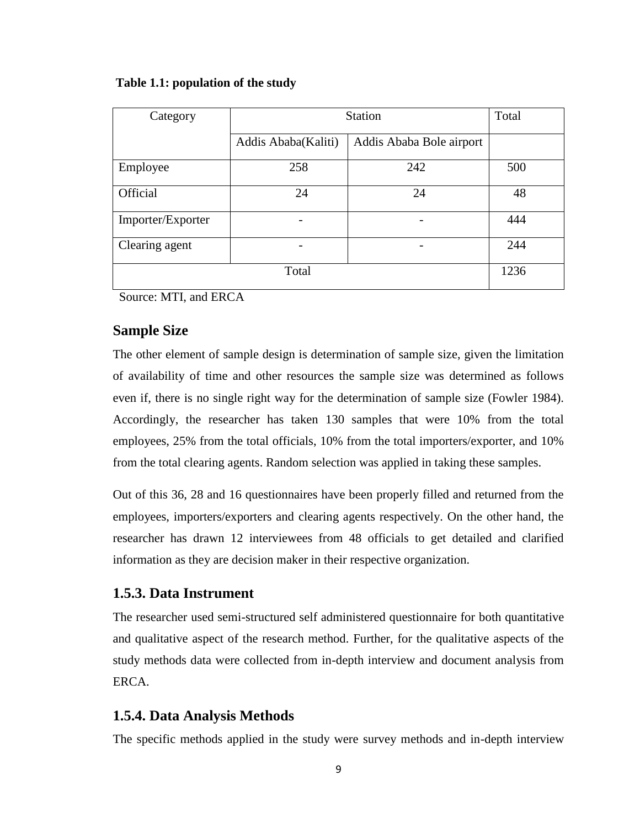| Category          | <b>Station</b>      | Total                    |     |
|-------------------|---------------------|--------------------------|-----|
|                   | Addis Ababa(Kaliti) | Addis Ababa Bole airport |     |
| Employee          | 258                 | 242                      | 500 |
| Official          | 24                  | 24                       | 48  |
| Importer/Exporter |                     |                          | 444 |
| Clearing agent    |                     |                          | 244 |
|                   | 1236                |                          |     |

#### **Table 1.1: population of the study**

Source: MTI, and ERCA

#### **Sample Size**

The other element of sample design is determination of sample size, given the limitation of availability of time and other resources the sample size was determined as follows even if, there is no single right way for the determination of sample size (Fowler 1984). Accordingly, the researcher has taken 130 samples that were 10% from the total employees, 25% from the total officials, 10% from the total importers/exporter, and 10% from the total clearing agents. Random selection was applied in taking these samples.

Out of this 36, 28 and 16 questionnaires have been properly filled and returned from the employees, importers/exporters and clearing agents respectively. On the other hand, the researcher has drawn 12 interviewees from 48 officials to get detailed and clarified information as they are decision maker in their respective organization.

### **1.5.3. Data Instrument**

The researcher used semi-structured self administered questionnaire for both quantitative and qualitative aspect of the research method. Further, for the qualitative aspects of the study methods data were collected from in-depth interview and document analysis from ERCA.

#### **1.5.4. Data Analysis Methods**

The specific methods applied in the study were survey methods and in-depth interview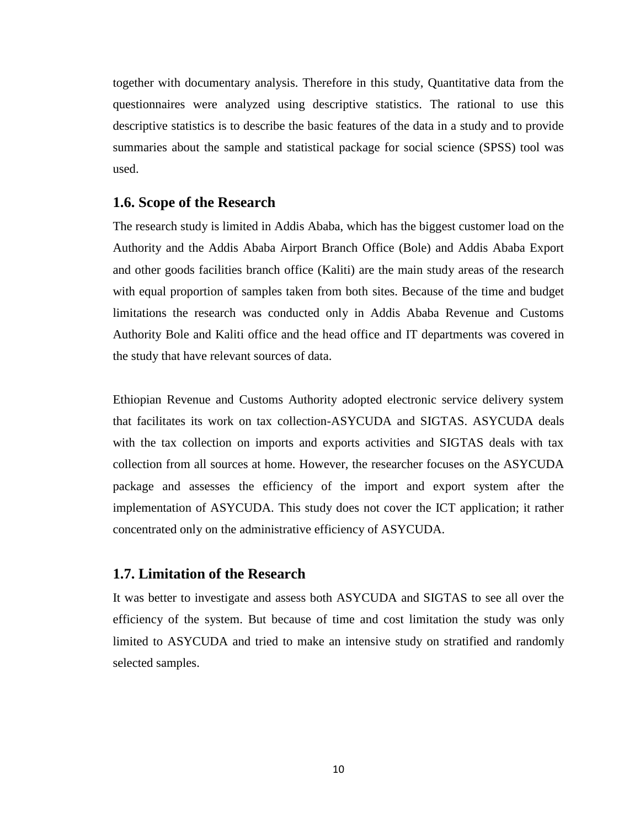together with documentary analysis. Therefore in this study, Quantitative data from the questionnaires were analyzed using descriptive statistics. The rational to use this descriptive statistics is to describe the basic features of the data in a study and to provide summaries about the sample and statistical package for social science (SPSS) tool was used.

#### **1.6. Scope of the Research**

The research study is limited in Addis Ababa, which has the biggest customer load on the Authority and the Addis Ababa Airport Branch Office (Bole) and Addis Ababa Export and other goods facilities branch office (Kaliti) are the main study areas of the research with equal proportion of samples taken from both sites. Because of the time and budget limitations the research was conducted only in Addis Ababa Revenue and Customs Authority Bole and Kaliti office and the head office and IT departments was covered in the study that have relevant sources of data.

Ethiopian Revenue and Customs Authority adopted electronic service delivery system that facilitates its work on tax collection-ASYCUDA and SIGTAS. ASYCUDA deals with the tax collection on imports and exports activities and SIGTAS deals with tax collection from all sources at home. However, the researcher focuses on the ASYCUDA package and assesses the efficiency of the import and export system after the implementation of ASYCUDA. This study does not cover the ICT application; it rather concentrated only on the administrative efficiency of ASYCUDA.

#### **1.7. Limitation of the Research**

It was better to investigate and assess both ASYCUDA and SIGTAS to see all over the efficiency of the system. But because of time and cost limitation the study was only limited to ASYCUDA and tried to make an intensive study on stratified and randomly selected samples.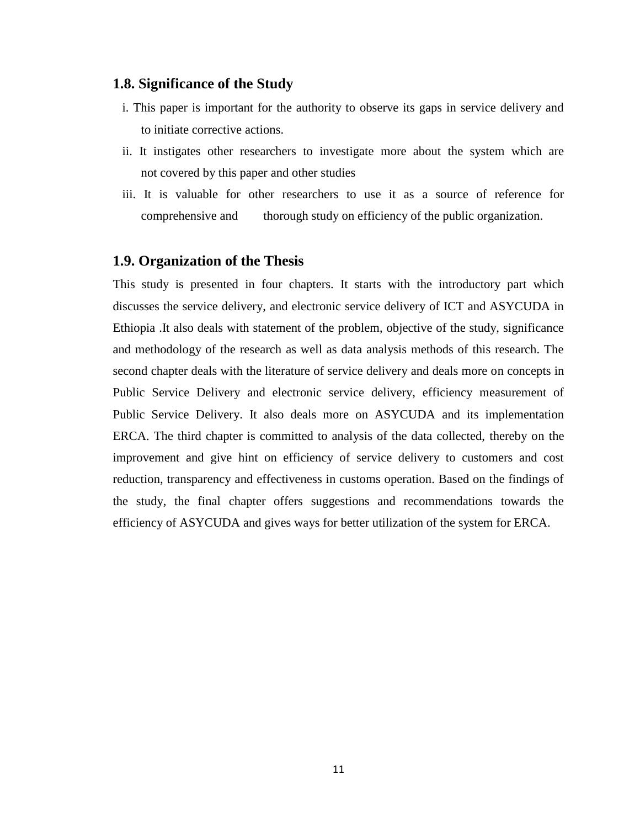#### **1.8. Significance of the Study**

- i. This paper is important for the authority to observe its gaps in service delivery and to initiate corrective actions.
- ii. It instigates other researchers to investigate more about the system which are not covered by this paper and other studies
- iii. It is valuable for other researchers to use it as a source of reference for comprehensive and thorough study on efficiency of the public organization.

#### **1.9. Organization of the Thesis**

This study is presented in four chapters. It starts with the introductory part which discusses the service delivery, and electronic service delivery of ICT and ASYCUDA in Ethiopia .It also deals with statement of the problem, objective of the study, significance and methodology of the research as well as data analysis methods of this research. The second chapter deals with the literature of service delivery and deals more on concepts in Public Service Delivery and electronic service delivery, efficiency measurement of Public Service Delivery. It also deals more on ASYCUDA and its implementation ERCA. The third chapter is committed to analysis of the data collected, thereby on the improvement and give hint on efficiency of service delivery to customers and cost reduction, transparency and effectiveness in customs operation. Based on the findings of the study, the final chapter offers suggestions and recommendations towards the efficiency of ASYCUDA and gives ways for better utilization of the system for ERCA.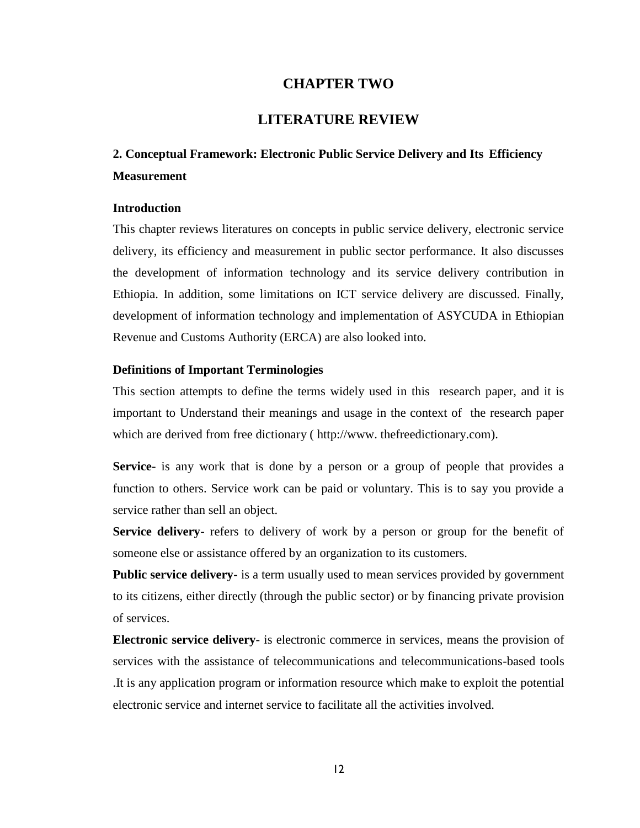#### **CHAPTER TWO**

#### **LITERATURE REVIEW**

## **2. Conceptual Framework: Electronic Public Service Delivery and Its Efficiency Measurement**

#### **Introduction**

This chapter reviews literatures on concepts in public service delivery, electronic service delivery, its efficiency and measurement in public sector performance. It also discusses the development of information technology and its service delivery contribution in Ethiopia. In addition, some limitations on ICT service delivery are discussed. Finally, development of information technology and implementation of ASYCUDA in Ethiopian Revenue and Customs Authority (ERCA) are also looked into.

#### **Definitions of Important Terminologies**

This section attempts to define the terms widely used in this research paper, and it is important to Understand their meanings and usage in the context of the research paper which are derived from free dictionary ( http://www. thefreedictionary.com).

**Service-** is any work that is done by a person or a group of people that provides a function to others. Service work can be paid or voluntary. This is to say you provide a service rather than sell an object.

**Service delivery-** refers to delivery of work by a person or group for the benefit of someone else or assistance offered by an organization to its customers.

**Public service delivery-** is a term usually used to mean services provided by government to its citizens, either directly (through the public sector) or by financing private provision of services.

**Electronic service delivery**- is electronic commerce in services, means the provision of services with the assistance of telecommunications and telecommunications-based tools .It is any application program or information resource which make to exploit the potential electronic service and internet service to facilitate all the activities involved.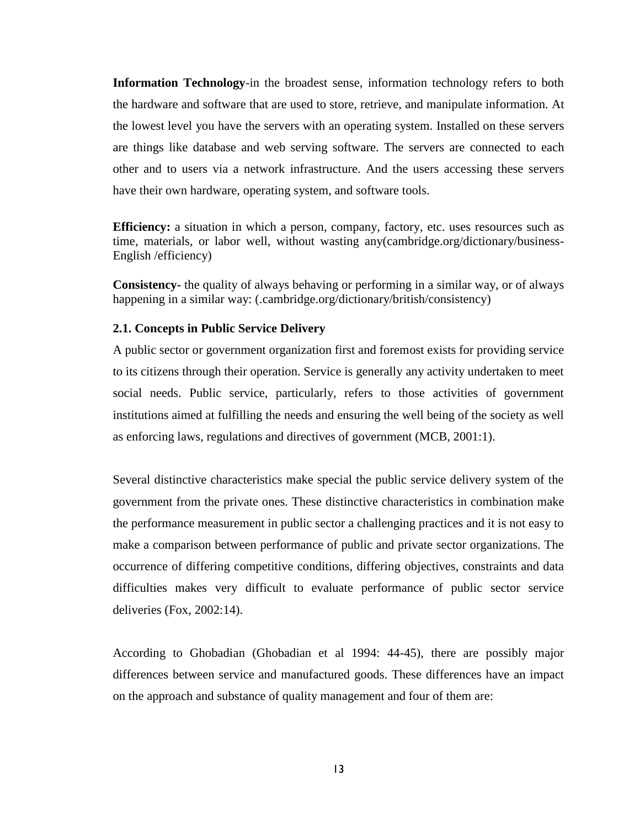**Information Technology**-in the broadest sense, information technology refers to both the hardware and software that are used to store, retrieve, and manipulate information. At the lowest level you have the servers with an operating system. Installed on these servers are things like database and web serving software. The servers are connected to each other and to users via a network infrastructure. And the users accessing these servers have their own hardware, operating system, and software tools.

**Efficiency:** a situation in which a person, company, factory, etc. uses resources such as time, materials, or labor well, without wasting any(cambridge.org/dictionary/business- English /efficiency)

**Consistency-** the quality of always behaving or performing in a similar way, or of always happening in a similar way: (.cambridge.org/dictionary/british/consistency)

#### **2.1. Concepts in Public Service Delivery**

A public sector or government organization first and foremost exists for providing service to its citizens through their operation. Service is generally any activity undertaken to meet social needs. Public service, particularly, refers to those activities of government institutions aimed at fulfilling the needs and ensuring the well being of the society as well as enforcing laws, regulations and directives of government (MCB, 2001:1).

Several distinctive characteristics make special the public service delivery system of the government from the private ones. These distinctive characteristics in combination make the performance measurement in public sector a challenging practices and it is not easy to make a comparison between performance of public and private sector organizations. The occurrence of differing competitive conditions, differing objectives, constraints and data difficulties makes very difficult to evaluate performance of public sector service deliveries (Fox, 2002:14).

According to Ghobadian (Ghobadian et al 1994: 44-45), there are possibly major differences between service and manufactured goods. These differences have an impact on the approach and substance of quality management and four of them are: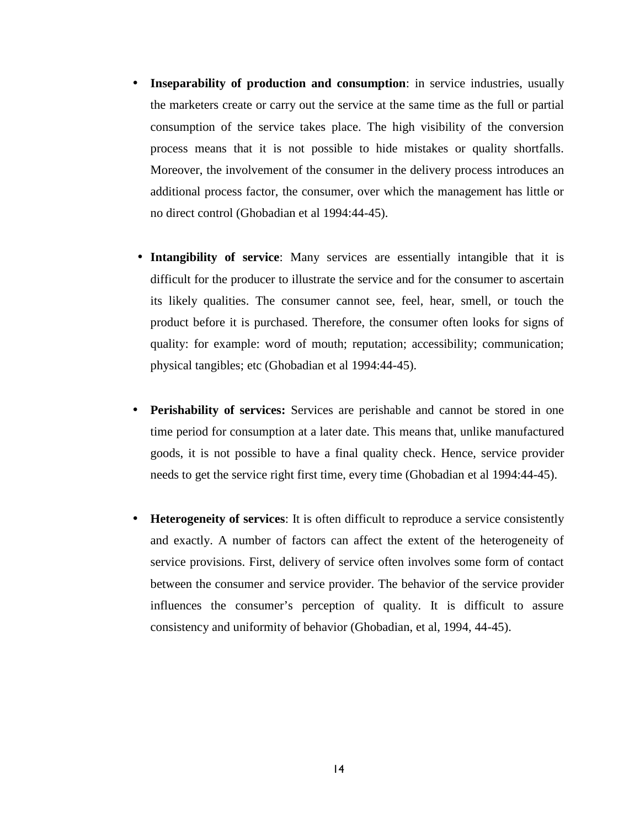- **Inseparability of production and consumption**: in service industries, usually the marketers create or carry out the service at the same time as the full or partial consumption of the service takes place. The high visibility of the conversion process means that it is not possible to hide mistakes or quality shortfalls. Moreover, the involvement of the consumer in the delivery process introduces an additional process factor, the consumer, over which the management has little or no direct control (Ghobadian et al 1994:44-45).
- **Intangibility of service**: Many services are essentially intangible that it is difficult for the producer to illustrate the service and for the consumer to ascertain its likely qualities. The consumer cannot see, feel, hear, smell, or touch the product before it is purchased. Therefore, the consumer often looks for signs of quality: for example: word of mouth; reputation; accessibility; communication; physical tangibles; etc (Ghobadian et al 1994:44-45).
- **Perishability of services:** Services are perishable and cannot be stored in one time period for consumption at a later date. This means that, unlike manufactured goods, it is not possible to have a final quality check. Hence, service provider needs to get the service right first time, every time (Ghobadian et al 1994:44-45).
- **Heterogeneity of services**: It is often difficult to reproduce a service consistently and exactly. A number of factors can affect the extent of the heterogeneity of service provisions. First, delivery of service often involves some form of contact between the consumer and service provider. The behavior of the service provider influences the consumer's perception of quality. It is difficult to assure consistency and uniformity of behavior (Ghobadian, et al, 1994, 44-45).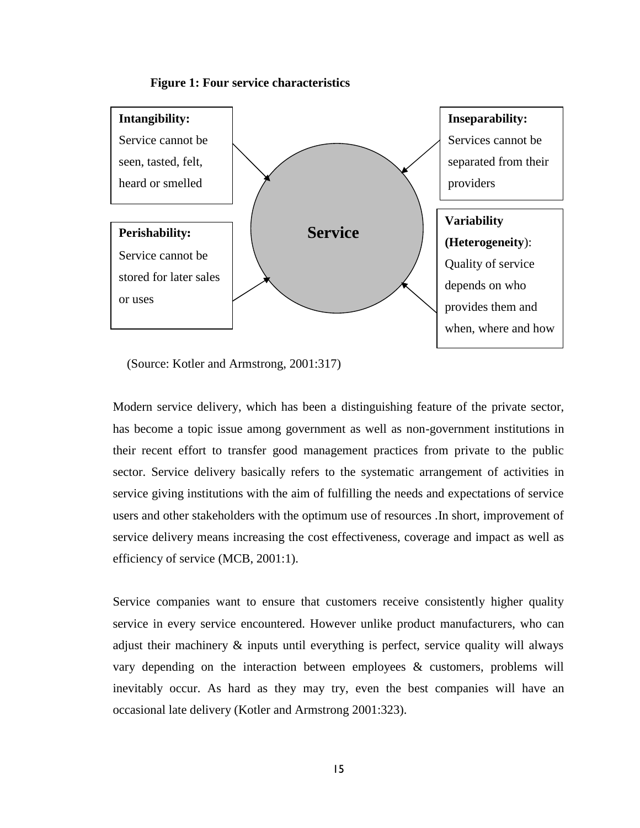



(Source: Kotler and Armstrong, 2001:317)

Modern service delivery, which has been a distinguishing feature of the private sector, has become a topic issue among government as well as non-government institutions in their recent effort to transfer good management practices from private to the public sector. Service delivery basically refers to the systematic arrangement of activities in service giving institutions with the aim of fulfilling the needs and expectations of service users and other stakeholders with the optimum use of resources .In short, improvement of service delivery means increasing the cost effectiveness, coverage and impact as well as efficiency of service (MCB, 2001:1).

Service companies want to ensure that customers receive consistently higher quality service in every service encountered. However unlike product manufacturers, who can adjust their machinery & inputs until everything is perfect, service quality will always vary depending on the interaction between employees & customers, problems will inevitably occur. As hard as they may try, even the best companies will have an occasional late delivery (Kotler and Armstrong 2001:323).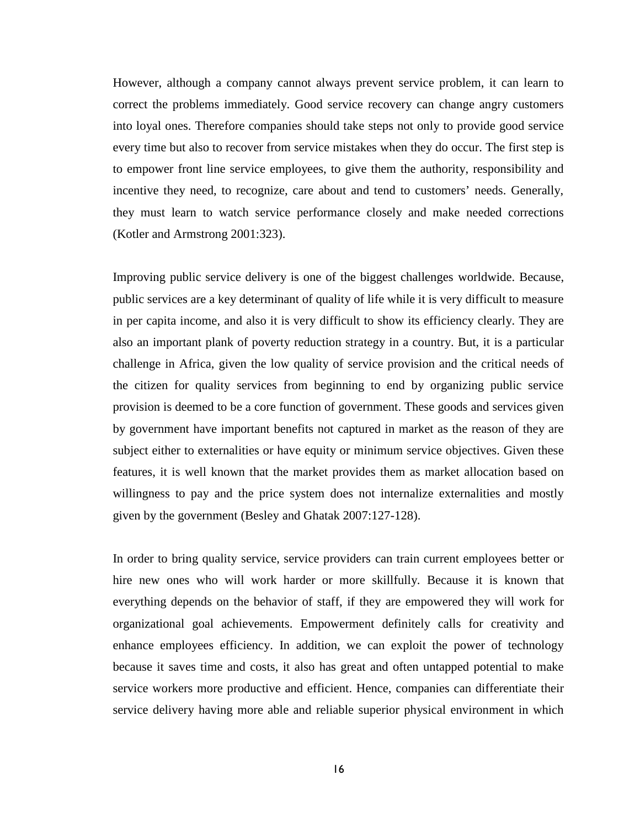However, although a company cannot always prevent service problem, it can learn to correct the problems immediately. Good service recovery can change angry customers into loyal ones. Therefore companies should take steps not only to provide good service every time but also to recover from service mistakes when they do occur. The first step is to empower front line service employees, to give them the authority, responsibility and incentive they need, to recognize, care about and tend to customers' needs. Generally, they must learn to watch service performance closely and make needed corrections (Kotler and Armstrong 2001:323).

Improving public service delivery is one of the biggest challenges worldwide. Because, public services are a key determinant of quality of life while it is very difficult to measure in per capita income, and also it is very difficult to show its efficiency clearly. They are also an important plank of poverty reduction strategy in a country. But, it is a particular challenge in Africa, given the low quality of service provision and the critical needs of the citizen for quality services from beginning to end by organizing public service provision is deemed to be a core function of government. These goods and services given by government have important benefits not captured in market as the reason of they are subject either to externalities or have equity or minimum service objectives. Given these features, it is well known that the market provides them as market allocation based on willingness to pay and the price system does not internalize externalities and mostly given by the government (Besley and Ghatak 2007:127-128).

In order to bring quality service, service providers can train current employees better or hire new ones who will work harder or more skillfully. Because it is known that everything depends on the behavior of staff, if they are empowered they will work for organizational goal achievements. Empowerment definitely calls for creativity and enhance employees efficiency. In addition, we can exploit the power of technology because it saves time and costs, it also has great and often untapped potential to make service workers more productive and efficient. Hence, companies can differentiate their service delivery having more able and reliable superior physical environment in which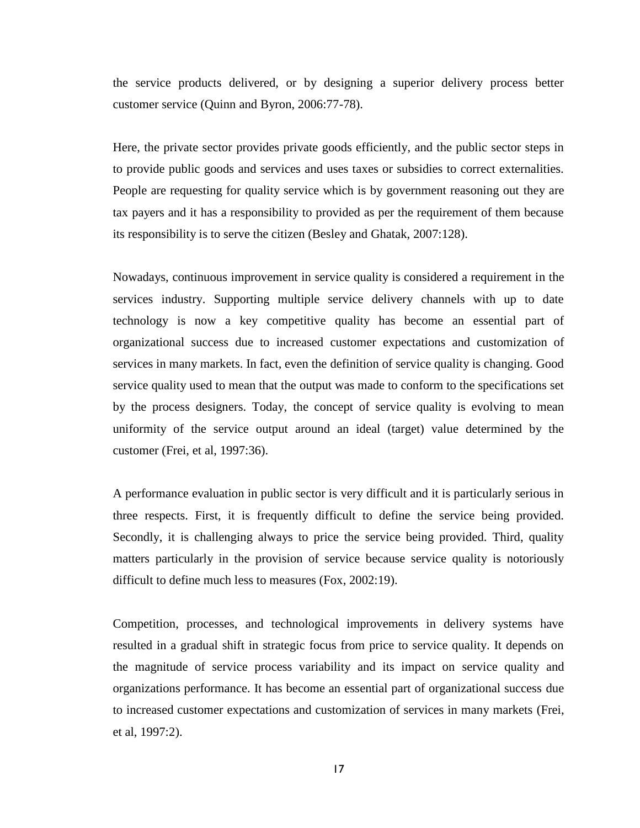the service products delivered, or by designing a superior delivery process better customer service (Quinn and Byron, 2006:77-78).

Here, the private sector provides private goods efficiently, and the public sector steps in to provide public goods and services and uses taxes or subsidies to correct externalities. People are requesting for quality service which is by government reasoning out they are tax payers and it has a responsibility to provided as per the requirement of them because its responsibility is to serve the citizen (Besley and Ghatak, 2007:128).

Nowadays, continuous improvement in service quality is considered a requirement in the services industry. Supporting multiple service delivery channels with up to date technology is now a key competitive quality has become an essential part of organizational success due to increased customer expectations and customization of services in many markets. In fact, even the definition of service quality is changing. Good service quality used to mean that the output was made to conform to the specifications set by the process designers. Today, the concept of service quality is evolving to mean uniformity of the service output around an ideal (target) value determined by the customer (Frei, et al, 1997:36).

A performance evaluation in public sector is very difficult and it is particularly serious in three respects. First, it is frequently difficult to define the service being provided. Secondly, it is challenging always to price the service being provided. Third, quality matters particularly in the provision of service because service quality is notoriously difficult to define much less to measures (Fox, 2002:19).

Competition, processes, and technological improvements in delivery systems have resulted in a gradual shift in strategic focus from price to service quality. It depends on the magnitude of service process variability and its impact on service quality and organizations performance. It has become an essential part of organizational success due to increased customer expectations and customization of services in many markets (Frei, et al, 1997:2).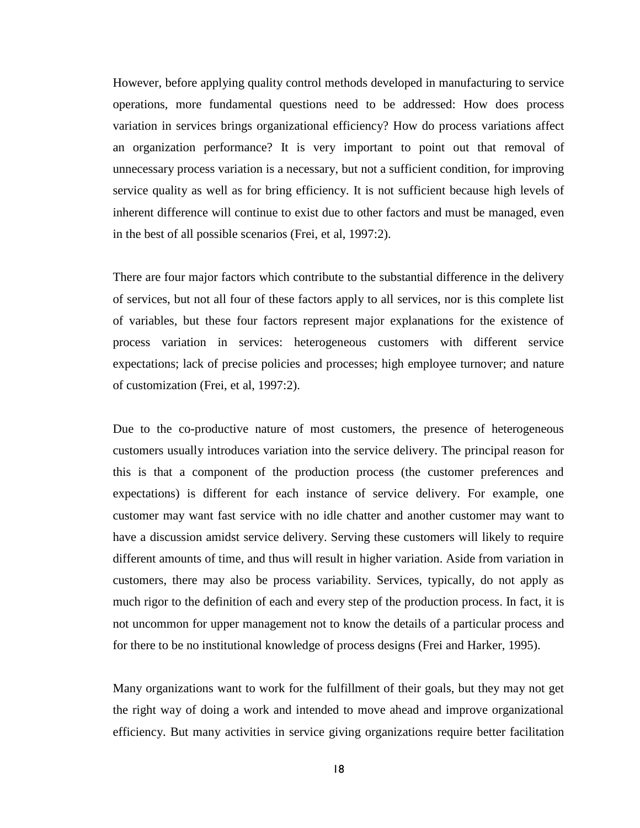However, before applying quality control methods developed in manufacturing to service operations, more fundamental questions need to be addressed: How does process variation in services brings organizational efficiency? How do process variations affect an organization performance? It is very important to point out that removal of unnecessary process variation is a necessary, but not a sufficient condition, for improving service quality as well as for bring efficiency. It is not sufficient because high levels of inherent difference will continue to exist due to other factors and must be managed, even in the best of all possible scenarios (Frei, et al, 1997:2).

There are four major factors which contribute to the substantial difference in the delivery of services, but not all four of these factors apply to all services, nor is this complete list of variables, but these four factors represent major explanations for the existence of process variation in services: heterogeneous customers with different service expectations; lack of precise policies and processes; high employee turnover; and nature of customization (Frei, et al, 1997:2).

Due to the co-productive nature of most customers, the presence of heterogeneous customers usually introduces variation into the service delivery. The principal reason for this is that a component of the production process (the customer preferences and expectations) is different for each instance of service delivery. For example, one customer may want fast service with no idle chatter and another customer may want to have a discussion amidst service delivery. Serving these customers will likely to require different amounts of time, and thus will result in higher variation. Aside from variation in customers, there may also be process variability. Services, typically, do not apply as much rigor to the definition of each and every step of the production process. In fact, it is not uncommon for upper management not to know the details of a particular process and for there to be no institutional knowledge of process designs (Frei and Harker, 1995).

Many organizations want to work for the fulfillment of their goals, but they may not get the right way of doing a work and intended to move ahead and improve organizational efficiency. But many activities in service giving organizations require better facilitation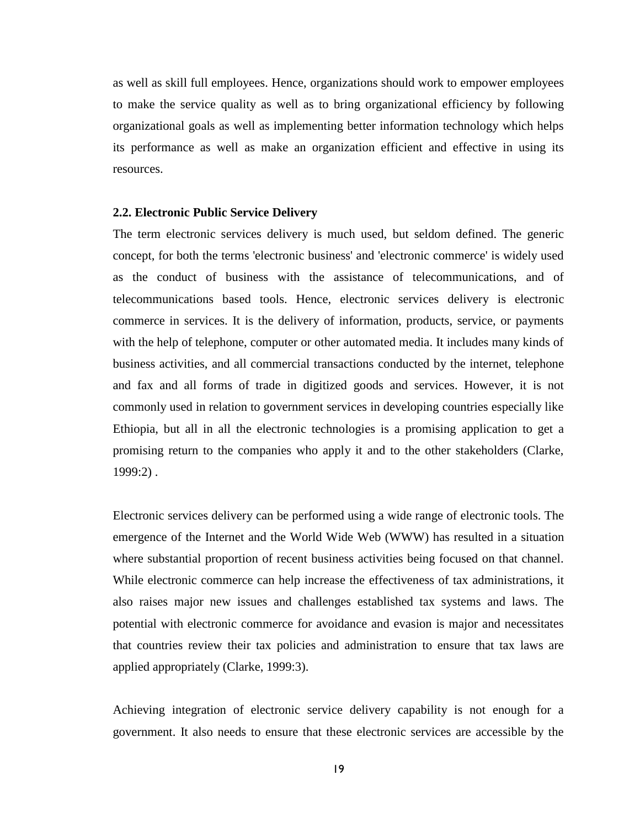as well as skill full employees. Hence, organizations should work to empower employees to make the service quality as well as to bring organizational efficiency by following organizational goals as well as implementing better information technology which helps its performance as well as make an organization efficient and effective in using its resources.

#### **2.2. Electronic Public Service Delivery**

The term electronic services delivery is much used, but seldom defined. The generic concept, for both the terms 'electronic business' and 'electronic commerce' is widely used as the conduct of business with the assistance of telecommunications, and of telecommunications based tools. Hence, electronic services delivery is electronic commerce in services. It is the delivery of information, products, service, or payments with the help of telephone, computer or other automated media. It includes many kinds of business activities, and all commercial transactions conducted by the internet, telephone and fax and all forms of trade in digitized goods and services. However, it is not commonly used in relation to government services in developing countries especially like Ethiopia, but all in all the electronic technologies is a promising application to get a promising return to the companies who apply it and to the other stakeholders (Clarke, 1999:2) .

Electronic services delivery can be performed using a wide range of electronic tools. The emergence of the Internet and the World Wide Web (WWW) has resulted in a situation where substantial proportion of recent business activities being focused on that channel. While electronic commerce can help increase the effectiveness of tax administrations, it also raises major new issues and challenges established tax systems and laws. The potential with electronic commerce for avoidance and evasion is major and necessitates that countries review their tax policies and administration to ensure that tax laws are applied appropriately (Clarke, 1999:3).

Achieving integration of electronic service delivery capability is not enough for a government. It also needs to ensure that these electronic services are accessible by the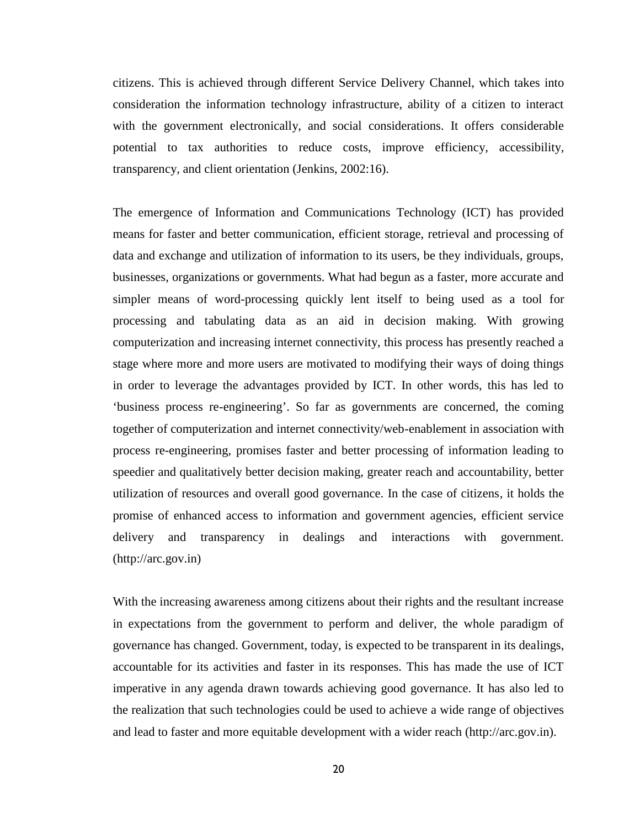citizens. This is achieved through different Service Delivery Channel, which takes into consideration the information technology infrastructure, ability of a citizen to interact with the government electronically, and social considerations. It offers considerable potential to tax authorities to reduce costs, improve efficiency, accessibility, transparency, and client orientation (Jenkins, 2002:16).

The emergence of Information and Communications Technology (ICT) has provided means for faster and better communication, efficient storage, retrieval and processing of data and exchange and utilization of information to its users, be they individuals, groups, businesses, organizations or governments. What had begun as a faster, more accurate and simpler means of word-processing quickly lent itself to being used as a tool for processing and tabulating data as an aid in decision making. With growing computerization and increasing internet connectivity, this process has presently reached a stage where more and more users are motivated to modifying their ways of doing things in order to leverage the advantages provided by ICT. In other words, this has led to 'business process re-engineering'. So far as governments are concerned, the coming together of computerization and internet connectivity/web-enablement in association with process re-engineering, promises faster and better processing of information leading to speedier and qualitatively better decision making, greater reach and accountability, better utilization of resources and overall good governance. In the case of citizens, it holds the promise of enhanced access to information and government agencies, efficient service delivery and transparency in dealings and interactions with government. (http://arc.gov.in)

With the increasing awareness among citizens about their rights and the resultant increase in expectations from the government to perform and deliver, the whole paradigm of governance has changed. Government, today, is expected to be transparent in its dealings, accountable for its activities and faster in its responses. This has made the use of ICT imperative in any agenda drawn towards achieving good governance. It has also led to the realization that such technologies could be used to achieve a wide range of objectives and lead to faster and more equitable development with a wider reach (http://arc.gov.in).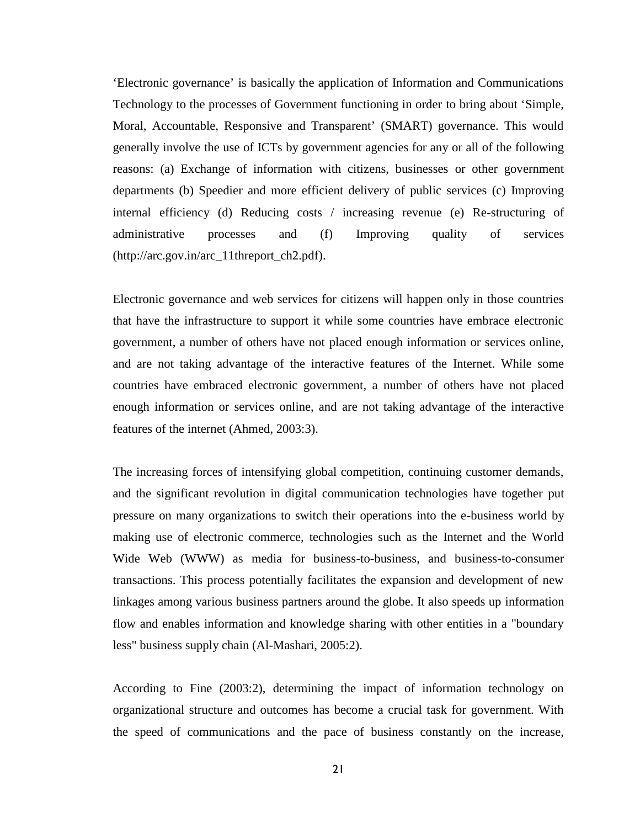'Electronic governance' is basically the application of Information and Communications Technology to the processes of Government functioning in order to bring about 'Simple, Moral, Accountable, Responsive and Transparent' (SMART) governance. This would generally involve the use of ICTs by government agencies for any or all of the following reasons: (a) Exchange of information with citizens, businesses or other government departments (b) Speedier and more efficient delivery of public services (c) Improving internal efficiency (d) Reducing costs / increasing revenue (e) Re-structuring of administrative processes and (f) Improving quality of services (http://arc.gov.in/arc\_11threport\_ch2.pdf).

Electronic governance and web services for citizens will happen only in those countries that have the infrastructure to support it while some countries have embrace electronic government, a number of others have not placed enough information or services online, and are not taking advantage of the interactive features of the Internet. While some countries have embraced electronic government, a number of others have not placed enough information or services online, and are not taking advantage of the interactive features of the internet (Ahmed, 2003:3).

The increasing forces of intensifying global competition, continuing customer demands, and the significant revolution in digital communication technologies have together put pressure on many organizations to switch their operations into the e-business world by making use of electronic commerce, technologies such as the Internet and the World Wide Web (WWW) as media for business-to-business, and business-to-consumer transactions. This process potentially facilitates the expansion and development of new linkages among various business partners around the globe. It also speeds up information flow and enables information and knowledge sharing with other entities in a "boundary less" business supply chain (Al-Mashari, 2005:2).

According to Fine (2003:2), determining the impact of information technology on organizational structure and outcomes has become a crucial task for government. With the speed of communications and the pace of business constantly on the increase,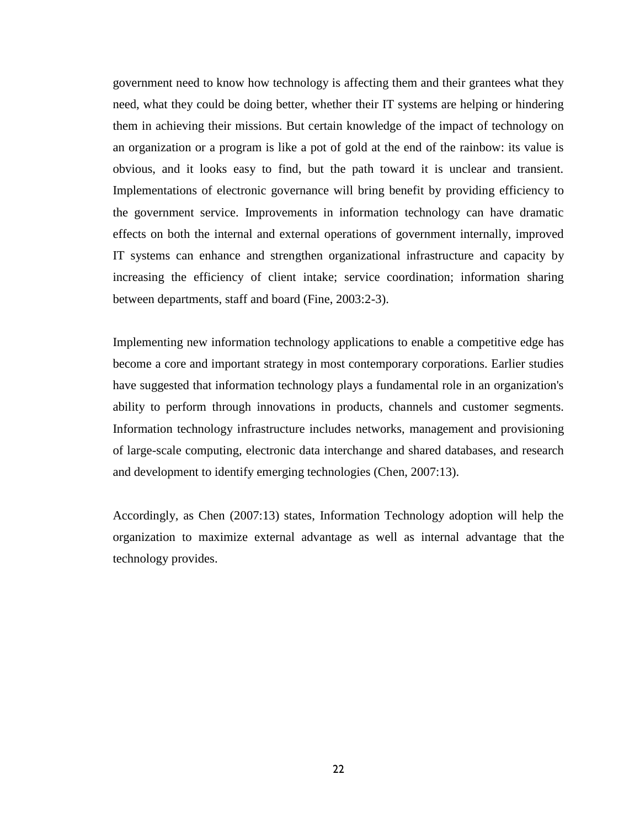government need to know how technology is affecting them and their grantees what they need, what they could be doing better, whether their IT systems are helping or hindering them in achieving their missions. But certain knowledge of the impact of technology on an organization or a program is like a pot of gold at the end of the rainbow: its value is obvious, and it looks easy to find, but the path toward it is unclear and transient. Implementations of electronic governance will bring benefit by providing efficiency to the government service. Improvements in information technology can have dramatic effects on both the internal and external operations of government internally, improved IT systems can enhance and strengthen organizational infrastructure and capacity by increasing the efficiency of client intake; service coordination; information sharing between departments, staff and board (Fine, 2003:2-3).

Implementing new information technology applications to enable a competitive edge has become a core and important strategy in most contemporary corporations. Earlier studies have suggested that information technology plays a fundamental role in an organization's ability to perform through innovations in products, channels and customer segments. Information technology infrastructure includes networks, management and provisioning of large-scale computing, electronic data interchange and shared databases, and research and development to identify emerging technologies (Chen, 2007:13).

Accordingly, as Chen (2007:13) states, Information Technology adoption will help the organization to maximize external advantage as well as internal advantage that the technology provides.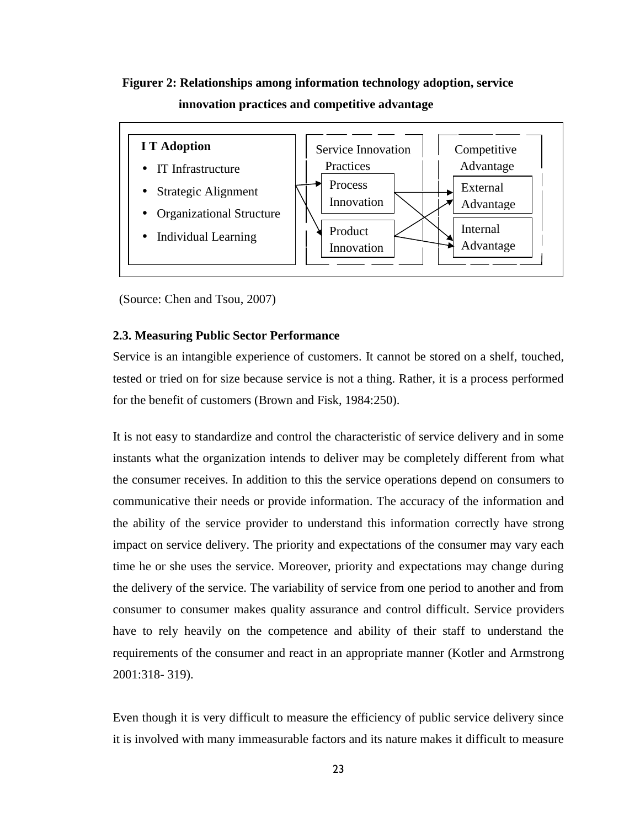## **Figurer 2: Relationships among information technology adoption, service innovation practices and competitive advantage**



(Source: Chen and Tsou, 2007)

#### **2.3. Measuring Public Sector Performance**

Service is an intangible experience of customers. It cannot be stored on a shelf, touched, tested or tried on for size because service is not a thing. Rather, it is a process performed for the benefit of customers (Brown and Fisk, 1984:250).

It is not easy to standardize and control the characteristic of service delivery and in some instants what the organization intends to deliver may be completely different from what the consumer receives. In addition to this the service operations depend on consumers to communicative their needs or provide information. The accuracy of the information and the ability of the service provider to understand this information correctly have strong impact on service delivery. The priority and expectations of the consumer may vary each time he or she uses the service. Moreover, priority and expectations may change during the delivery of the service. The variability of service from one period to another and from consumer to consumer makes quality assurance and control difficult. Service providers have to rely heavily on the competence and ability of their staff to understand the requirements of the consumer and react in an appropriate manner (Kotler and Armstrong 2001:318- 319).

Even though it is very difficult to measure the efficiency of public service delivery since it is involved with many immeasurable factors and its nature makes it difficult to measure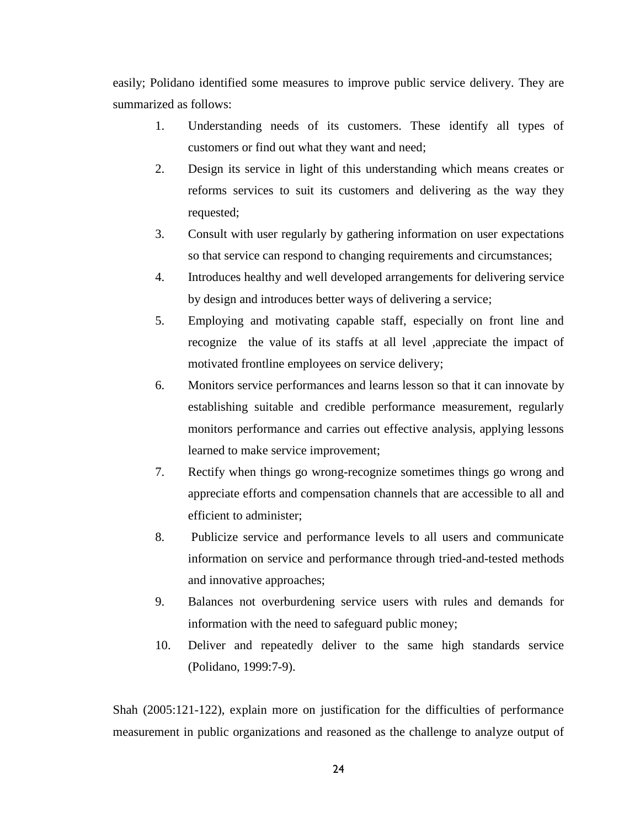easily; Polidano identified some measures to improve public service delivery. They are summarized as follows:

- 1. Understanding needs of its customers. These identify all types of customers or find out what they want and need;
- 2. Design its service in light of this understanding which means creates or reforms services to suit its customers and delivering as the way they requested;
- 3. Consult with user regularly by gathering information on user expectations so that service can respond to changing requirements and circumstances;
- 4. Introduces healthy and well developed arrangements for delivering service by design and introduces better ways of delivering a service;
- 5. Employing and motivating capable staff, especially on front line and recognize the value of its staffs at all level ,appreciate the impact of motivated frontline employees on service delivery;
- 6. Monitors service performances and learns lesson so that it can innovate by establishing suitable and credible performance measurement, regularly monitors performance and carries out effective analysis, applying lessons learned to make service improvement;
- 7. Rectify when things go wrong-recognize sometimes things go wrong and appreciate efforts and compensation channels that are accessible to all and efficient to administer;
- 8. Publicize service and performance levels to all users and communicate information on service and performance through tried-and-tested methods and innovative approaches;
- 9. Balances not overburdening service users with rules and demands for information with the need to safeguard public money;
- 10. Deliver and repeatedly deliver to the same high standards service (Polidano, 1999:7-9).

Shah (2005:121-122), explain more on justification for the difficulties of performance measurement in public organizations and reasoned as the challenge to analyze output of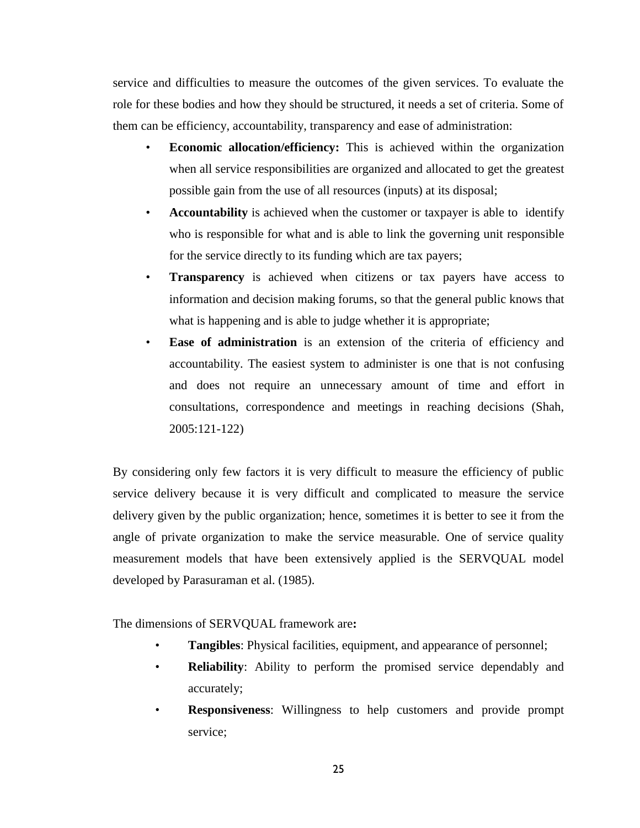service and difficulties to measure the outcomes of the given services. To evaluate the role for these bodies and how they should be structured, it needs a set of criteria. Some of them can be efficiency, accountability, transparency and ease of administration:

- **Economic allocation/efficiency:** This is achieved within the organization when all service responsibilities are organized and allocated to get the greatest possible gain from the use of all resources (inputs) at its disposal;
- **Accountability** is achieved when the customer or taxpayer is able to identify who is responsible for what and is able to link the governing unit responsible for the service directly to its funding which are tax payers;
- **Transparency** is achieved when citizens or tax payers have access to information and decision making forums, so that the general public knows that what is happening and is able to judge whether it is appropriate;
- **Ease of administration** is an extension of the criteria of efficiency and accountability. The easiest system to administer is one that is not confusing and does not require an unnecessary amount of time and effort in consultations, correspondence and meetings in reaching decisions (Shah, 2005:121-122)

By considering only few factors it is very difficult to measure the efficiency of public service delivery because it is very difficult and complicated to measure the service delivery given by the public organization; hence, sometimes it is better to see it from the angle of private organization to make the service measurable. One of service quality measurement models that have been extensively applied is the SERVQUAL model developed by Parasuraman et al. (1985).

The dimensions of SERVQUAL framework are**:**

- **Tangibles:** Physical facilities, equipment, and appearance of personnel;
- **Reliability**: Ability to perform the promised service dependably and accurately;
- **Responsiveness**: Willingness to help customers and provide prompt service;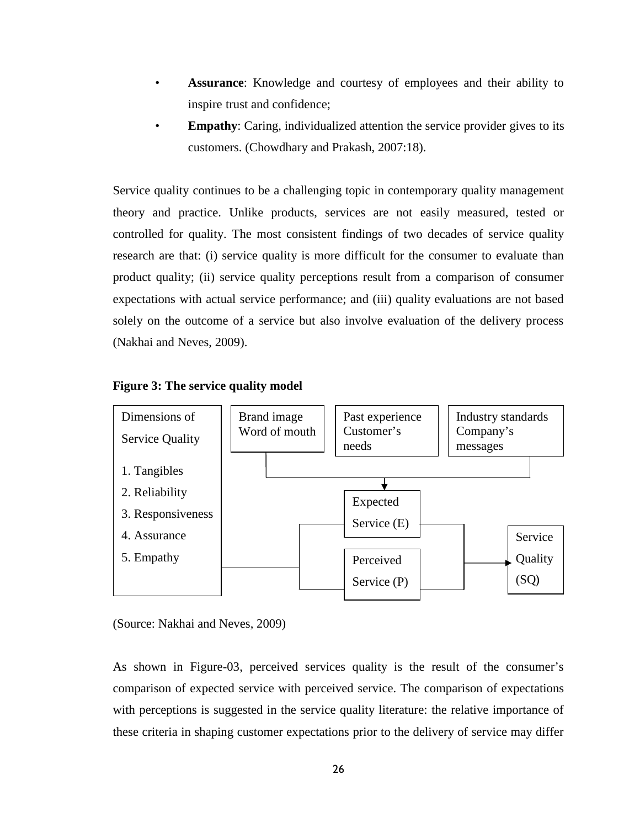- Assurance: Knowledge and courtesy of employees and their ability to inspire trust and confidence;
- **Empathy:** Caring, individualized attention the service provider gives to its customers. (Chowdhary and Prakash, 2007:18).

Service quality continues to be a challenging topic in contemporary quality management theory and practice. Unlike products, services are not easily measured, tested or controlled for quality. The most consistent findings of two decades of service quality research are that: (i) service quality is more difficult for the consumer to evaluate than product quality; (ii) service quality perceptions result from a comparison of consumer expectations with actual service performance; and (iii) quality evaluations are not based solely on the outcome of a service but also involve evaluation of the delivery process (Nakhai and Neves, 2009).

#### **Figure 3: The service quality model**



(Source: Nakhai and Neves, 2009)

As shown in Figure-03, perceived services quality is the result of the consumer's comparison of expected service with perceived service. The comparison of expectations with perceptions is suggested in the service quality literature: the relative importance of these criteria in shaping customer expectations prior to the delivery of service may differ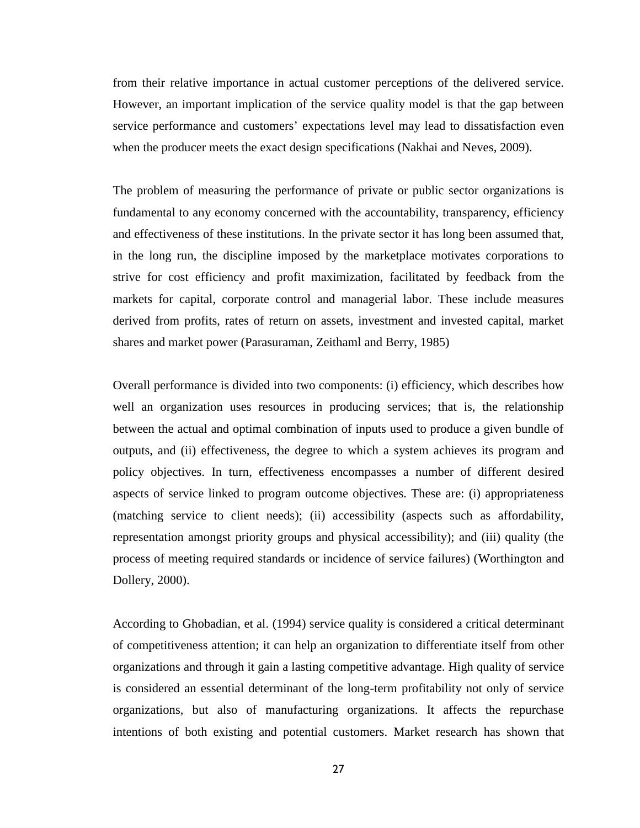from their relative importance in actual customer perceptions of the delivered service. However, an important implication of the service quality model is that the gap between service performance and customers' expectations level may lead to dissatisfaction even when the producer meets the exact design specifications (Nakhai and Neves, 2009).

The problem of measuring the performance of private or public sector organizations is fundamental to any economy concerned with the accountability, transparency, efficiency and effectiveness of these institutions. In the private sector it has long been assumed that, in the long run, the discipline imposed by the marketplace motivates corporations to strive for cost efficiency and profit maximization, facilitated by feedback from the markets for capital, corporate control and managerial labor. These include measures derived from profits, rates of return on assets, investment and invested capital, market shares and market power (Parasuraman, Zeithaml and Berry, 1985)

Overall performance is divided into two components: (i) efficiency, which describes how well an organization uses resources in producing services; that is, the relationship between the actual and optimal combination of inputs used to produce a given bundle of outputs, and (ii) effectiveness, the degree to which a system achieves its program and policy objectives. In turn, effectiveness encompasses a number of different desired aspects of service linked to program outcome objectives. These are: (i) appropriateness (matching service to client needs); (ii) accessibility (aspects such as affordability, representation amongst priority groups and physical accessibility); and (iii) quality (the process of meeting required standards or incidence of service failures) (Worthington and Dollery, 2000).

According to Ghobadian, et al. (1994) service quality is considered a critical determinant of competitiveness attention; it can help an organization to differentiate itself from other organizations and through it gain a lasting competitive advantage. High quality of service is considered an essential determinant of the long-term profitability not only of service organizations, but also of manufacturing organizations. It affects the repurchase intentions of both existing and potential customers. Market research has shown that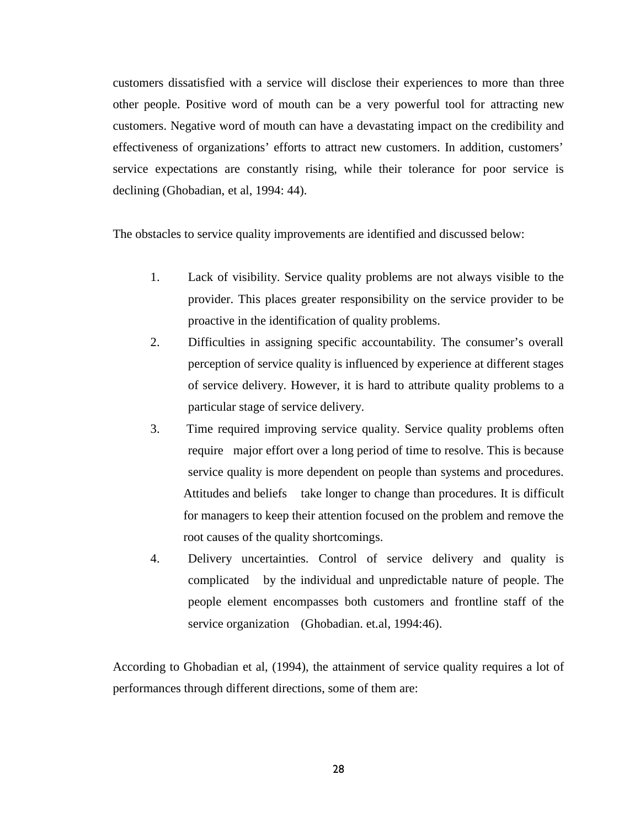customers dissatisfied with a service will disclose their experiences to more than three other people. Positive word of mouth can be a very powerful tool for attracting new customers. Negative word of mouth can have a devastating impact on the credibility and effectiveness of organizations' efforts to attract new customers. In addition, customers' service expectations are constantly rising, while their tolerance for poor service is declining (Ghobadian, et al, 1994: 44).

The obstacles to service quality improvements are identified and discussed below:

- 1. Lack of visibility. Service quality problems are not always visible to the provider. This places greater responsibility on the service provider to be proactive in the identification of quality problems.
- 2. Difficulties in assigning specific accountability. The consumer's overall perception of service quality is influenced by experience at different stages of service delivery. However, it is hard to attribute quality problems to a particular stage of service delivery.
- 3. Time required improving service quality. Service quality problems often require major effort over a long period of time to resolve. This is because service quality is more dependent on people than systems and procedures. Attitudes and beliefs take longer to change than procedures. It is difficult for managers to keep their attention focused on the problem and remove the root causes of the quality shortcomings.
- 4. Delivery uncertainties. Control of service delivery and quality is complicated by the individual and unpredictable nature of people. The people element encompasses both customers and frontline staff of the service organization (Ghobadian. et.al, 1994:46).

According to Ghobadian et al, (1994), the attainment of service quality requires a lot of performances through different directions, some of them are: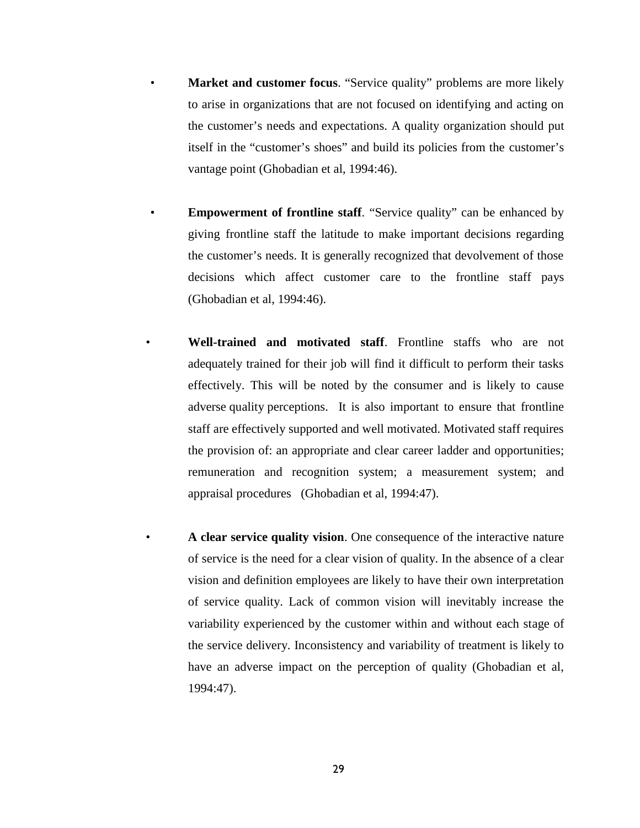- **Market and customer focus.** "Service quality" problems are more likely to arise in organizations that are not focused on identifying and acting on the customer's needs and expectations. A quality organization should put itself in the "customer's shoes" and build its policies from the customer's vantage point (Ghobadian et al, 1994:46).
- **Empowerment of frontline staff.** "Service quality" can be enhanced by giving frontline staff the latitude to make important decisions regarding the customer's needs. It is generally recognized that devolvement of those decisions which affect customer care to the frontline staff pays (Ghobadian et al, 1994:46).
- **Well-trained and motivated staff**. Frontline staffs who are not adequately trained for their job will find it difficult to perform their tasks effectively. This will be noted by the consumer and is likely to cause adverse quality perceptions. It is also important to ensure that frontline staff are effectively supported and well motivated. Motivated staff requires the provision of: an appropriate and clear career ladder and opportunities; remuneration and recognition system; a measurement system; and appraisal procedures (Ghobadian et al, 1994:47).
	- **A clear service quality vision**. One consequence of the interactive nature of service is the need for a clear vision of quality. In the absence of a clear vision and definition employees are likely to have their own interpretation of service quality. Lack of common vision will inevitably increase the variability experienced by the customer within and without each stage of the service delivery. Inconsistency and variability of treatment is likely to have an adverse impact on the perception of quality (Ghobadian et al, 1994:47).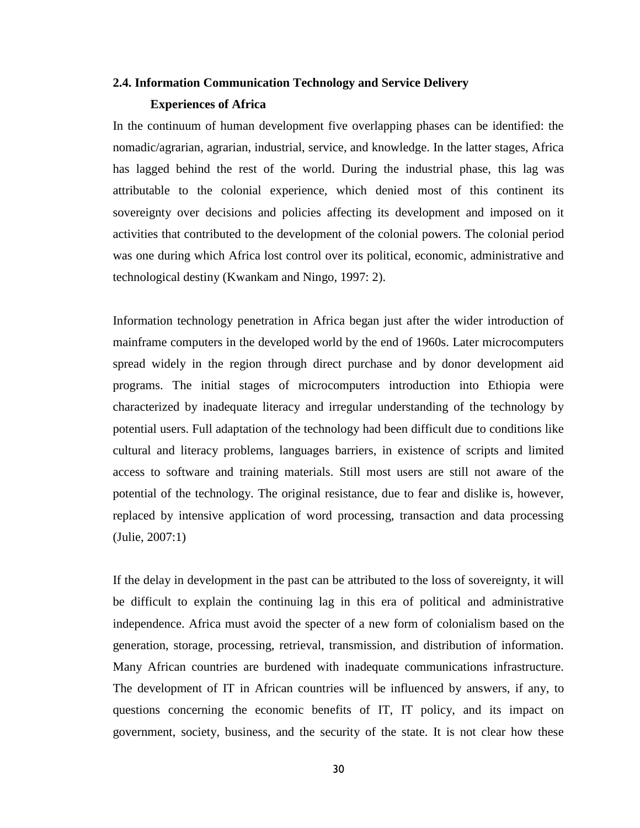## **2.4. Information Communication Technology and Service Delivery Experiences of Africa**

In the continuum of human development five overlapping phases can be identified: the nomadic/agrarian, agrarian, industrial, service, and knowledge. In the latter stages, Africa has lagged behind the rest of the world. During the industrial phase, this lag was attributable to the colonial experience, which denied most of this continent its sovereignty over decisions and policies affecting its development and imposed on it activities that contributed to the development of the colonial powers. The colonial period was one during which Africa lost control over its political, economic, administrative and technological destiny (Kwankam and Ningo, 1997: 2).

Information technology penetration in Africa began just after the wider introduction of mainframe computers in the developed world by the end of 1960s. Later microcomputers spread widely in the region through direct purchase and by donor development aid programs. The initial stages of microcomputers introduction into Ethiopia were characterized by inadequate literacy and irregular understanding of the technology by potential users. Full adaptation of the technology had been difficult due to conditions like cultural and literacy problems, languages barriers, in existence of scripts and limited access to software and training materials. Still most users are still not aware of the potential of the technology. The original resistance, due to fear and dislike is, however, replaced by intensive application of word processing, transaction and data processing (Julie, 2007:1)

If the delay in development in the past can be attributed to the loss of sovereignty, it will be difficult to explain the continuing lag in this era of political and administrative independence. Africa must avoid the specter of a new form of colonialism based on the generation, storage, processing, retrieval, transmission, and distribution of information. Many African countries are burdened with inadequate communications infrastructure. The development of IT in African countries will be influenced by answers, if any, to questions concerning the economic benefits of IT, IT policy, and its impact on government, society, business, and the security of the state. It is not clear how these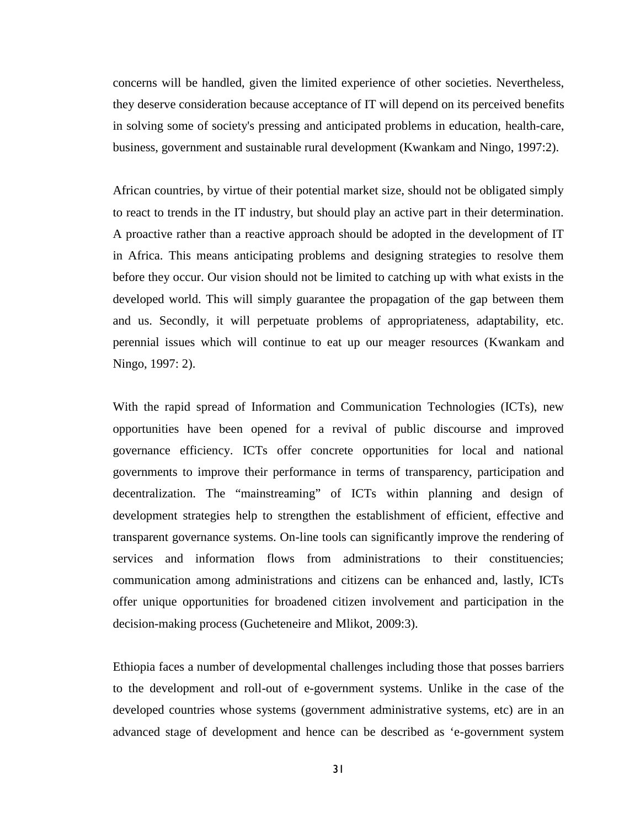concerns will be handled, given the limited experience of other societies. Nevertheless, they deserve consideration because acceptance of IT will depend on its perceived benefits in solving some of society's pressing and anticipated problems in education, health-care, business, government and sustainable rural development (Kwankam and Ningo, 1997:2).

African countries, by virtue of their potential market size, should not be obligated simply to react to trends in the IT industry, but should play an active part in their determination. A proactive rather than a reactive approach should be adopted in the development of IT in Africa. This means anticipating problems and designing strategies to resolve them before they occur. Our vision should not be limited to catching up with what exists in the developed world. This will simply guarantee the propagation of the gap between them and us. Secondly, it will perpetuate problems of appropriateness, adaptability, etc. perennial issues which will continue to eat up our meager resources (Kwankam and Ningo, 1997: 2).

With the rapid spread of Information and Communication Technologies (ICTs), new opportunities have been opened for a revival of public discourse and improved governance efficiency. ICTs offer concrete opportunities for local and national governments to improve their performance in terms of transparency, participation and decentralization. The "mainstreaming" of ICTs within planning and design of development strategies help to strengthen the establishment of efficient, effective and transparent governance systems. On-line tools can significantly improve the rendering of services and information flows from administrations to their constituencies; communication among administrations and citizens can be enhanced and, lastly, ICTs offer unique opportunities for broadened citizen involvement and participation in the decision-making process (Gucheteneire and Mlikot, 2009:3).

Ethiopia faces a number of developmental challenges including those that posses barriers to the development and roll-out of e-government systems. Unlike in the case of the developed countries whose systems (government administrative systems, etc) are in an advanced stage of development and hence can be described as 'e-government system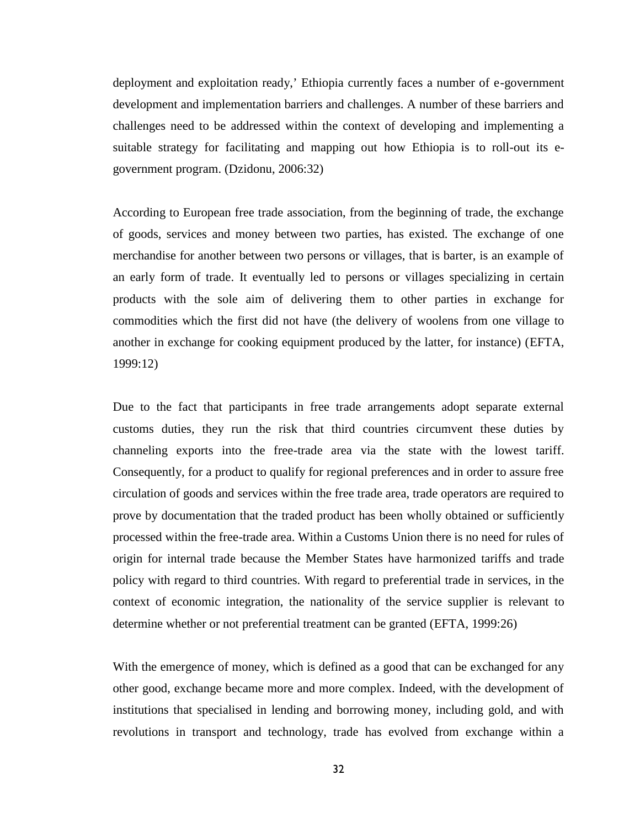deployment and exploitation ready,' Ethiopia currently faces a number of e-government development and implementation barriers and challenges. A number of these barriers and challenges need to be addressed within the context of developing and implementing a suitable strategy for facilitating and mapping out how Ethiopia is to roll-out its e government program. (Dzidonu, 2006:32)

According to European free trade association, from the beginning of trade, the exchange of goods, services and money between two parties, has existed. The exchange of one merchandise for another between two persons or villages, that is barter, is an example of an early form of trade. It eventually led to persons or villages specializing in certain products with the sole aim of delivering them to other parties in exchange for commodities which the first did not have (the delivery of woolens from one village to another in exchange for cooking equipment produced by the latter, for instance) (EFTA, 1999:12)

Due to the fact that participants in free trade arrangements adopt separate external customs duties, they run the risk that third countries circumvent these duties by channeling exports into the free-trade area via the state with the lowest tariff. Consequently, for a product to qualify for regional preferences and in order to assure free circulation of goods and services within the free trade area, trade operators are required to prove by documentation that the traded product has been wholly obtained or sufficiently processed within the free-trade area. Within a Customs Union there is no need for rules of origin for internal trade because the Member States have harmonized tariffs and trade policy with regard to third countries. With regard to preferential trade in services, in the context of economic integration, the nationality of the service supplier is relevant to determine whether or not preferential treatment can be granted (EFTA, 1999:26)

With the emergence of money, which is defined as a good that can be exchanged for any other good, exchange became more and more complex. Indeed, with the development of institutions that specialised in lending and borrowing money, including gold, and with revolutions in transport and technology, trade has evolved from exchange within a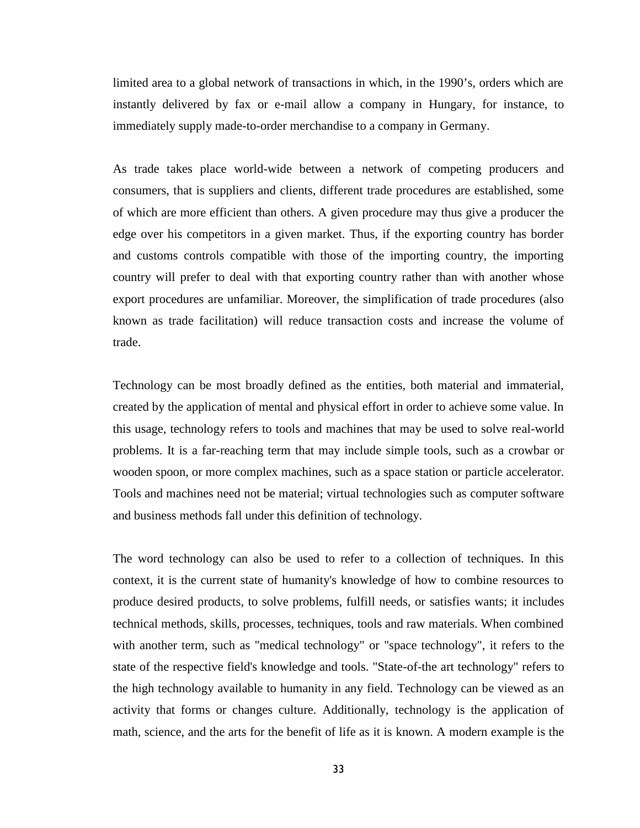limited area to a global network of transactions in which, in the 1990's, orders which are instantly delivered by fax or e-mail allow a company in Hungary, for instance, to immediately supply made-to-order merchandise to a company in Germany.

As trade takes place world-wide between a network of competing producers and consumers, that is suppliers and clients, different trade procedures are established, some of which are more efficient than others. A given procedure may thus give a producer the edge over his competitors in a given market. Thus, if the exporting country has border and customs controls compatible with those of the importing country, the importing country will prefer to deal with that exporting country rather than with another whose export procedures are unfamiliar. Moreover, the simplification of trade procedures (also known as trade facilitation) will reduce transaction costs and increase the volume of trade.

Technology can be most broadly defined as the entities, both material and immaterial, created by the application of mental and physical effort in order to achieve some value. In this usage, technology refers to tools and machines that may be used to solve real-world problems. It is a far-reaching term that may include simple tools, such as a crowbar or wooden spoon, or more complex machines, such as a space station or particle accelerator. Tools and machines need not be material; virtual technologies such as computer software and business methods fall under this definition of technology.

The word technology can also be used to refer to a collection of techniques. In this context, it is the current state of humanity's knowledge of how to combine resources to produce desired products, to solve problems, fulfill needs, or satisfies wants; it includes technical methods, skills, processes, techniques, tools and raw materials. When combined with another term, such as "medical technology" or "space technology", it refers to the state of the respective field's knowledge and tools. "State-of-the art technology" refers to the high technology available to humanity in any field. Technology can be viewed as an activity that forms or changes culture. Additionally, technology is the application of math, science, and the arts for the benefit of life as it is known. A modern example is the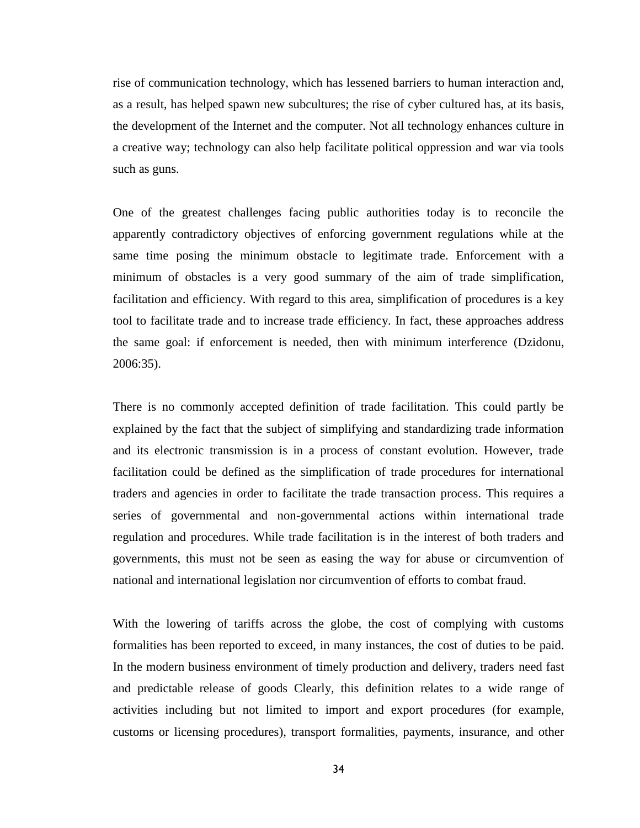rise of communication technology, which has lessened barriers to human interaction and, as a result, has helped spawn new subcultures; the rise of cyber cultured has, at its basis, the development of the Internet and the computer. Not all technology enhances culture in a creative way; technology can also help facilitate political oppression and war via tools such as guns.

One of the greatest challenges facing public authorities today is to reconcile the apparently contradictory objectives of enforcing government regulations while at the same time posing the minimum obstacle to legitimate trade. Enforcement with a minimum of obstacles is a very good summary of the aim of trade simplification, facilitation and efficiency. With regard to this area, simplification of procedures is a key tool to facilitate trade and to increase trade efficiency. In fact, these approaches address the same goal: if enforcement is needed, then with minimum interference (Dzidonu, 2006:35).

There is no commonly accepted definition of trade facilitation. This could partly be explained by the fact that the subject of simplifying and standardizing trade information and its electronic transmission is in a process of constant evolution. However, trade facilitation could be defined as the simplification of trade procedures for international traders and agencies in order to facilitate the trade transaction process. This requires a series of governmental and non-governmental actions within international trade regulation and procedures. While trade facilitation is in the interest of both traders and governments, this must not be seen as easing the way for abuse or circumvention of national and international legislation nor circumvention of efforts to combat fraud.

With the lowering of tariffs across the globe, the cost of complying with customs formalities has been reported to exceed, in many instances, the cost of duties to be paid. In the modern business environment of timely production and delivery, traders need fast and predictable release of goods Clearly, this definition relates to a wide range of activities including but not limited to import and export procedures (for example, customs or licensing procedures), transport formalities, payments, insurance, and other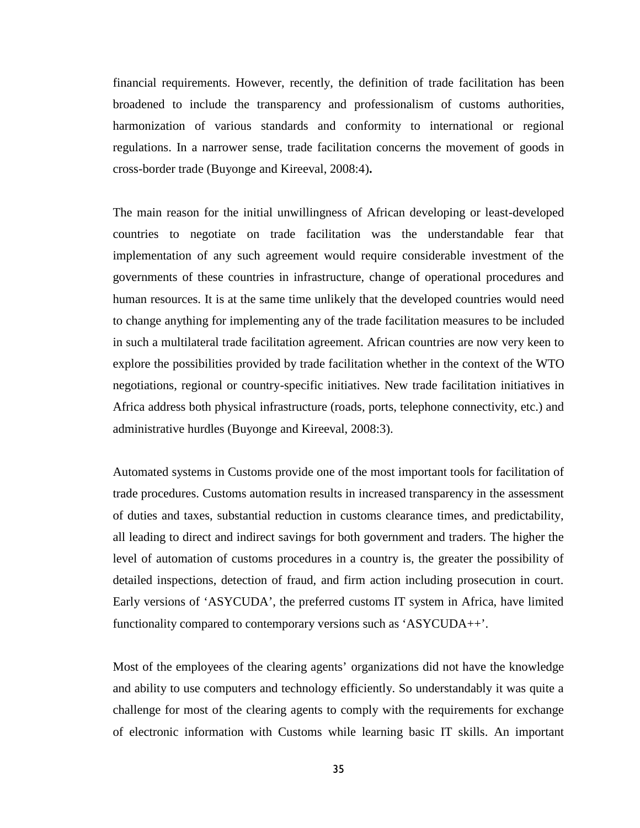financial requirements. However, recently, the definition of trade facilitation has been broadened to include the transparency and professionalism of customs authorities, harmonization of various standards and conformity to international or regional regulations. In a narrower sense, trade facilitation concerns the movement of goods in cross-border trade (Buyonge and Kireeval, 2008:4)**.**

The main reason for the initial unwillingness of African developing or least-developed countries to negotiate on trade facilitation was the understandable fear that implementation of any such agreement would require considerable investment of the governments of these countries in infrastructure, change of operational procedures and human resources. It is at the same time unlikely that the developed countries would need to change anything for implementing any of the trade facilitation measures to be included in such a multilateral trade facilitation agreement. African countries are now very keen to explore the possibilities provided by trade facilitation whether in the context of the WTO negotiations, regional or country-specific initiatives. New trade facilitation initiatives in Africa address both physical infrastructure (roads, ports, telephone connectivity, etc.) and administrative hurdles (Buyonge and Kireeval, 2008:3).

Automated systems in Customs provide one of the most important tools for facilitation of trade procedures. Customs automation results in increased transparency in the assessment of duties and taxes, substantial reduction in customs clearance times, and predictability, all leading to direct and indirect savings for both government and traders. The higher the level of automation of customs procedures in a country is, the greater the possibility of detailed inspections, detection of fraud, and firm action including prosecution in court. Early versions of 'ASYCUDA', the preferred customs IT system in Africa, have limited functionality compared to contemporary versions such as 'ASYCUDA++'.

Most of the employees of the clearing agents' organizations did not have the knowledge and ability to use computers and technology efficiently. So understandably it was quite a challenge for most of the clearing agents to comply with the requirements for exchange of electronic information with Customs while learning basic IT skills. An important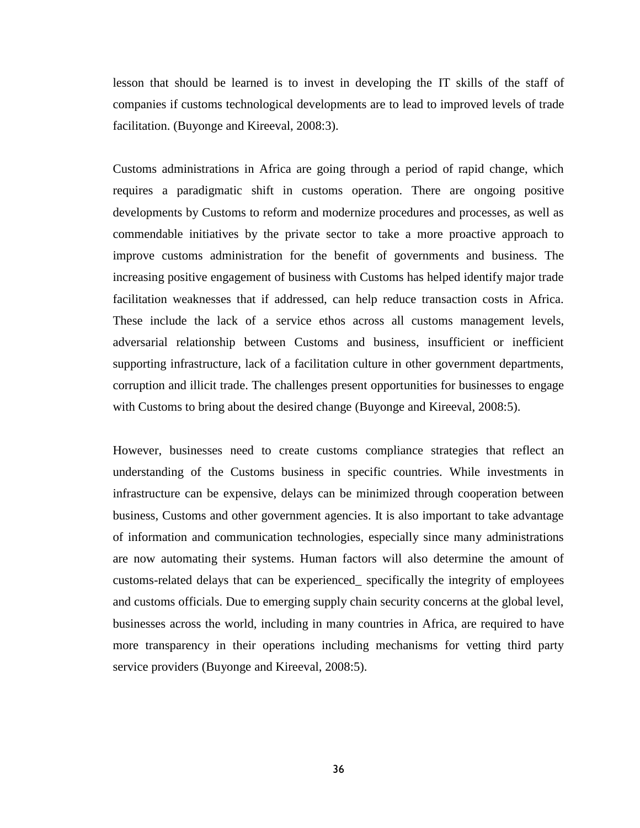lesson that should be learned is to invest in developing the IT skills of the staff of companies if customs technological developments are to lead to improved levels of trade facilitation. (Buyonge and Kireeval, 2008:3).

Customs administrations in Africa are going through a period of rapid change, which requires a paradigmatic shift in customs operation. There are ongoing positive developments by Customs to reform and modernize procedures and processes, as well as commendable initiatives by the private sector to take a more proactive approach to improve customs administration for the benefit of governments and business. The increasing positive engagement of business with Customs has helped identify major trade facilitation weaknesses that if addressed, can help reduce transaction costs in Africa. These include the lack of a service ethos across all customs management levels, adversarial relationship between Customs and business, insufficient or inefficient supporting infrastructure, lack of a facilitation culture in other government departments, corruption and illicit trade. The challenges present opportunities for businesses to engage with Customs to bring about the desired change (Buyonge and Kireeval, 2008:5).

However, businesses need to create customs compliance strategies that reflect an understanding of the Customs business in specific countries. While investments in infrastructure can be expensive, delays can be minimized through cooperation between business, Customs and other government agencies. It is also important to take advantage of information and communication technologies, especially since many administrations are now automating their systems. Human factors will also determine the amount of customs-related delays that can be experienced\_ specifically the integrity of employees and customs officials. Due to emerging supply chain security concerns at the global level, businesses across the world, including in many countries in Africa, are required to have more transparency in their operations including mechanisms for vetting third party service providers (Buyonge and Kireeval, 2008:5).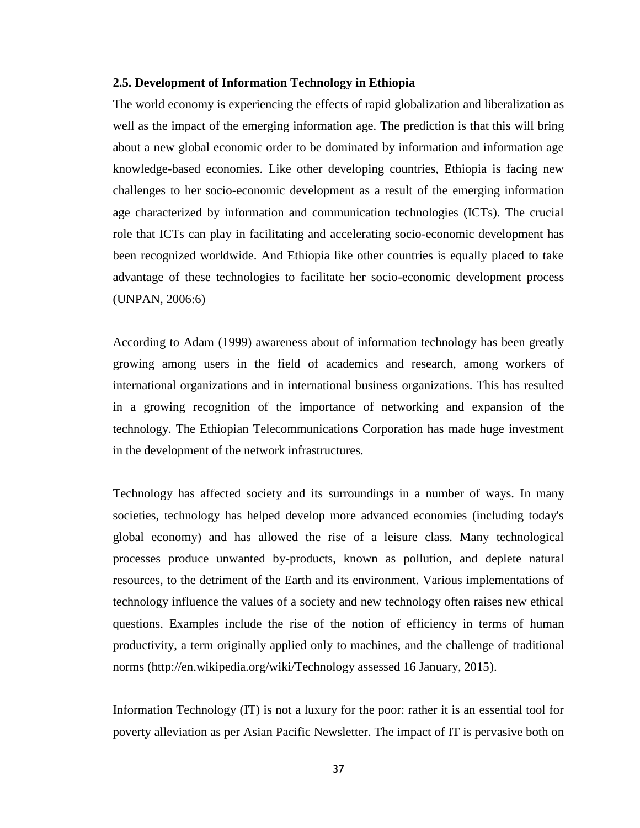#### **2.5. Development of Information Technology in Ethiopia**

The world economy is experiencing the effects of rapid globalization and liberalization as well as the impact of the emerging information age. The prediction is that this will bring about a new global economic order to be dominated by information and information age knowledge-based economies. Like other developing countries, Ethiopia is facing new challenges to her socio-economic development as a result of the emerging information age characterized by information and communication technologies (ICTs). The crucial role that ICTs can play in facilitating and accelerating socio-economic development has been recognized worldwide. And Ethiopia like other countries is equally placed to take advantage of these technologies to facilitate her socio-economic development process (UNPAN, 2006:6)

According to Adam (1999) awareness about of information technology has been greatly growing among users in the field of academics and research, among workers of international organizations and in international business organizations. This has resulted in a growing recognition of the importance of networking and expansion of the technology. The Ethiopian Telecommunications Corporation has made huge investment in the development of the network infrastructures.

Technology has affected society and its surroundings in a number of ways. In many societies, technology has helped develop more advanced economies (including today's global economy) and has allowed the rise of a leisure class. Many technological processes produce unwanted by-products, known as pollution, and deplete natural resources, to the detriment of the Earth and its environment. Various implementations of technology influence the values of a society and new technology often raises new ethical questions. Examples include the rise of the notion of efficiency in terms of human productivity, a term originally applied only to machines, and the challenge of traditional norms (http://en.wikipedia.org/wiki/Technology assessed 16 January, 2015).

Information Technology (IT) is not a luxury for the poor: rather it is an essential tool for poverty alleviation as per Asian Pacific Newsletter. The impact of IT is pervasive both on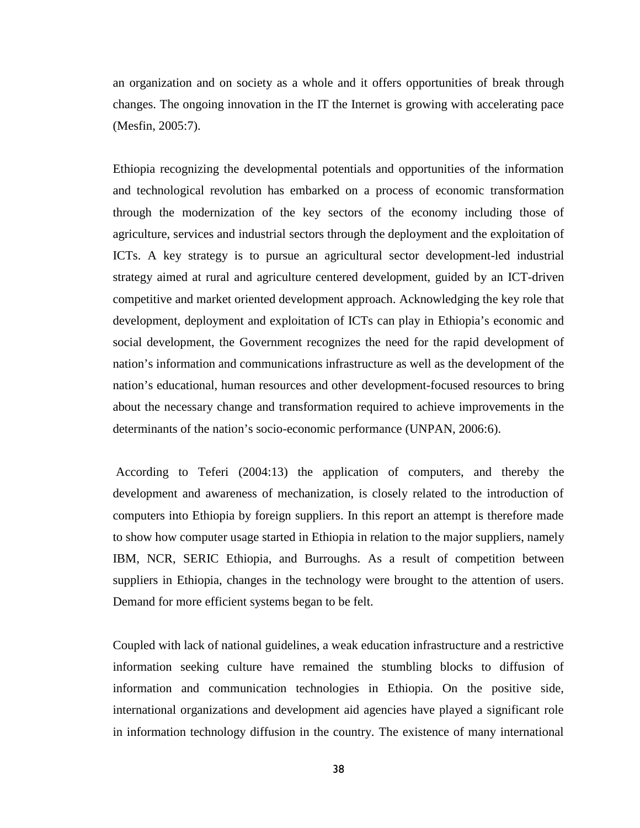an organization and on society as a whole and it offers opportunities of break through changes. The ongoing innovation in the IT the Internet is growing with accelerating pace (Mesfin, 2005:7).

Ethiopia recognizing the developmental potentials and opportunities of the information and technological revolution has embarked on a process of economic transformation through the modernization of the key sectors of the economy including those of agriculture, services and industrial sectors through the deployment and the exploitation of ICTs. A key strategy is to pursue an agricultural sector development-led industrial strategy aimed at rural and agriculture centered development, guided by an ICT-driven competitive and market oriented development approach. Acknowledging the key role that development, deployment and exploitation of ICTs can play in Ethiopia's economic and social development, the Government recognizes the need for the rapid development of nation's information and communications infrastructure as well as the development of the nation's educational, human resources and other development-focused resources to bring about the necessary change and transformation required to achieve improvements in the determinants of the nation's socio-economic performance (UNPAN, 2006:6).

According to Teferi (2004:13) the application of computers, and thereby the development and awareness of mechanization, is closely related to the introduction of computers into Ethiopia by foreign suppliers. In this report an attempt is therefore made to show how computer usage started in Ethiopia in relation to the major suppliers, namely IBM, NCR, SERIC Ethiopia, and Burroughs. As a result of competition between suppliers in Ethiopia, changes in the technology were brought to the attention of users. Demand for more efficient systems began to be felt.

Coupled with lack of national guidelines, a weak education infrastructure and a restrictive information seeking culture have remained the stumbling blocks to diffusion of information and communication technologies in Ethiopia. On the positive side, international organizations and development aid agencies have played a significant role in information technology diffusion in the country. The existence of many international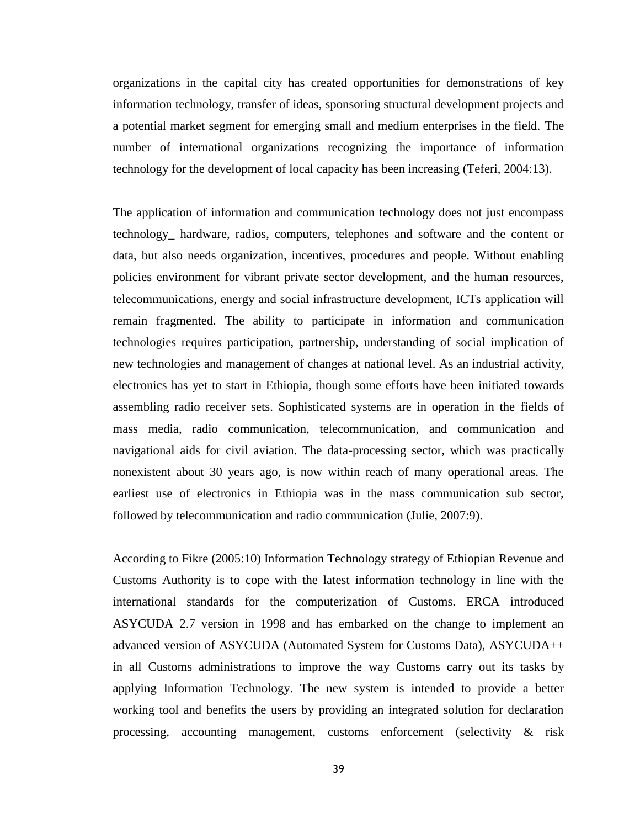organizations in the capital city has created opportunities for demonstrations of key information technology, transfer of ideas, sponsoring structural development projects and a potential market segment for emerging small and medium enterprises in the field. The number of international organizations recognizing the importance of information technology for the development of local capacity has been increasing (Teferi, 2004:13).

The application of information and communication technology does not just encompass technology\_ hardware, radios, computers, telephones and software and the content or data, but also needs organization, incentives, procedures and people. Without enabling policies environment for vibrant private sector development, and the human resources, telecommunications, energy and social infrastructure development, ICTs application will remain fragmented. The ability to participate in information and communication technologies requires participation, partnership, understanding of social implication of new technologies and management of changes at national level. As an industrial activity, electronics has yet to start in Ethiopia, though some efforts have been initiated towards assembling radio receiver sets. Sophisticated systems are in operation in the fields of mass media, radio communication, telecommunication, and communication and navigational aids for civil aviation. The data-processing sector, which was practically nonexistent about 30 years ago, is now within reach of many operational areas. The earliest use of electronics in Ethiopia was in the mass communication sub sector, followed by telecommunication and radio communication (Julie, 2007:9).

According to Fikre (2005:10) Information Technology strategy of Ethiopian Revenue and Customs Authority is to cope with the latest information technology in line with the international standards for the computerization of Customs. ERCA introduced ASYCUDA 2.7 version in 1998 and has embarked on the change to implement an advanced version of ASYCUDA (Automated System for Customs Data), ASYCUDA++ in all Customs administrations to improve the way Customs carry out its tasks by applying Information Technology. The new system is intended to provide a better working tool and benefits the users by providing an integrated solution for declaration processing, accounting management, customs enforcement (selectivity & risk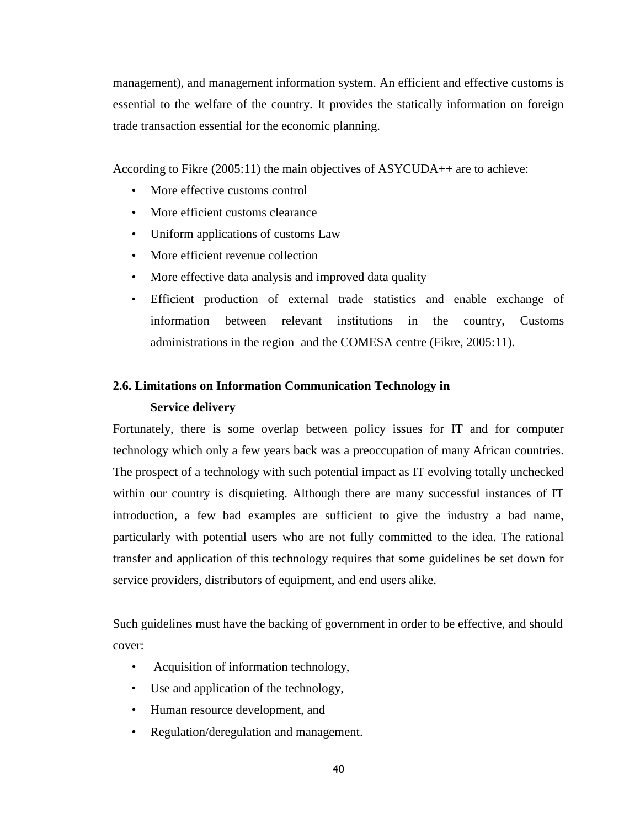management), and management information system. An efficient and effective customs is essential to the welfare of the country. It provides the statically information on foreign trade transaction essential for the economic planning.

According to Fikre (2005:11) the main objectives of ASYCUDA++ are to achieve:

- More effective customs control
- More efficient customs clearance
- Uniform applications of customs Law
- More efficient revenue collection
- More effective data analysis and improved data quality
- Efficient production of external trade statistics and enable exchange of information between relevant institutions in the country, Customs administrations in the region and the COMESA centre (Fikre, 2005:11).

## **2.6. Limitations on Information Communication Technology in**

## **Service delivery**

Fortunately, there is some overlap between policy issues for IT and for computer technology which only a few years back was a preoccupation of many African countries. The prospect of a technology with such potential impact as IT evolving totally unchecked within our country is disquieting. Although there are many successful instances of IT introduction, a few bad examples are sufficient to give the industry a bad name, particularly with potential users who are not fully committed to the idea. The rational transfer and application of this technology requires that some guidelines be set down for service providers, distributors of equipment, and end users alike.

Such guidelines must have the backing of government in order to be effective, and should cover:

- Acquisition of information technology,
- Use and application of the technology,
- Human resource development, and
- Regulation/deregulation and management.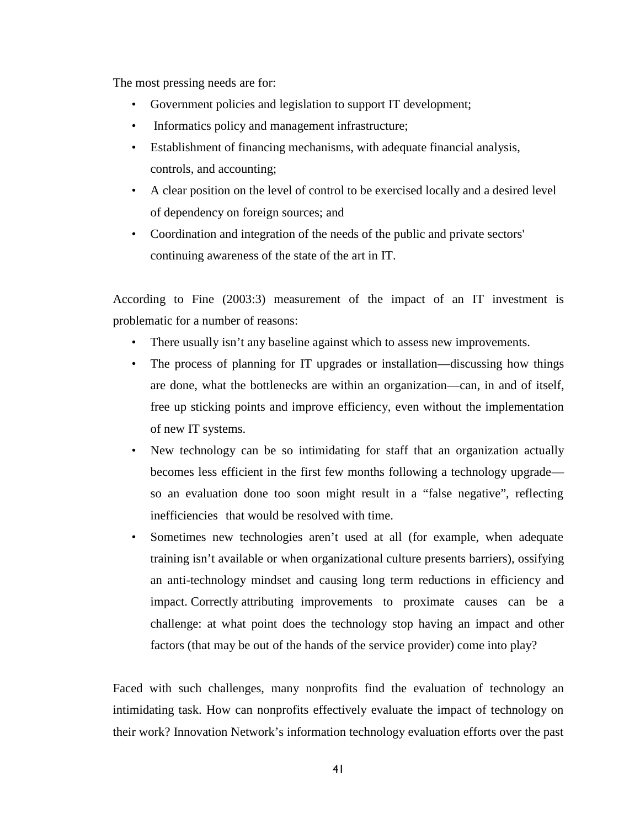The most pressing needs are for:

- Government policies and legislation to support IT development;
- Informatics policy and management infrastructure;
- Establishment of financing mechanisms, with adequate financial analysis, controls, and accounting;
- A clear position on the level of control to be exercised locally and a desired level of dependency on foreign sources; and
- Coordination and integration of the needs of the public and private sectors' continuing awareness of the state of the art in IT.

According to Fine (2003:3) measurement of the impact of an IT investment is problematic for a number of reasons:

- There usually isn't any baseline against which to assess new improvements.
- The process of planning for IT upgrades or installation—discussing how things are done, what the bottlenecks are within an organization—can, in and of itself, free up sticking points and improve efficiency, even without the implementation of new IT systems.
- New technology can be so intimidating for staff that an organization actually becomes less efficient in the first few months following a technology upgrade so an evaluation done too soon might result in a "false negative", reflecting inefficiencies that would be resolved with time.
- Sometimes new technologies aren't used at all (for example, when adequate training isn't available or when organizational culture presents barriers), ossifying an anti-technology mindset and causing long term reductions in efficiency and impact. Correctly attributing improvements to proximate causes can be a challenge: at what point does the technology stop having an impact and other factors (that may be out of the hands of the service provider) come into play?

Faced with such challenges, many nonprofits find the evaluation of technology an intimidating task. How can nonprofits effectively evaluate the impact of technology on their work? Innovation Network's information technology evaluation efforts over the past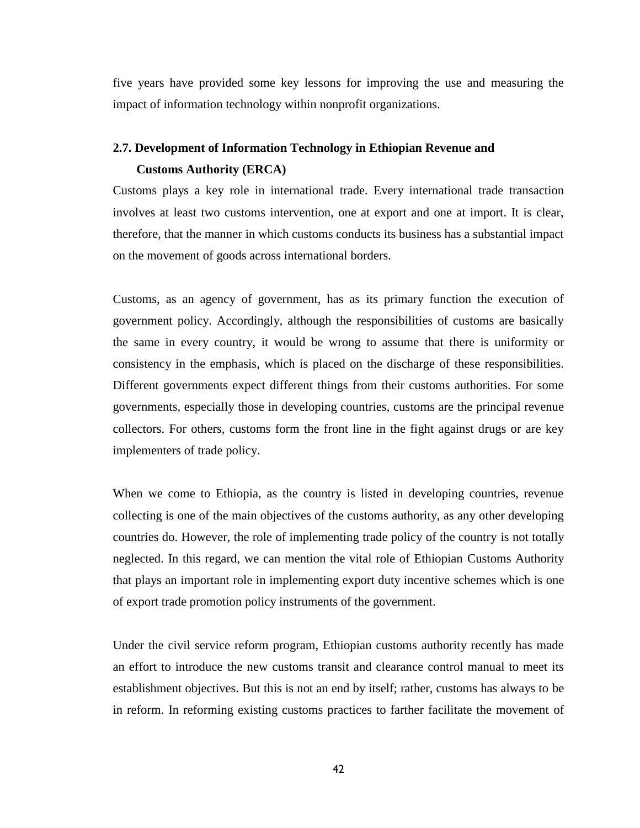five years have provided some key lessons for improving the use and measuring the impact of information technology within nonprofit organizations.

## **2.7. Development of Information Technology in Ethiopian Revenue and Customs Authority (ERCA)**

Customs plays a key role in international trade. Every international trade transaction involves at least two customs intervention, one at export and one at import. It is clear, therefore, that the manner in which customs conducts its business has a substantial impact on the movement of goods across international borders.

Customs, as an agency of government, has as its primary function the execution of government policy. Accordingly, although the responsibilities of customs are basically the same in every country, it would be wrong to assume that there is uniformity or consistency in the emphasis, which is placed on the discharge of these responsibilities. Different governments expect different things from their customs authorities. For some governments, especially those in developing countries, customs are the principal revenue collectors. For others, customs form the front line in the fight against drugs or are key implementers of trade policy.

When we come to Ethiopia, as the country is listed in developing countries, revenue collecting is one of the main objectives of the customs authority, as any other developing countries do. However, the role of implementing trade policy of the country is not totally neglected. In this regard, we can mention the vital role of Ethiopian Customs Authority that plays an important role in implementing export duty incentive schemes which is one of export trade promotion policy instruments of the government.

Under the civil service reform program, Ethiopian customs authority recently has made an effort to introduce the new customs transit and clearance control manual to meet its establishment objectives. But this is not an end by itself; rather, customs has always to be in reform. In reforming existing customs practices to farther facilitate the movement of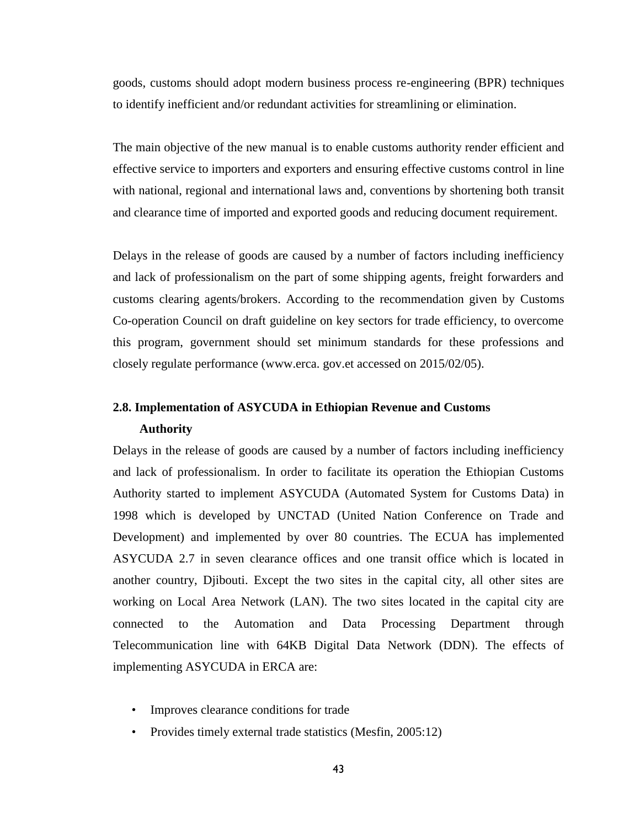goods, customs should adopt modern business process re-engineering (BPR) techniques to identify inefficient and/or redundant activities for streamlining or elimination.

The main objective of the new manual is to enable customs authority render efficient and effective service to importers and exporters and ensuring effective customs control in line with national, regional and international laws and, conventions by shortening both transit and clearance time of imported and exported goods and reducing document requirement.

Delays in the release of goods are caused by a number of factors including inefficiency and lack of professionalism on the part of some shipping agents, freight forwarders and customs clearing agents/brokers. According to the recommendation given by Customs Co-operation Council on draft guideline on key sectors for trade efficiency, to overcome this program, government should set minimum standards for these professions and closely regulate performance (www.erca. gov.et accessed on 2015/02/05).

# **2.8. Implementation of ASYCUDA in Ethiopian Revenue and Customs**

#### **Authority**

Delays in the release of goods are caused by a number of factors including inefficiency and lack of professionalism. In order to facilitate its operation the Ethiopian Customs Authority started to implement ASYCUDA (Automated System for Customs Data) in 1998 which is developed by UNCTAD (United Nation Conference on Trade and Development) and implemented by over 80 countries. The ECUA has implemented ASYCUDA 2.7 in seven clearance offices and one transit office which is located in another country, Djibouti. Except the two sites in the capital city, all other sites are working on Local Area Network (LAN). The two sites located in the capital city are connected to the Automation and Data Processing Department through Telecommunication line with 64KB Digital Data Network (DDN). The effects of implementing ASYCUDA in ERCA are:

- Improves clearance conditions for trade
- Provides timely external trade statistics (Mesfin, 2005:12)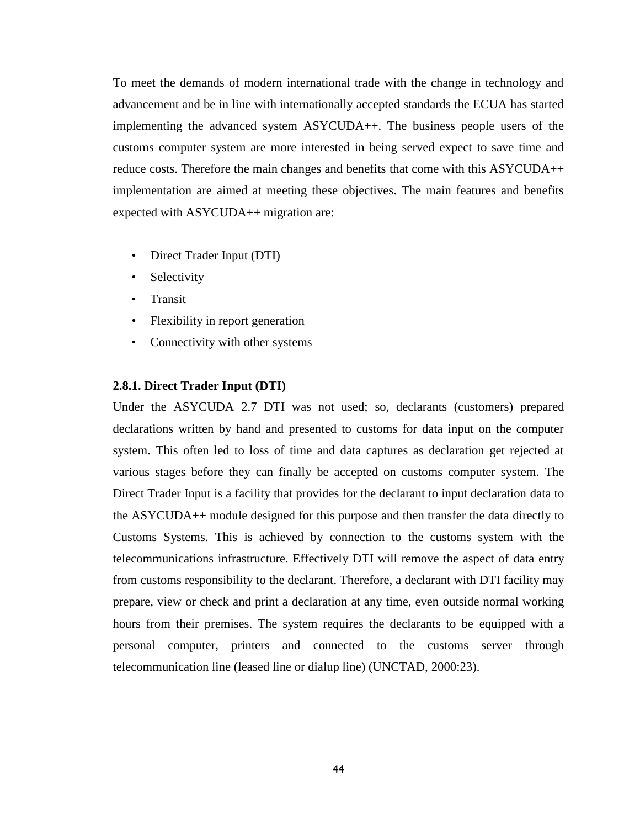To meet the demands of modern international trade with the change in technology and advancement and be in line with internationally accepted standards the ECUA has started implementing the advanced system ASYCUDA++. The business people users of the customs computer system are more interested in being served expect to save time and reduce costs. Therefore the main changes and benefits that come with this ASYCUDA++ implementation are aimed at meeting these objectives. The main features and benefits expected with ASYCUDA++ migration are:

- Direct Trader Input (DTI)
- Selectivity
- Transit
- Flexibility in report generation
- Connectivity with other systems

## **2.8.1. Direct Trader Input (DTI)**

Under the ASYCUDA 2.7 DTI was not used; so, declarants (customers) prepared declarations written by hand and presented to customs for data input on the computer system. This often led to loss of time and data captures as declaration get rejected at various stages before they can finally be accepted on customs computer system. The Direct Trader Input is a facility that provides for the declarant to input declaration data to the ASYCUDA++ module designed for this purpose and then transfer the data directly to Customs Systems. This is achieved by connection to the customs system with the telecommunications infrastructure. Effectively DTI will remove the aspect of data entry from customs responsibility to the declarant. Therefore, a declarant with DTI facility may prepare, view or check and print a declaration at any time, even outside normal working hours from their premises. The system requires the declarants to be equipped with a personal computer, printers and connected to the customs server through telecommunication line (leased line or dialup line) (UNCTAD, 2000:23).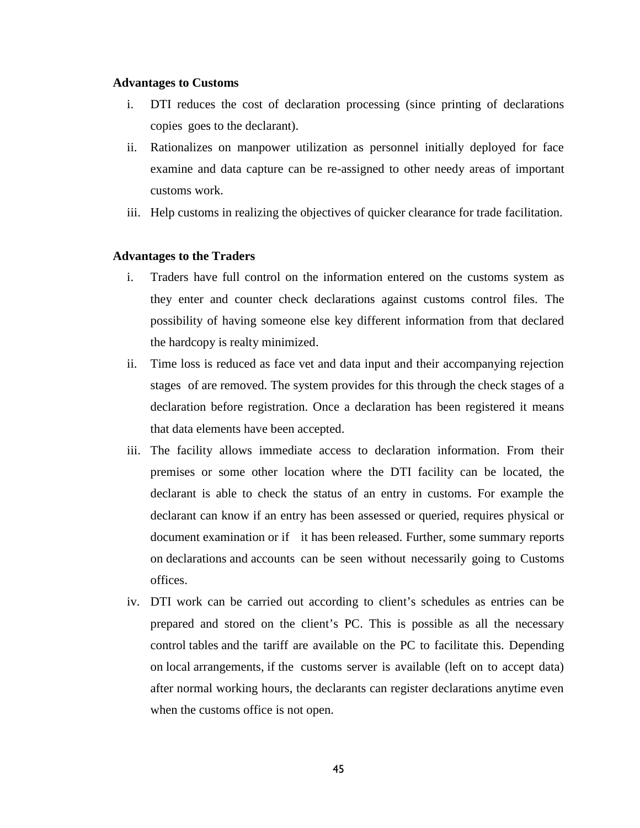#### **Advantages to Customs**

- i. DTI reduces the cost of declaration processing (since printing of declarations copies goes to the declarant).
- ii. Rationalizes on manpower utilization as personnel initially deployed for face examine and data capture can be re-assigned to other needy areas of important customs work.
- iii. Help customs in realizing the objectives of quicker clearance for trade facilitation.

#### **Advantages to the Traders**

- i. Traders have full control on the information entered on the customs system as they enter and counter check declarations against customs control files. The possibility of having someone else key different information from that declared the hardcopy is realty minimized.
- ii. Time loss is reduced as face vet and data input and their accompanying rejection stages of are removed. The system provides for this through the check stages of a declaration before registration. Once a declaration has been registered it means that data elements have been accepted.
- iii. The facility allows immediate access to declaration information. From their premises or some other location where the DTI facility can be located, the declarant is able to check the status of an entry in customs. For example the declarant can know if an entry has been assessed or queried, requires physical or document examination or if it has been released. Further, some summary reports on declarations and accounts can be seen without necessarily going to Customs offices.
- iv. DTI work can be carried out according to client's schedules as entries can be prepared and stored on the client's PC. This is possible as all the necessary control tables and the tariff are available on the PC to facilitate this. Depending on local arrangements, if the customs server is available (left on to accept data) after normal working hours, the declarants can register declarations anytime even when the customs office is not open.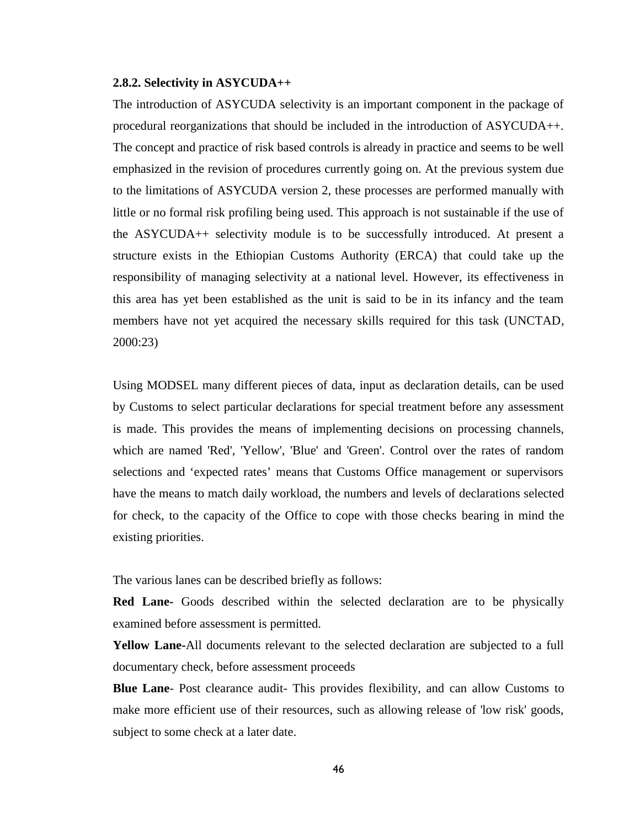#### **2.8.2. Selectivity in ASYCUDA++**

The introduction of ASYCUDA selectivity is an important component in the package of procedural reorganizations that should be included in the introduction of ASYCUDA++. The concept and practice of risk based controls is already in practice and seems to be well emphasized in the revision of procedures currently going on. At the previous system due to the limitations of ASYCUDA version 2, these processes are performed manually with little or no formal risk profiling being used. This approach is not sustainable if the use of the ASYCUDA++ selectivity module is to be successfully introduced. At present a structure exists in the Ethiopian Customs Authority (ERCA) that could take up the responsibility of managing selectivity at a national level. However, its effectiveness in this area has yet been established as the unit is said to be in its infancy and the team members have not yet acquired the necessary skills required for this task (UNCTAD, 2000:23)

Using MODSEL many different pieces of data, input as declaration details, can be used by Customs to select particular declarations for special treatment before any assessment is made. This provides the means of implementing decisions on processing channels, which are named 'Red', 'Yellow', 'Blue' and 'Green'. Control over the rates of random selections and 'expected rates' means that Customs Office management or supervisors have the means to match daily workload, the numbers and levels of declarations selected for check, to the capacity of the Office to cope with those checks bearing in mind the existing priorities.

The various lanes can be described briefly as follows:

**Red Lane-** Goods described within the selected declaration are to be physically examined before assessment is permitted.

**Yellow Lane-**All documents relevant to the selected declaration are subjected to a full documentary check, before assessment proceeds

**Blue Lane**- Post clearance audit- This provides flexibility, and can allow Customs to make more efficient use of their resources, such as allowing release of 'low risk' goods, subject to some check at a later date.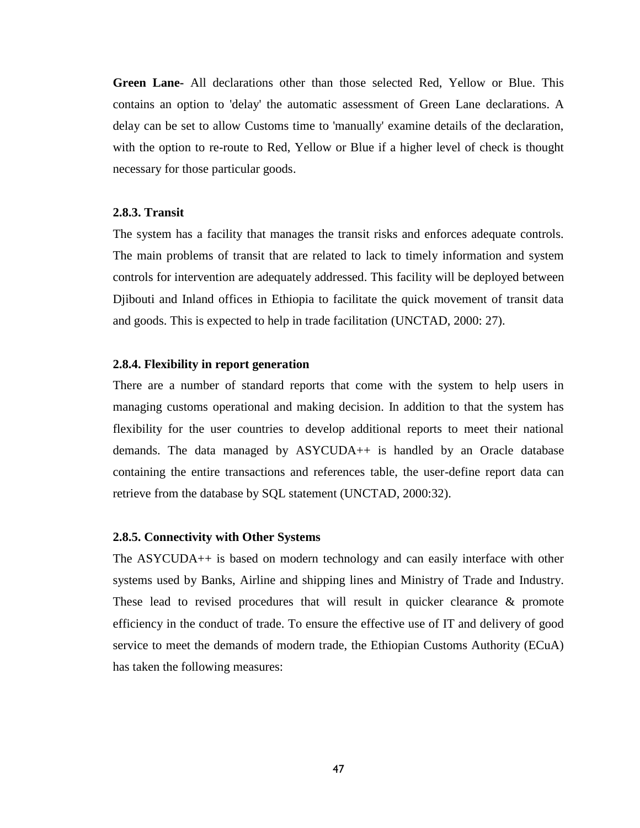**Green Lane-** All declarations other than those selected Red, Yellow or Blue. This contains an option to 'delay' the automatic assessment of Green Lane declarations. A delay can be set to allow Customs time to 'manually' examine details of the declaration, with the option to re-route to Red, Yellow or Blue if a higher level of check is thought necessary for those particular goods.

#### **2.8.3. Transit**

The system has a facility that manages the transit risks and enforces adequate controls. The main problems of transit that are related to lack to timely information and system controls for intervention are adequately addressed. This facility will be deployed between Djibouti and Inland offices in Ethiopia to facilitate the quick movement of transit data and goods. This is expected to help in trade facilitation (UNCTAD, 2000: 27).

#### **2.8.4. Flexibility in report generation**

There are a number of standard reports that come with the system to help users in managing customs operational and making decision. In addition to that the system has flexibility for the user countries to develop additional reports to meet their national demands. The data managed by ASYCUDA++ is handled by an Oracle database containing the entire transactions and references table, the user-define report data can retrieve from the database by SQL statement (UNCTAD, 2000:32).

#### **2.8.5. Connectivity with Other Systems**

The ASYCUDA++ is based on modern technology and can easily interface with other systems used by Banks, Airline and shipping lines and Ministry of Trade and Industry. These lead to revised procedures that will result in quicker clearance & promote efficiency in the conduct of trade. To ensure the effective use of IT and delivery of good service to meet the demands of modern trade, the Ethiopian Customs Authority (ECuA) has taken the following measures: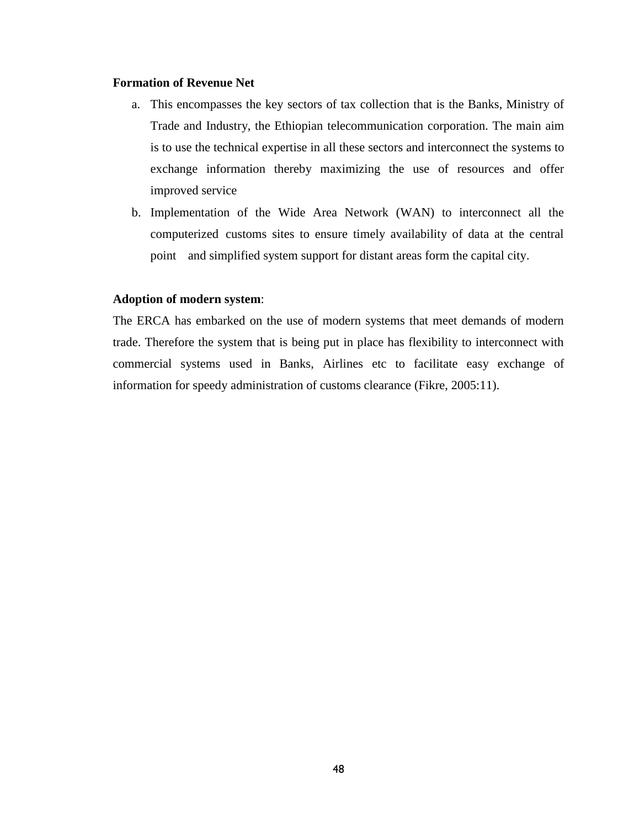#### **Formation of Revenue Net**

- a. This encompasses the key sectors of tax collection that is the Banks, Ministry of Trade and Industry, the Ethiopian telecommunication corporation. The main aim is to use the technical expertise in all these sectors and interconnect the systems to exchange information thereby maximizing the use of resources and offer improved service
- b. Implementation of the Wide Area Network (WAN) to interconnect all the computerized customs sites to ensure timely availability of data at the central point and simplified system support for distant areas form the capital city.

## **Adoption of modern system**:

The ERCA has embarked on the use of modern systems that meet demands of modern trade. Therefore the system that is being put in place has flexibility to interconnect with commercial systems used in Banks, Airlines etc to facilitate easy exchange of information for speedy administration of customs clearance (Fikre, 2005:11).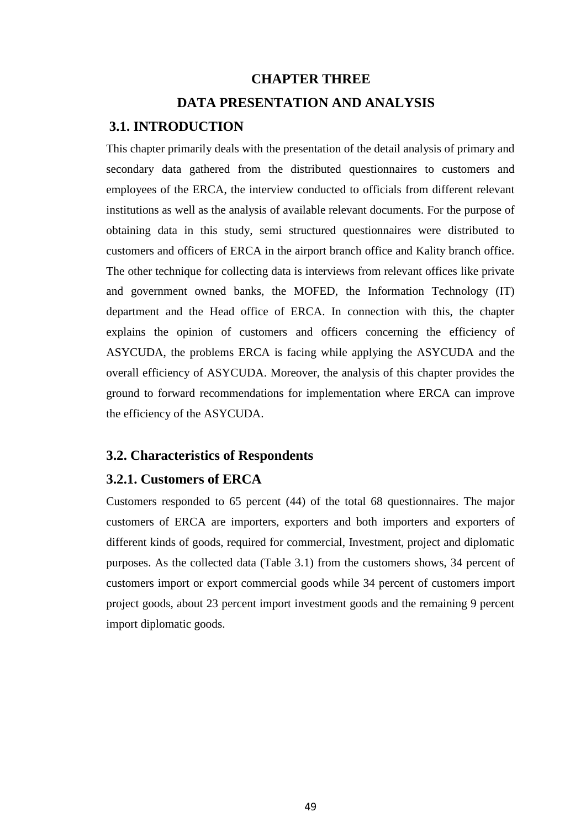# **CHAPTER THREE DATA PRESENTATION AND ANALYSIS**

## **3.1. INTRODUCTION**

This chapter primarily deals with the presentation of the detail analysis of primary and secondary data gathered from the distributed questionnaires to customers and employees of the ERCA, the interview conducted to officials from different relevant institutions as well as the analysis of available relevant documents. For the purpose of obtaining data in this study, semi structured questionnaires were distributed to customers and officers of ERCA in the airport branch office and Kality branch office. The other technique for collecting data is interviews from relevant offices like private and government owned banks, the MOFED, the Information Technology (IT) department and the Head office of ERCA. In connection with this, the chapter explains the opinion of customers and officers concerning the efficiency of ASYCUDA, the problems ERCA is facing while applying the ASYCUDA and the overall efficiency of ASYCUDA. Moreover, the analysis of this chapter provides the ground to forward recommendations for implementation where ERCA can improve the efficiency of the ASYCUDA.

## **3.2. Characteristics of Respondents**

## **3.2.1. Customers of ERCA**

Customers responded to 65 percent (44) of the total 68 questionnaires. The major customers of ERCA are importers, exporters and both importers and exporters of different kinds of goods, required for commercial, Investment, project and diplomatic purposes. As the collected data (Table 3.1) from the customers shows, 34 percent of customers import or export commercial goods while 34 percent of customers import project goods, about 23 percent import investment goods and the remaining 9 percent import diplomatic goods.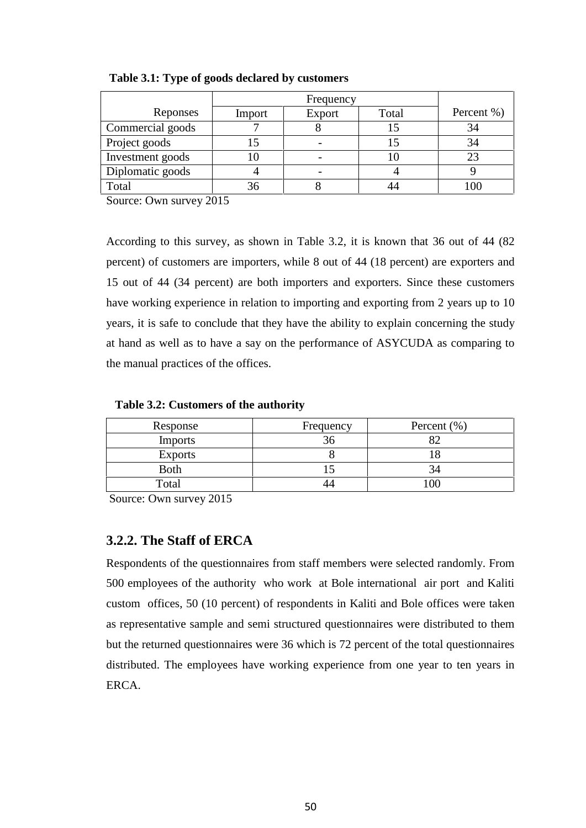|                  | Frequency |        |       |            |
|------------------|-----------|--------|-------|------------|
| Reponses         | Import    | Export | Total | Percent %) |
| Commercial goods |           |        |       | 34         |
| Project goods    |           |        |       | 34         |
| Investment goods | ГU        |        |       |            |
| Diplomatic goods |           |        |       |            |
| Total            | 36        |        |       |            |

**Table 3.1: Type of goods declared by customers**

Source: Own survey 2015

According to this survey, as shown in Table 3.2, it is known that 36 out of 44 (82 percent) of customers are importers, while 8 out of 44 (18 percent) are exporters and 15 out of 44 (34 percent) are both importers and exporters. Since these customers have working experience in relation to importing and exporting from 2 years up to 10 years, it is safe to conclude that they have the ability to explain concerning the study at hand as well as to have a say on the performance of ASYCUDA as comparing to the manual practices of the offices.

**Table 3.2: Customers of the authority**

| Response       | Frequency | Percent $(\% )$ |
|----------------|-----------|-----------------|
| <b>Imports</b> |           |                 |
| <b>Exports</b> |           |                 |
| <b>Both</b>    |           |                 |
| Total          |           |                 |

Source: Own survey 2015

## **3.2.2. The Staff of ERCA**

Respondents of the questionnaires from staff members were selected randomly. From 500 employees of the authority who work at Bole international air port and Kaliti custom offices, 50 (10 percent) of respondents in Kaliti and Bole offices were taken as representative sample and semi structured questionnaires were distributed to them but the returned questionnaires were 36 which is 72 percent of the total questionnaires distributed. The employees have working experience from one year to ten years in **ERCA**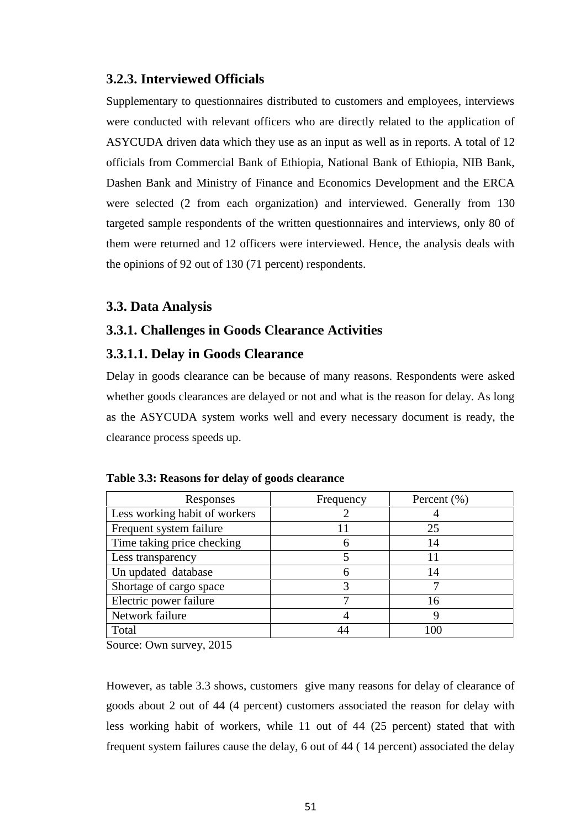## **3.2.3. Interviewed Officials**

Supplementary to questionnaires distributed to customers and employees, interviews were conducted with relevant officers who are directly related to the application of ASYCUDA driven data which they use as an input as well as in reports. A total of 12 officials from Commercial Bank of Ethiopia, National Bank of Ethiopia, NIB Bank, Dashen Bank and Ministry of Finance and Economics Development and the ERCA were selected (2 from each organization) and interviewed. Generally from 130 targeted sample respondents of the written questionnaires and interviews, only 80 of them were returned and 12 officers were interviewed. Hence, the analysis deals with the opinions of 92 out of 130 (71 percent) respondents.

## **3.3. Data Analysis**

## **3.3.1. Challenges in Goods Clearance Activities**

## **3.3.1.1. Delay in Goods Clearance**

Delay in goods clearance can be because of many reasons. Respondents were asked whether goods clearances are delayed or not and what is the reason for delay. As long as the ASYCUDA system works well and every necessary document is ready, the clearance process speeds up.

| Responses                     | Frequency | Percent $(\% )$ |
|-------------------------------|-----------|-----------------|
| Less working habit of workers |           |                 |
| Frequent system failure       |           | 25              |
| Time taking price checking    | 6         | 14              |
| Less transparency             |           |                 |
| Un updated database           | 6         | 14              |
| Shortage of cargo space       |           |                 |
| Electric power failure        |           | 16              |
| Network failure               |           |                 |
| Total                         |           | 100             |

Source: Own survey, 2015

However, as table 3.3 shows, customers give many reasons for delay of clearance of goods about 2 out of 44 (4 percent) customers associated the reason for delay with less working habit of workers, while 11 out of 44 (25 percent) stated that with frequent system failures cause the delay, 6 out of 44 ( 14 percent) associated the delay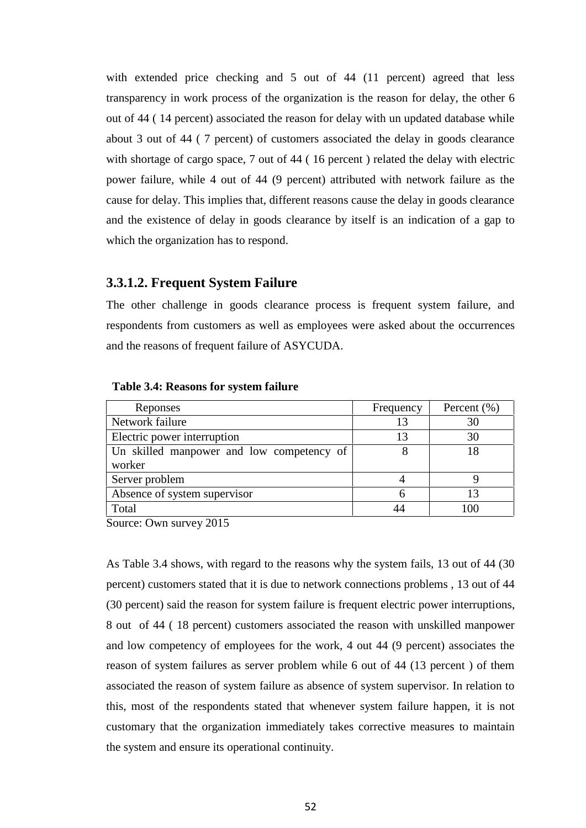with extended price checking and 5 out of 44 (11 percent) agreed that less transparency in work process of the organization is the reason for delay, the other 6 out of 44 ( 14 percent) associated the reason for delay with un updated database while about 3 out of 44 ( 7 percent) of customers associated the delay in goods clearance with shortage of cargo space, 7 out of 44 (16 percent) related the delay with electric power failure, while 4 out of 44 (9 percent) attributed with network failure as the cause for delay. This implies that, different reasons cause the delay in goods clearance and the existence of delay in goods clearance by itself is an indication of a gap to which the organization has to respond.

## **3.3.1.2. Frequent System Failure**

The other challenge in goods clearance process is frequent system failure, and respondents from customers as well as employees were asked about the occurrences and the reasons of frequent failure of ASYCUDA.

| Reponses                                  | Frequency | Percent $(\% )$ |
|-------------------------------------------|-----------|-----------------|
| Network failure                           |           | 30              |
| Electric power interruption               | 13        | 30              |
| Un skilled manpower and low competency of |           |                 |
| worker                                    |           |                 |
| Server problem                            |           |                 |
| Absence of system supervisor              | h         |                 |
| Total                                     |           |                 |

**Table 3.4: Reasons for system failure**

Source: Own survey 2015

As Table 3.4 shows, with regard to the reasons why the system fails, 13 out of 44 (30 percent) customers stated that it is due to network connections problems , 13 out of 44 (30 percent) said the reason for system failure is frequent electric power interruptions, 8 out of 44 ( 18 percent) customers associated the reason with unskilled manpower and low competency of employees for the work, 4 out 44 (9 percent) associates the reason of system failures as server problem while 6 out of 44 (13 percent ) of them associated the reason of system failure as absence of system supervisor. In relation to this, most of the respondents stated that whenever system failure happen, it is not customary that the organization immediately takes corrective measures to maintain the system and ensure its operational continuity.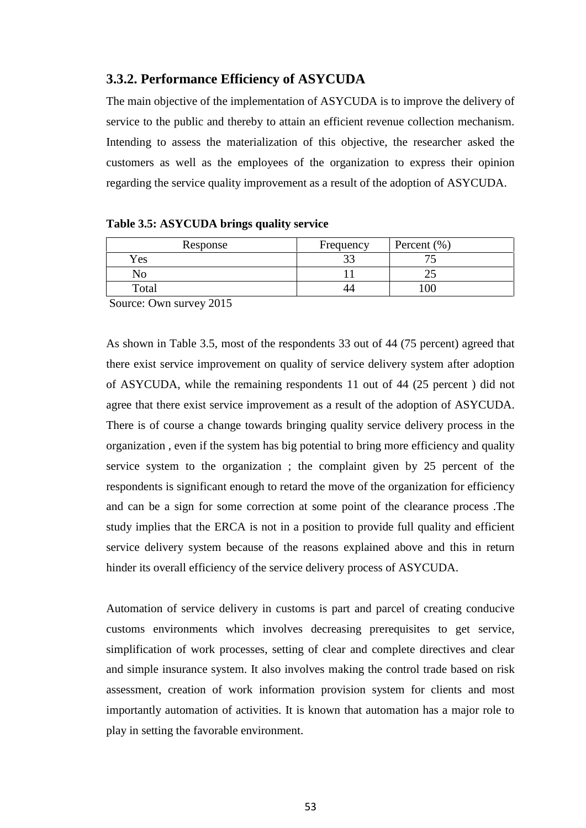## **3.3.2. Performance Efficiency of ASYCUDA**

The main objective of the implementation of ASYCUDA is to improve the delivery of service to the public and thereby to attain an efficient revenue collection mechanism. Intending to assess the materialization of this objective, the researcher asked the customers as well as the employees of the organization to express their opinion regarding the service quality improvement as a result of the adoption of ASYCUDA.

| Response   | Frequency | Percent $(\% )$ |
|------------|-----------|-----------------|
| <b>Yes</b> | ີ         |                 |
| No         |           |                 |
| Total      | 44        |                 |

Source: Own survey 2015

As shown in Table 3.5, most of the respondents 33 out of 44 (75 percent) agreed that there exist service improvement on quality of service delivery system after adoption of ASYCUDA, while the remaining respondents 11 out of 44 (25 percent ) did not agree that there exist service improvement as a result of the adoption of ASYCUDA. There is of course a change towards bringing quality service delivery process in the organization , even if the system has big potential to bring more efficiency and quality service system to the organization ; the complaint given by 25 percent of the respondents is significant enough to retard the move of the organization for efficiency and can be a sign for some correction at some point of the clearance process .The study implies that the ERCA is not in a position to provide full quality and efficient service delivery system because of the reasons explained above and this in return hinder its overall efficiency of the service delivery process of ASYCUDA.

Automation of service delivery in customs is part and parcel of creating conducive customs environments which involves decreasing prerequisites to get service, simplification of work processes, setting of clear and complete directives and clear and simple insurance system. It also involves making the control trade based on risk assessment, creation of work information provision system for clients and most importantly automation of activities. It is known that automation has a major role to play in setting the favorable environment.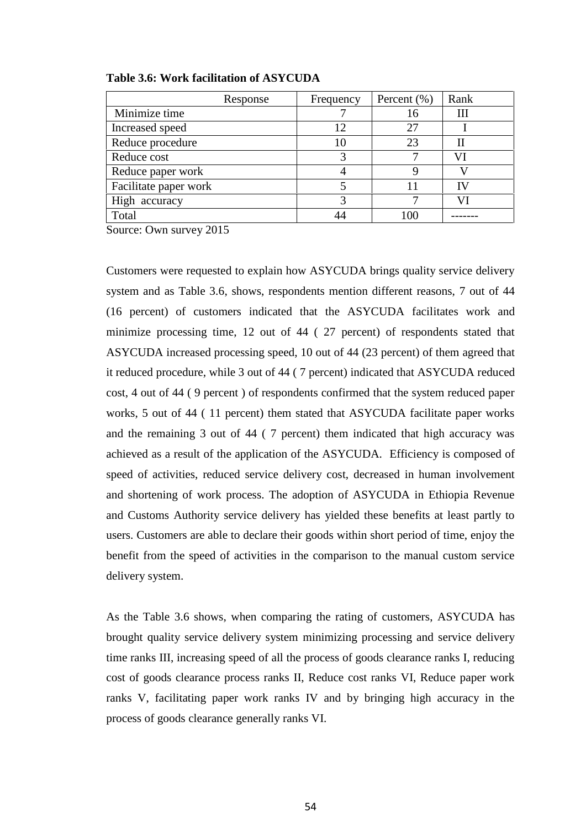| Response              | Frequency      | Percent $(\% )$ | Rank |
|-----------------------|----------------|-----------------|------|
| Minimize time         |                | 16              | Ш    |
| Increased speed       | $\overline{2}$ | 27              |      |
| Reduce procedure      |                | 23              | Н    |
| Reduce cost           |                |                 | VI   |
| Reduce paper work     |                |                 |      |
| Facilitate paper work |                |                 | ТV   |
| High accuracy         |                |                 |      |
| Total                 |                | በበ              |      |

**Table 3.6: Work facilitation of ASYCUDA**

Source: Own survey 2015

Customers were requested to explain how ASYCUDA brings quality service delivery system and as Table 3.6, shows, respondents mention different reasons, 7 out of 44 (16 percent) of customers indicated that the ASYCUDA facilitates work and minimize processing time, 12 out of 44 ( 27 percent) of respondents stated that ASYCUDA increased processing speed, 10 out of 44 (23 percent) of them agreed that it reduced procedure, while 3 out of 44 ( 7 percent) indicated that ASYCUDA reduced cost, 4 out of 44 ( 9 percent ) of respondents confirmed that the system reduced paper works, 5 out of 44 ( 11 percent) them stated that ASYCUDA facilitate paper works and the remaining 3 out of 44 ( 7 percent) them indicated that high accuracy was achieved as a result of the application of the ASYCUDA. Efficiency is composed of speed of activities, reduced service delivery cost, decreased in human involvement and shortening of work process. The adoption of ASYCUDA in Ethiopia Revenue and Customs Authority service delivery has yielded these benefits at least partly to users. Customers are able to declare their goods within short period of time, enjoy the benefit from the speed of activities in the comparison to the manual custom service delivery system.

As the Table 3.6 shows, when comparing the rating of customers, ASYCUDA has brought quality service delivery system minimizing processing and service delivery time ranks III, increasing speed of all the process of goods clearance ranks I, reducing cost of goods clearance process ranks II, Reduce cost ranks VI, Reduce paper work ranks V, facilitating paper work ranks IV and by bringing high accuracy in the process of goods clearance generally ranks VI.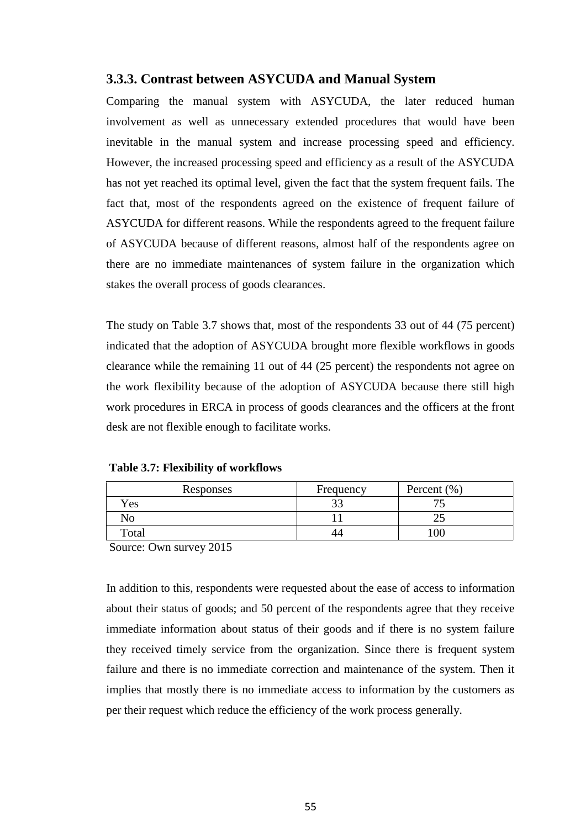## **3.3.3. Contrast between ASYCUDA and Manual System**

Comparing the manual system with ASYCUDA, the later reduced human involvement as well as unnecessary extended procedures that would have been inevitable in the manual system and increase processing speed and efficiency. However, the increased processing speed and efficiency as a result of the ASYCUDA has not yet reached its optimal level, given the fact that the system frequent fails. The fact that, most of the respondents agreed on the existence of frequent failure of ASYCUDA for different reasons. While the respondents agreed to the frequent failure of ASYCUDA because of different reasons, almost half of the respondents agree on there are no immediate maintenances of system failure in the organization which stakes the overall process of goods clearances.

The study on Table 3.7 shows that, most of the respondents 33 out of 44 (75 percent) indicated that the adoption of ASYCUDA brought more flexible workflows in goods clearance while the remaining 11 out of 44 (25 percent) the respondents not agree on the work flexibility because of the adoption of ASYCUDA because there still high work procedures in ERCA in process of goods clearances and the officers at the front desk are not flexible enough to facilitate works.

|  |  | <b>Table 3.7: Flexibility of workflows</b> |  |
|--|--|--------------------------------------------|--|
|--|--|--------------------------------------------|--|

| Responses | Frequency | Percent $(\% )$ |
|-----------|-----------|-----------------|
| Yes       | ົ<br>ر ر  | . .             |
| No        |           | ت               |
| Total     | 44        | 100             |

Source: Own survey 2015

In addition to this, respondents were requested about the ease of access to information about their status of goods; and 50 percent of the respondents agree that they receive immediate information about status of their goods and if there is no system failure they received timely service from the organization. Since there is frequent system failure and there is no immediate correction and maintenance of the system. Then it implies that mostly there is no immediate access to information by the customers as per their request which reduce the efficiency of the work process generally.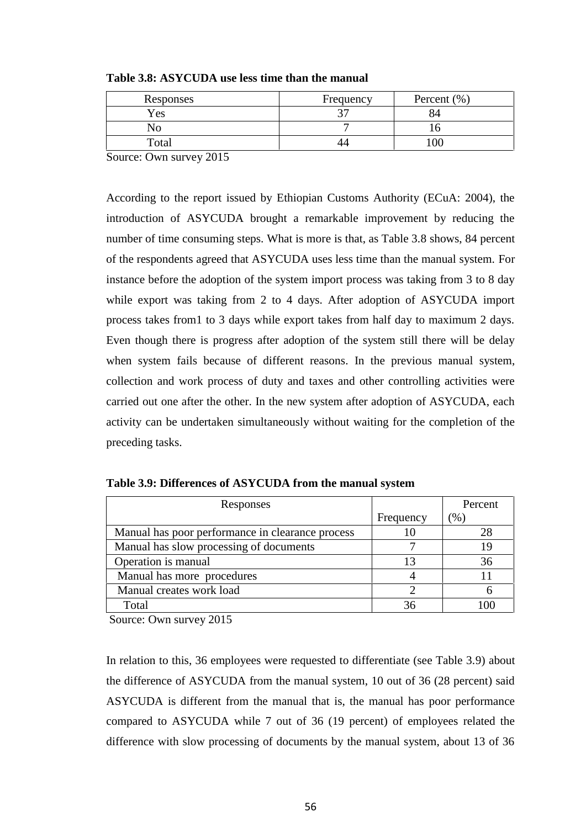| Responses | Frequency | Percent $(\% )$ |
|-----------|-----------|-----------------|
| Yes       |           |                 |
|           |           |                 |
| Total     |           |                 |

**Table 3.8: ASYCUDA use less time than the manual**

Source: Own survey 2015

According to the report issued by Ethiopian Customs Authority (ECuA: 2004), the introduction of ASYCUDA brought a remarkable improvement by reducing the number of time consuming steps. What is more is that, as Table 3.8 shows, 84 percent of the respondents agreed that ASYCUDA uses less time than the manual system. For instance before the adoption of the system import process was taking from 3 to 8 day while export was taking from 2 to 4 days. After adoption of ASYCUDA import process takes from1 to 3 days while export takes from half day to maximum 2 days. Even though there is progress after adoption of the system still there will be delay when system fails because of different reasons. In the previous manual system, collection and work process of duty and taxes and other controlling activities were carried out one after the other. In the new system after adoption of ASYCUDA, each activity can be undertaken simultaneously without waiting for the completion of the preceding tasks.

|           | Percent |
|-----------|---------|
| Frequency | $(\% )$ |
|           | 28      |
|           | 19      |
|           | 36      |
|           |         |
|           |         |
| 36        | 100     |
|           |         |

**Table 3.9: Differences of ASYCUDA from the manual system**

Source: Own survey 2015

In relation to this, 36 employees were requested to differentiate (see Table 3.9) about the difference of ASYCUDA from the manual system, 10 out of 36 (28 percent) said ASYCUDA is different from the manual that is, the manual has poor performance compared to ASYCUDA while 7 out of 36 (19 percent) of employees related the difference with slow processing of documents by the manual system, about 13 of 36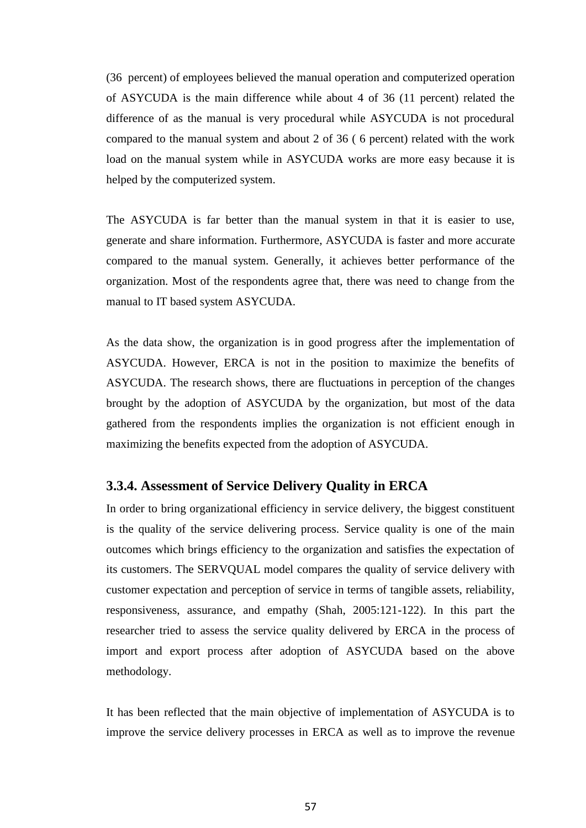(36 percent) of employees believed the manual operation and computerized operation of ASYCUDA is the main difference while about 4 of 36 (11 percent) related the difference of as the manual is very procedural while ASYCUDA is not procedural compared to the manual system and about 2 of 36 ( 6 percent) related with the work load on the manual system while in ASYCUDA works are more easy because it is helped by the computerized system.

The ASYCUDA is far better than the manual system in that it is easier to use, generate and share information. Furthermore, ASYCUDA is faster and more accurate compared to the manual system. Generally, it achieves better performance of the organization. Most of the respondents agree that, there was need to change from the manual to IT based system ASYCUDA.

As the data show, the organization is in good progress after the implementation of ASYCUDA. However, ERCA is not in the position to maximize the benefits of ASYCUDA. The research shows, there are fluctuations in perception of the changes brought by the adoption of ASYCUDA by the organization, but most of the data gathered from the respondents implies the organization is not efficient enough in maximizing the benefits expected from the adoption of ASYCUDA.

## **3.3.4. Assessment of Service Delivery Quality in ERCA**

In order to bring organizational efficiency in service delivery, the biggest constituent is the quality of the service delivering process. Service quality is one of the main outcomes which brings efficiency to the organization and satisfies the expectation of its customers. The SERVQUAL model compares the quality of service delivery with customer expectation and perception of service in terms of tangible assets, reliability, responsiveness, assurance, and empathy (Shah, 2005:121-122). In this part the researcher tried to assess the service quality delivered by ERCA in the process of import and export process after adoption of ASYCUDA based on the above methodology.

It has been reflected that the main objective of implementation of ASYCUDA is to improve the service delivery processes in ERCA as well as to improve the revenue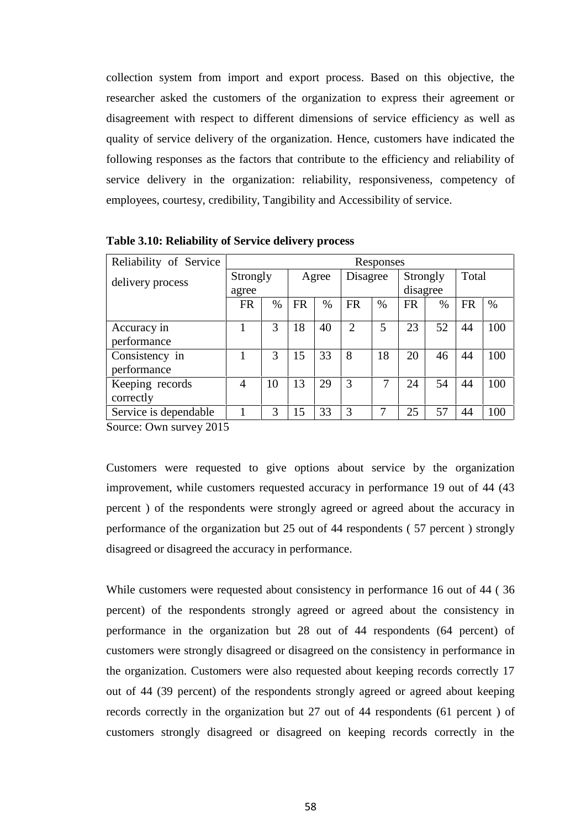collection system from import and export process. Based on this objective, the researcher asked the customers of the organization to express their agreement or disagreement with respect to different dimensions of service efficiency as well as quality of service delivery of the organization. Hence, customers have indicated the following responses as the factors that contribute to the efficiency and reliability of service delivery in the organization: reliability, responsiveness, competency of employees, courtesy, credibility, Tangibility and Accessibility of service.

| Reliability of Service        |           | Responses |           |       |           |          |           |          |           |       |  |
|-------------------------------|-----------|-----------|-----------|-------|-----------|----------|-----------|----------|-----------|-------|--|
| delivery process              |           | Strongly  |           | Agree |           | Disagree |           | Strongly |           | Total |  |
|                               | agree     |           |           |       |           |          |           | disagree |           |       |  |
|                               | <b>FR</b> | $\%$      | <b>FR</b> | $\%$  | <b>FR</b> | $\%$     | <b>FR</b> | %        | <b>FR</b> | $\%$  |  |
| Accuracy in<br>performance    |           | 3         | 18        | 40    | 2         | 5        | 23        | 52       | 44        | 100   |  |
| Consistency in<br>performance |           | 3         | 15        | 33    | 8         | 18       | 20        | 46       | 44        | 100   |  |
| Keeping records<br>correctly  | 4         | 10        | 13        | 29    | 3         | 7        | 24        | 54       | 44        | 100   |  |
| Service is dependable         |           | 3         | 15        | 33    | 3         | 7        | 25        | 57       | 44        | 100   |  |

**Table 3.10: Reliability of Service delivery process**

Source: Own survey 2015

Customers were requested to give options about service by the organization improvement, while customers requested accuracy in performance 19 out of 44 (43 percent ) of the respondents were strongly agreed or agreed about the accuracy in performance of the organization but 25 out of 44 respondents ( 57 percent ) strongly disagreed or disagreed the accuracy in performance.

While customers were requested about consistency in performance 16 out of 44 ( 36 percent) of the respondents strongly agreed or agreed about the consistency in performance in the organization but 28 out of 44 respondents (64 percent) of customers were strongly disagreed or disagreed on the consistency in performance in the organization. Customers were also requested about keeping records correctly 17 out of 44 (39 percent) of the respondents strongly agreed or agreed about keeping records correctly in the organization but 27 out of 44 respondents (61 percent ) of customers strongly disagreed or disagreed on keeping records correctly in the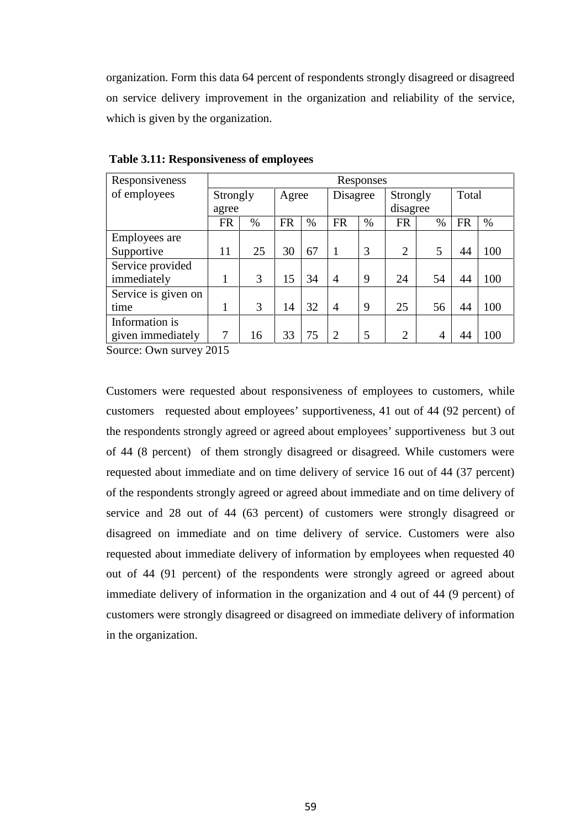organization. Form this data 64 percent of respondents strongly disagreed or disagreed on service delivery improvement in the organization and reliability of the service, which is given by the organization.

| Responsiveness      | Responses |      |           |      |                |      |                |                |           |      |
|---------------------|-----------|------|-----------|------|----------------|------|----------------|----------------|-----------|------|
| of employees        | Strongly  |      | Agree     |      | Disagree       |      | Strongly       |                | Total     |      |
|                     | agree     |      |           |      |                |      |                | disagree       |           |      |
|                     | <b>FR</b> | $\%$ | <b>FR</b> | $\%$ | <b>FR</b>      | $\%$ | <b>FR</b>      | $\%$           | <b>FR</b> | $\%$ |
| Employees are       |           |      |           |      |                |      |                |                |           |      |
| Supportive          | 11        | 25   | 30        | 67   | -1             | 3    | 2              | 5              | 44        | 100  |
| Service provided    |           |      |           |      |                |      |                |                |           |      |
| immediately         |           | 3    | 15        | 34   | $\overline{4}$ | 9    | 24             | 54             | 44        | 100  |
| Service is given on |           |      |           |      |                |      |                |                |           |      |
| time                |           | 3    | 14        | 32   | $\overline{4}$ | 9    | 25             | 56             | 44        | 100  |
| Information is      |           |      |           |      |                |      |                |                |           |      |
| given immediately   | 7         | 16   | 33        | 75   | $\overline{2}$ | 5    | $\overline{2}$ | $\overline{4}$ | 44        | 100  |

**Table 3.11: Responsiveness of employees**

Source: Own survey 2015

Customers were requested about responsiveness of employees to customers, while customers requested about employees' supportiveness, 41 out of 44 (92 percent) of the respondents strongly agreed or agreed about employees' supportiveness but 3 out of 44 (8 percent) of them strongly disagreed or disagreed. While customers were requested about immediate and on time delivery of service 16 out of 44 (37 percent) of the respondents strongly agreed or agreed about immediate and on time delivery of service and 28 out of 44 (63 percent) of customers were strongly disagreed or disagreed on immediate and on time delivery of service. Customers were also requested about immediate delivery of information by employees when requested 40 out of 44 (91 percent) of the respondents were strongly agreed or agreed about immediate delivery of information in the organization and 4 out of 44 (9 percent) of customers were strongly disagreed or disagreed on immediate delivery of information in the organization.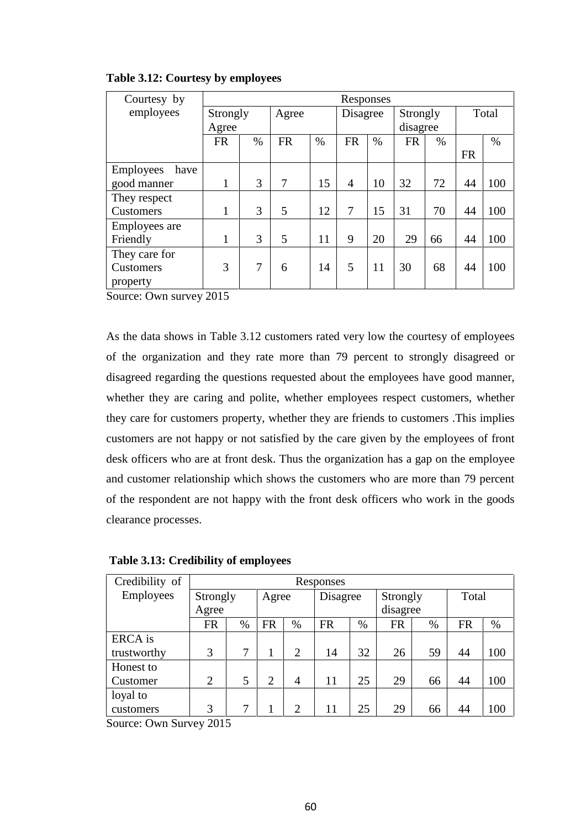| Courtesy by       | Responses    |                |                |      |                |      |           |      |           |      |
|-------------------|--------------|----------------|----------------|------|----------------|------|-----------|------|-----------|------|
| employees         | Strongly     |                | Agree          |      | Disagree       |      | Strongly  |      | Total     |      |
|                   | Agree        |                |                |      |                |      | disagree  |      |           |      |
|                   | <b>FR</b>    | $\%$           | <b>FR</b>      | $\%$ | <b>FR</b>      | $\%$ | <b>FR</b> | $\%$ |           | $\%$ |
|                   |              |                |                |      |                |      |           |      | <b>FR</b> |      |
| Employees<br>have |              |                |                |      |                |      |           |      |           |      |
| good manner       | 1            | 3              | $\overline{7}$ | 15   | $\overline{4}$ | 10   | 32        | 72   | 44        | 100  |
| They respect      |              |                |                |      |                |      |           |      |           |      |
| Customers         | 1            | 3              | 5              | 12   | 7              | 15   | 31        | 70   | 44        | 100  |
| Employees are     |              |                |                |      |                |      |           |      |           |      |
| Friendly          | $\mathbf{1}$ | 3              | 5              | 11   | 9              | 20   | 29        | 66   | 44        | 100  |
| They care for     |              |                |                |      |                |      |           |      |           |      |
| Customers         | 3            | $\overline{7}$ | 6              | 14   | 5              | 11   | 30        | 68   | 44        | 100  |
| property          |              |                |                |      |                |      |           |      |           |      |

## **Table 3.12: Courtesy by employees**

Source: Own survey 2015

As the data shows in Table 3.12 customers rated very low the courtesy of employees of the organization and they rate more than 79 percent to strongly disagreed or disagreed regarding the questions requested about the employees have good manner, whether they are caring and polite, whether employees respect customers, whether they care for customers property, whether they are friends to customers .This implies customers are not happy or not satisfied by the care given by the employees of front desk officers who are at front desk. Thus the organization has a gap on the employee and customer relationship which shows the customers who are more than 79 percent of the respondent are not happy with the front desk officers who work in the goods clearance processes.

| Credibility of   |                | Responses         |           |                |           |      |          |      |       |     |  |  |
|------------------|----------------|-------------------|-----------|----------------|-----------|------|----------|------|-------|-----|--|--|
| <b>Employees</b> |                | Strongly<br>Agree |           |                | Disagree  |      | Strongly |      | Total |     |  |  |
|                  | Agree          |                   |           |                |           |      | disagree |      |       |     |  |  |
|                  | FR             | $\%$              | <b>FR</b> | $\%$           | <b>FR</b> | $\%$ | FR       | $\%$ | FR    | %   |  |  |
| <b>ERCA</b> is   |                |                   |           |                |           |      |          |      |       |     |  |  |
| trustworthy      | 3              | 7                 |           | $\overline{2}$ | 14        | 32   | 26       | 59   | 44    | 100 |  |  |
| Honest to        |                |                   |           |                |           |      |          |      |       |     |  |  |
| Customer         | $\overline{2}$ | 5                 | 2         | $\overline{4}$ | 11        | 25   | 29       | 66   | 44    | 100 |  |  |
| loyal to         |                |                   |           |                |           |      |          |      |       |     |  |  |
| customers        | 3              | 7                 |           | $\overline{2}$ | 11        | 25   | 29       | 66   | 44    | 100 |  |  |

**Table 3.13: Credibility of employees**

Source: Own Survey 2015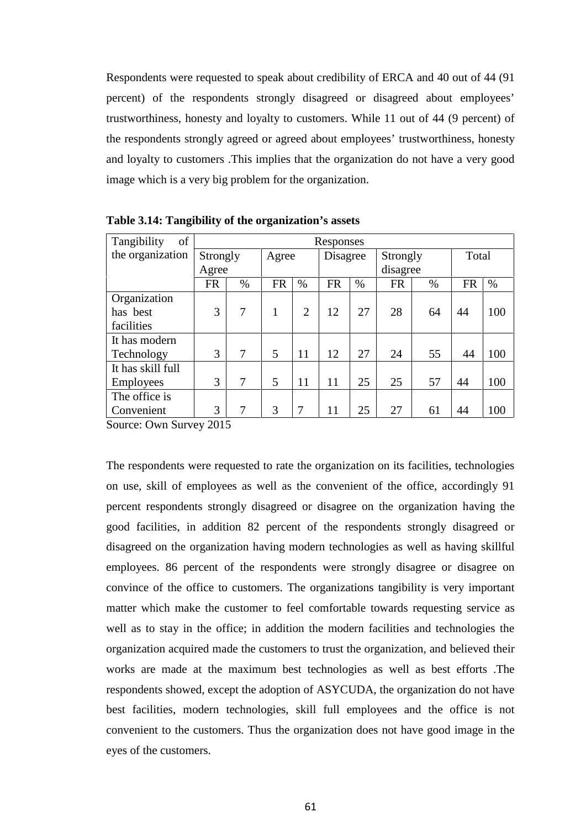Respondents were requested to speak about credibility of ERCA and 40 out of 44 (91 percent) of the respondents strongly disagreed or disagreed about employees' trustworthiness, honesty and loyalty to customers. While 11 out of 44 (9 percent) of the respondents strongly agreed or agreed about employees' trustworthiness, honesty and loyalty to customers .This implies that the organization do not have a very good image which is a very big problem for the organization.

| of<br>Tangibility |           | Responses |           |                |    |          |           |          |           |       |  |
|-------------------|-----------|-----------|-----------|----------------|----|----------|-----------|----------|-----------|-------|--|
| the organization  |           | Strongly  |           | Agree          |    | Disagree |           | Strongly |           | Total |  |
|                   |           | Agree     |           |                |    |          |           | disagree |           |       |  |
|                   | <b>FR</b> | $\%$      | <b>FR</b> | $\%$           | FR | $\%$     | <b>FR</b> | $\%$     | <b>FR</b> | $\%$  |  |
| Organization      |           |           |           |                |    |          |           |          |           |       |  |
| has best          | 3         | 7         | 1         | $\overline{2}$ | 12 | 27       | 28        | 64       | 44        | 100   |  |
| facilities        |           |           |           |                |    |          |           |          |           |       |  |
| It has modern     |           |           |           |                |    |          |           |          |           |       |  |
| Technology        | 3         | $\tau$    | 5         | 11             | 12 | 27       | 24        | 55       | 44        | 100   |  |
| It has skill full |           |           |           |                |    |          |           |          |           |       |  |
| Employees         | 3         | 7         | 5         | 11             | 11 | 25       | 25        | 57       | 44        | 100   |  |
| The office is     |           |           |           |                |    |          |           |          |           |       |  |
| Convenient        | 3         | 7         | 3         | 7              | 11 | 25       | 27        | 61       | 44        | 100   |  |

**Table 3.14: Tangibility of the organization's assets**

Source: Own Survey 2015

The respondents were requested to rate the organization on its facilities, technologies on use, skill of employees as well as the convenient of the office, accordingly 91 percent respondents strongly disagreed or disagree on the organization having the good facilities, in addition 82 percent of the respondents strongly disagreed or disagreed on the organization having modern technologies as well as having skillful employees. 86 percent of the respondents were strongly disagree or disagree on convince of the office to customers. The organizations tangibility is very important matter which make the customer to feel comfortable towards requesting service as well as to stay in the office; in addition the modern facilities and technologies the organization acquired made the customers to trust the organization, and believed their works are made at the maximum best technologies as well as best efforts .The respondents showed, except the adoption of ASYCUDA, the organization do not have best facilities, modern technologies, skill full employees and the office is not convenient to the customers. Thus the organization does not have good image in the eyes of the customers.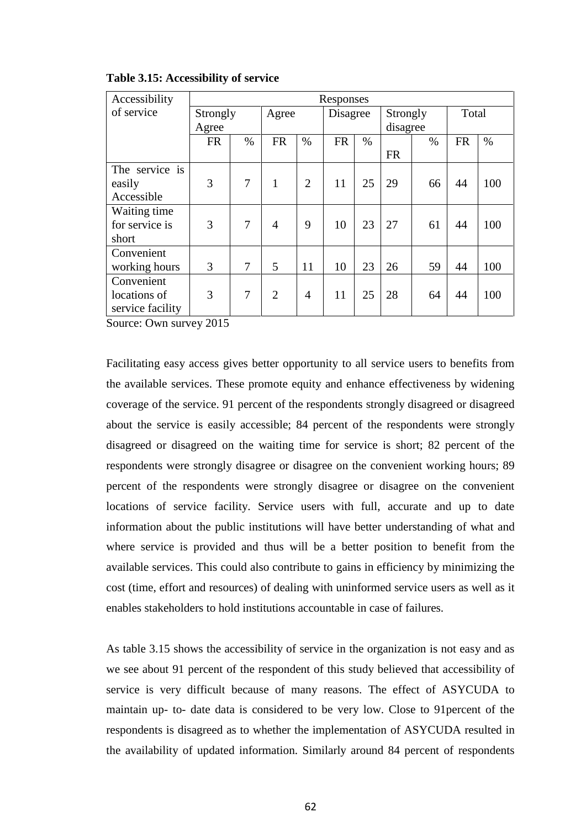| Accessibility    | Responses |                |                |                |           |      |           |      |           |      |
|------------------|-----------|----------------|----------------|----------------|-----------|------|-----------|------|-----------|------|
| of service       | Strongly  |                | Agree          |                | Disagree  |      | Strongly  |      | Total     |      |
|                  | Agree     |                |                |                |           |      | disagree  |      |           |      |
|                  | <b>FR</b> | $\%$           | <b>FR</b>      | $\%$           | <b>FR</b> | $\%$ |           | $\%$ | <b>FR</b> | $\%$ |
|                  |           |                |                |                |           |      | <b>FR</b> |      |           |      |
| The service is   |           |                |                |                |           |      |           |      |           |      |
| easily           | 3         | $\overline{7}$ | $\mathbf{1}$   | $\overline{2}$ | 11        | 25   | 29        | 66   | 44        | 100  |
| Accessible       |           |                |                |                |           |      |           |      |           |      |
| Waiting time     |           |                |                |                |           |      |           |      |           |      |
| for service is   | 3         | $\overline{7}$ | 4              | 9              | 10        | 23   | 27        | 61   | 44        | 100  |
| short            |           |                |                |                |           |      |           |      |           |      |
| Convenient       |           |                |                |                |           |      |           |      |           |      |
| working hours    | 3         | $\overline{7}$ | 5              | 11             | 10        | 23   | 26        | 59   | 44        | 100  |
| Convenient       |           |                |                |                |           |      |           |      |           |      |
| locations of     | 3         | $\overline{7}$ | $\overline{2}$ | 4              | 11        | 25   | 28        | 64   | 44        | 100  |
| service facility |           |                |                |                |           |      |           |      |           |      |

#### **Table 3.15: Accessibility of service**

Source: Own survey 2015

Facilitating easy access gives better opportunity to all service users to benefits from the available services. These promote equity and enhance effectiveness by widening coverage of the service. 91 percent of the respondents strongly disagreed or disagreed about the service is easily accessible; 84 percent of the respondents were strongly disagreed or disagreed on the waiting time for service is short; 82 percent of the respondents were strongly disagree or disagree on the convenient working hours; 89 percent of the respondents were strongly disagree or disagree on the convenient locations of service facility. Service users with full, accurate and up to date information about the public institutions will have better understanding of what and where service is provided and thus will be a better position to benefit from the available services. This could also contribute to gains in efficiency by minimizing the cost (time, effort and resources) of dealing with uninformed service users as well as it enables stakeholders to hold institutions accountable in case of failures.

As table 3.15 shows the accessibility of service in the organization is not easy and as we see about 91 percent of the respondent of this study believed that accessibility of service is very difficult because of many reasons. The effect of ASYCUDA to maintain up- to- date data is considered to be very low. Close to 91percent of the respondents is disagreed as to whether the implementation of ASYCUDA resulted in the availability of updated information. Similarly around 84 percent of respondents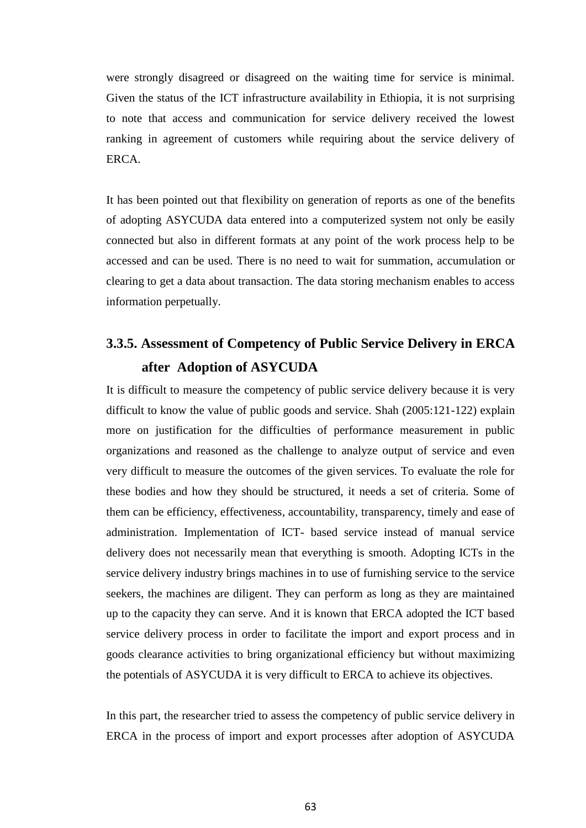were strongly disagreed or disagreed on the waiting time for service is minimal. Given the status of the ICT infrastructure availability in Ethiopia, it is not surprising to note that access and communication for service delivery received the lowest ranking in agreement of customers while requiring about the service delivery of ERCA.

It has been pointed out that flexibility on generation of reports as one of the benefits of adopting ASYCUDA data entered into a computerized system not only be easily connected but also in different formats at any point of the work process help to be accessed and can be used. There is no need to wait for summation, accumulation or clearing to get a data about transaction. The data storing mechanism enables to access information perpetually.

# **3.3.5. Assessment of Competency of Public Service Delivery in ERCA after Adoption of ASYCUDA**

It is difficult to measure the competency of public service delivery because it is very difficult to know the value of public goods and service. Shah (2005:121-122) explain more on justification for the difficulties of performance measurement in public organizations and reasoned as the challenge to analyze output of service and even very difficult to measure the outcomes of the given services. To evaluate the role for these bodies and how they should be structured, it needs a set of criteria. Some of them can be efficiency, effectiveness, accountability, transparency, timely and ease of administration. Implementation of ICT- based service instead of manual service delivery does not necessarily mean that everything is smooth. Adopting ICTs in the service delivery industry brings machines in to use of furnishing service to the service seekers, the machines are diligent. They can perform as long as they are maintained up to the capacity they can serve. And it is known that ERCA adopted the ICT based service delivery process in order to facilitate the import and export process and in goods clearance activities to bring organizational efficiency but without maximizing the potentials of ASYCUDA it is very difficult to ERCA to achieve its objectives.

In this part, the researcher tried to assess the competency of public service delivery in ERCA in the process of import and export processes after adoption of ASYCUDA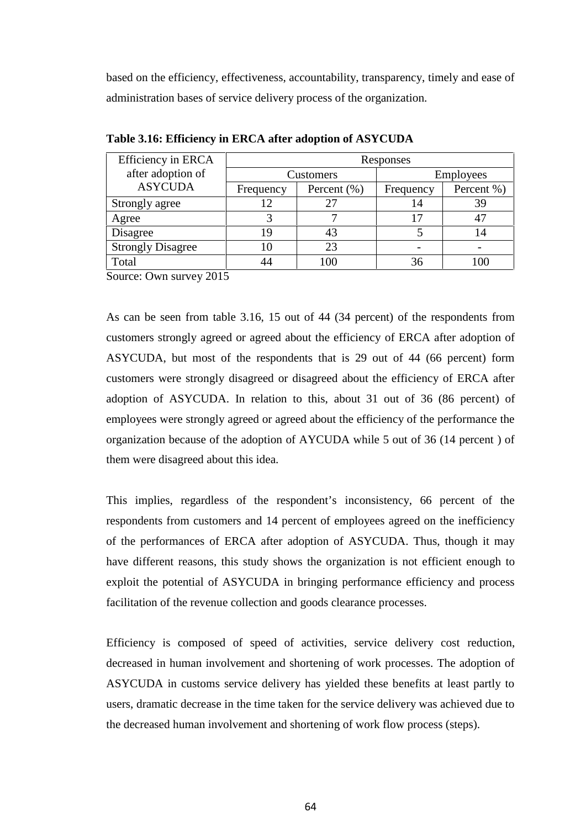based on the efficiency, effectiveness, accountability, transparency, timely and ease of administration bases of service delivery process of the organization.

| Efficiency in ERCA       | Responses |                              |    |                  |  |  |
|--------------------------|-----------|------------------------------|----|------------------|--|--|
| after adoption of        |           | Customers                    |    | <b>Employees</b> |  |  |
| <b>ASYCUDA</b>           | Frequency | Percent $(\% )$<br>Frequency |    | Percent %)       |  |  |
| Strongly agree           | 12        |                              | 14 | 39               |  |  |
| Agree                    |           |                              | 17 |                  |  |  |
| Disagree                 | 19        |                              |    | 14               |  |  |
| <b>Strongly Disagree</b> | 10        | 23                           |    |                  |  |  |
| Total                    | 44        | 100                          | 36 | 00               |  |  |

**Table 3.16: Efficiency in ERCA after adoption of ASYCUDA**

Source: Own survey 2015

As can be seen from table 3.16, 15 out of 44 (34 percent) of the respondents from customers strongly agreed or agreed about the efficiency of ERCA after adoption of ASYCUDA, but most of the respondents that is 29 out of 44 (66 percent) form customers were strongly disagreed or disagreed about the efficiency of ERCA after adoption of ASYCUDA. In relation to this, about 31 out of 36 (86 percent) of employees were strongly agreed or agreed about the efficiency of the performance the organization because of the adoption of AYCUDA while 5 out of 36 (14 percent ) of them were disagreed about this idea.

This implies, regardless of the respondent's inconsistency, 66 percent of the respondents from customers and 14 percent of employees agreed on the inefficiency of the performances of ERCA after adoption of ASYCUDA. Thus, though it may have different reasons, this study shows the organization is not efficient enough to exploit the potential of ASYCUDA in bringing performance efficiency and process facilitation of the revenue collection and goods clearance processes.

Efficiency is composed of speed of activities, service delivery cost reduction, decreased in human involvement and shortening of work processes. The adoption of ASYCUDA in customs service delivery has yielded these benefits at least partly to users, dramatic decrease in the time taken for the service delivery was achieved due to the decreased human involvement and shortening of work flow process (steps).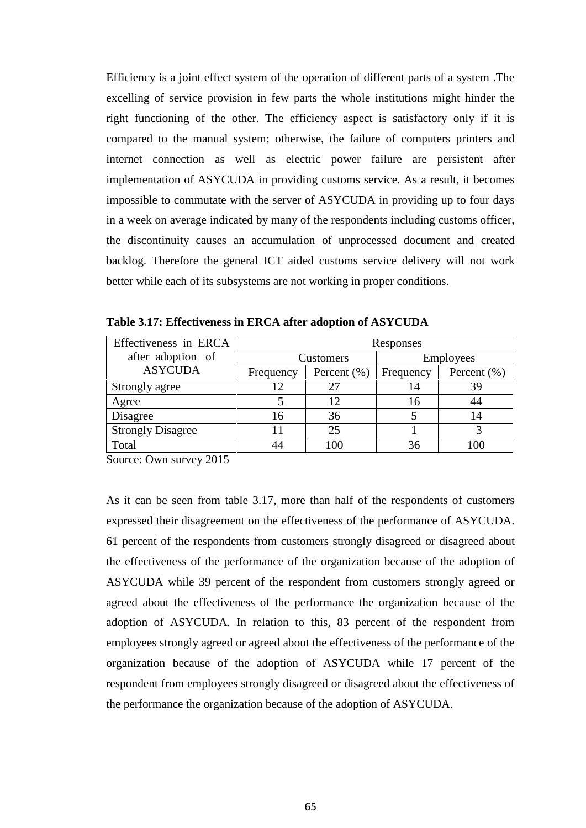Efficiency is a joint effect system of the operation of different parts of a system .The excelling of service provision in few parts the whole institutions might hinder the right functioning of the other. The efficiency aspect is satisfactory only if it is compared to the manual system; otherwise, the failure of computers printers and internet connection as well as electric power failure are persistent after implementation of ASYCUDA in providing customs service. As a result, it becomes impossible to commutate with the server of ASYCUDA in providing up to four days in a week on average indicated by many of the respondents including customs officer, the discontinuity causes an accumulation of unprocessed document and created backlog. Therefore the general ICT aided customs service delivery will not work better while each of its subsystems are not working in proper conditions.

| Effectiveness in ERCA    | Responses                    |     |                  |                 |  |
|--------------------------|------------------------------|-----|------------------|-----------------|--|
| after adoption of        | Customers                    |     | <b>Employees</b> |                 |  |
| <b>ASYCUDA</b>           | Percent $(\% )$<br>Frequency |     | Frequency        | Percent $(\% )$ |  |
| Strongly agree           | 12                           | 27  | 14               | 39              |  |
| Agree                    |                              | 12  | 16               | 44              |  |
| Disagree                 | 16                           | 36  |                  | 14              |  |
| <b>Strongly Disagree</b> |                              | 25  |                  |                 |  |
| Total                    | 44                           | 100 | 36               |                 |  |

**Table 3.17: Effectiveness in ERCA after adoption of ASYCUDA**

Source: Own survey 2015

As it can be seen from table 3.17, more than half of the respondents of customers expressed their disagreement on the effectiveness of the performance of ASYCUDA. 61 percent of the respondents from customers strongly disagreed or disagreed about the effectiveness of the performance of the organization because of the adoption of ASYCUDA while 39 percent of the respondent from customers strongly agreed or agreed about the effectiveness of the performance the organization because of the adoption of ASYCUDA. In relation to this, 83 percent of the respondent from employees strongly agreed or agreed about the effectiveness of the performance of the organization because of the adoption of ASYCUDA while 17 percent of the respondent from employees strongly disagreed or disagreed about the effectiveness of the performance the organization because of the adoption of ASYCUDA.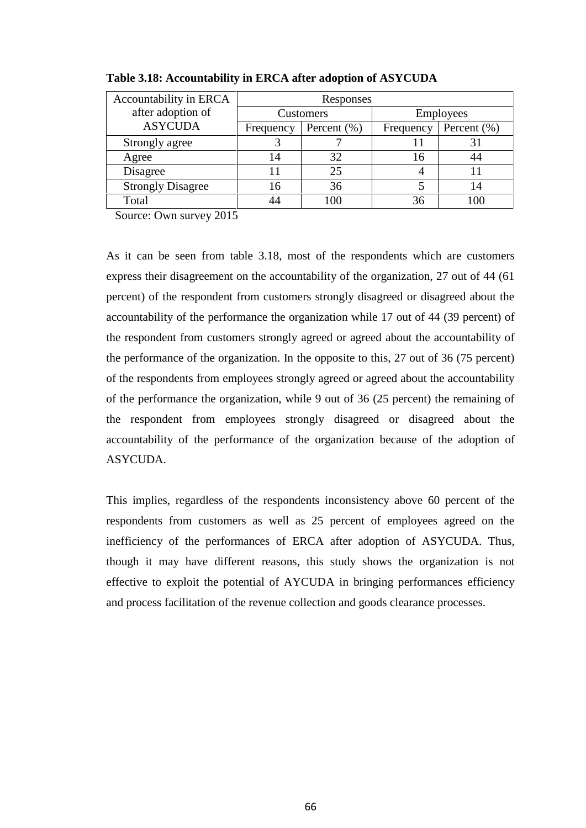| Accountability in ERCA   | Responses |                 |                  |                 |  |
|--------------------------|-----------|-----------------|------------------|-----------------|--|
| after adoption of        | Customers |                 | <b>Employees</b> |                 |  |
| <b>ASYCUDA</b>           | Frequency | Percent $(\% )$ | Frequency        | Percent $(\% )$ |  |
| Strongly agree           |           |                 |                  |                 |  |
| Agree                    | 32<br>14  |                 | 16               |                 |  |
| Disagree                 |           | 25              |                  |                 |  |
| <b>Strongly Disagree</b> | 16        | 36              |                  |                 |  |
| Total                    | 44        | 100             | 36               | ΩC              |  |

**Table 3.18: Accountability in ERCA after adoption of ASYCUDA**

Source: Own survey 2015

As it can be seen from table 3.18, most of the respondents which are customers express their disagreement on the accountability of the organization, 27 out of 44 (61 percent) of the respondent from customers strongly disagreed or disagreed about the accountability of the performance the organization while 17 out of 44 (39 percent) of the respondent from customers strongly agreed or agreed about the accountability of the performance of the organization. In the opposite to this, 27 out of 36 (75 percent) of the respondents from employees strongly agreed or agreed about the accountability of the performance the organization, while 9 out of 36 (25 percent) the remaining of the respondent from employees strongly disagreed or disagreed about the accountability of the performance of the organization because of the adoption of ASYCUDA.

This implies, regardless of the respondents inconsistency above 60 percent of the respondents from customers as well as 25 percent of employees agreed on the inefficiency of the performances of ERCA after adoption of ASYCUDA. Thus, though it may have different reasons, this study shows the organization is not effective to exploit the potential of AYCUDA in bringing performances efficiency and process facilitation of the revenue collection and goods clearance processes.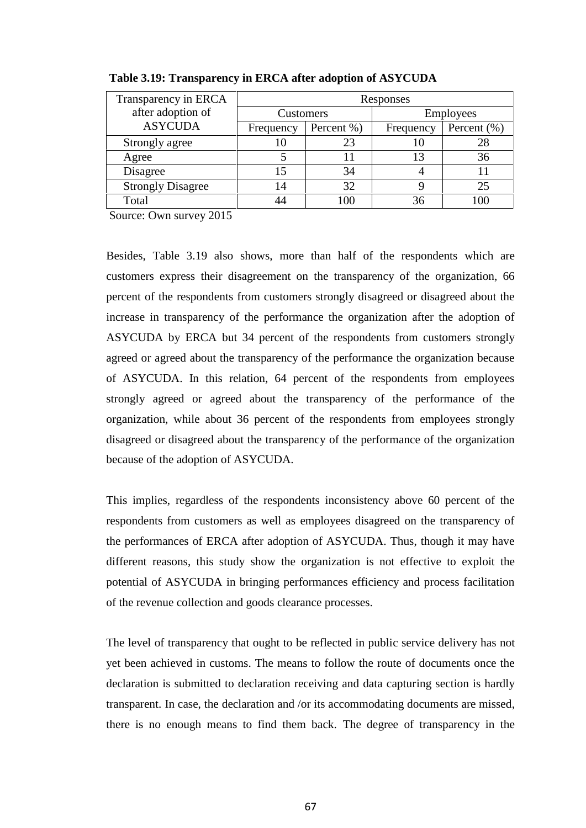| Transparency in ERCA     | Responses        |            |                  |                 |  |
|--------------------------|------------------|------------|------------------|-----------------|--|
| after adoption of        | <b>Customers</b> |            | <b>Employees</b> |                 |  |
| <b>ASYCUDA</b>           | Frequency        | Percent %) | Frequency        | Percent $(\% )$ |  |
| Strongly agree           | 10               | 23         |                  | 28              |  |
| Agree                    |                  |            |                  | 36              |  |
| Disagree                 |                  | 34         |                  |                 |  |
| <b>Strongly Disagree</b> | 14               | 32         |                  | 25              |  |
| Total                    |                  | 100        | 36               | 00              |  |

**Table 3.19: Transparency in ERCA after adoption of ASYCUDA**

Source: Own survey 2015

Besides, Table 3.19 also shows, more than half of the respondents which are customers express their disagreement on the transparency of the organization, 66 percent of the respondents from customers strongly disagreed or disagreed about the increase in transparency of the performance the organization after the adoption of ASYCUDA by ERCA but 34 percent of the respondents from customers strongly agreed or agreed about the transparency of the performance the organization because of ASYCUDA. In this relation, 64 percent of the respondents from employees strongly agreed or agreed about the transparency of the performance of the organization, while about 36 percent of the respondents from employees strongly disagreed or disagreed about the transparency of the performance of the organization because of the adoption of ASYCUDA.

This implies, regardless of the respondents inconsistency above 60 percent of the respondents from customers as well as employees disagreed on the transparency of the performances of ERCA after adoption of ASYCUDA. Thus, though it may have different reasons, this study show the organization is not effective to exploit the potential of ASYCUDA in bringing performances efficiency and process facilitation of the revenue collection and goods clearance processes.

The level of transparency that ought to be reflected in public service delivery has not yet been achieved in customs. The means to follow the route of documents once the declaration is submitted to declaration receiving and data capturing section is hardly transparent. In case, the declaration and /or its accommodating documents are missed, there is no enough means to find them back. The degree of transparency in the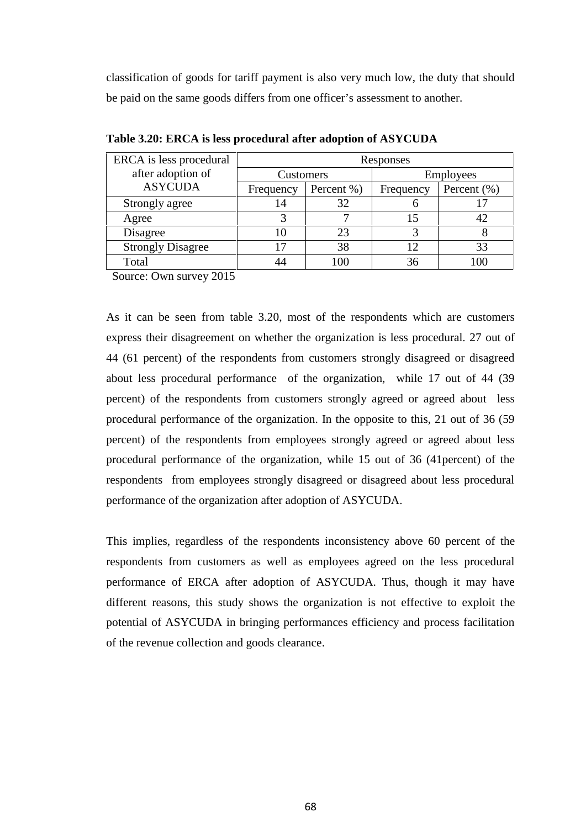classification of goods for tariff payment is also very much low, the duty that should be paid on the same goods differs from one officer's assessment to another.

| ERCA is less procedural  | Responses |            |                  |                 |  |
|--------------------------|-----------|------------|------------------|-----------------|--|
| after adoption of        | Customers |            | <b>Employees</b> |                 |  |
| <b>ASYCUDA</b>           | Frequency | Percent %) | Frequency        | Percent $(\% )$ |  |
| Strongly agree           | 14        | 32         |                  |                 |  |
| Agree                    |           |            |                  | 42              |  |
| Disagree                 | 10        | 23         |                  |                 |  |
| <b>Strongly Disagree</b> |           | 38         | 12               | 33              |  |
| Total                    |           |            | 36               | $\alpha$        |  |

**Table 3.20: ERCA is less procedural after adoption of ASYCUDA**

Source: Own survey 2015

As it can be seen from table 3.20, most of the respondents which are customers express their disagreement on whether the organization is less procedural. 27 out of 44 (61 percent) of the respondents from customers strongly disagreed or disagreed about less procedural performance of the organization, while 17 out of 44 (39 percent) of the respondents from customers strongly agreed or agreed about less procedural performance of the organization. In the opposite to this, 21 out of 36 (59 percent) of the respondents from employees strongly agreed or agreed about less procedural performance of the organization, while 15 out of 36 (41percent) of the respondents from employees strongly disagreed or disagreed about less procedural performance of the organization after adoption of ASYCUDA.

This implies, regardless of the respondents inconsistency above 60 percent of the respondents from customers as well as employees agreed on the less procedural performance of ERCA after adoption of ASYCUDA. Thus, though it may have different reasons, this study shows the organization is not effective to exploit the potential of ASYCUDA in bringing performances efficiency and process facilitation of the revenue collection and goods clearance.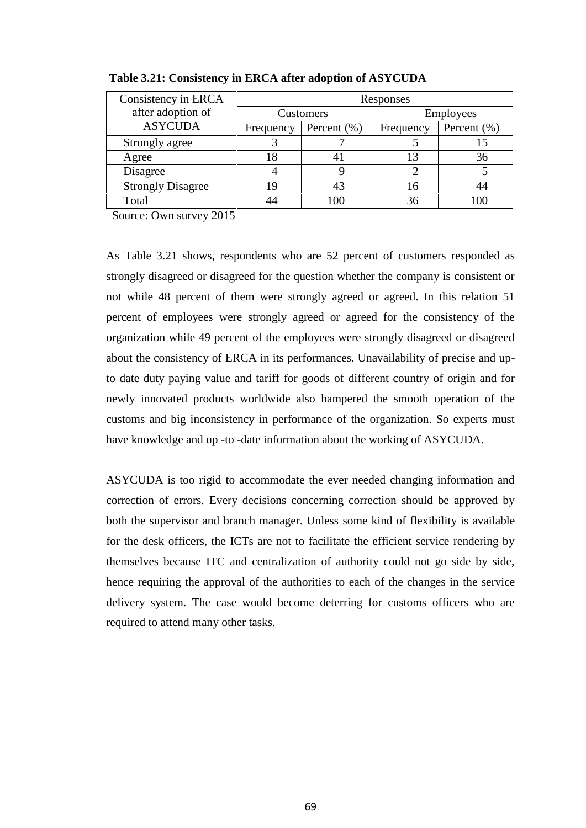| Consistency in ERCA      | Responses                                 |     |           |                 |  |
|--------------------------|-------------------------------------------|-----|-----------|-----------------|--|
| after adoption of        | Customers<br>Percent $(\% )$<br>Frequency |     |           | Employees       |  |
| <b>ASYCUDA</b>           |                                           |     | Frequency | Percent $(\% )$ |  |
| Strongly agree           |                                           |     |           |                 |  |
| Agree                    |                                           |     |           | 36              |  |
| Disagree                 |                                           |     |           |                 |  |
| <b>Strongly Disagree</b> |                                           |     | 16        | 44              |  |
| Total                    |                                           | 100 | 36        | $\alpha$        |  |

**Table 3.21: Consistency in ERCA after adoption of ASYCUDA**

Source: Own survey 2015

As Table 3.21 shows, respondents who are 52 percent of customers responded as strongly disagreed or disagreed for the question whether the company is consistent or not while 48 percent of them were strongly agreed or agreed. In this relation 51 percent of employees were strongly agreed or agreed for the consistency of the organization while 49 percent of the employees were strongly disagreed or disagreed about the consistency of ERCA in its performances. Unavailability of precise and upto date duty paying value and tariff for goods of different country of origin and for newly innovated products worldwide also hampered the smooth operation of the customs and big inconsistency in performance of the organization. So experts must have knowledge and up -to -date information about the working of ASYCUDA.

ASYCUDA is too rigid to accommodate the ever needed changing information and correction of errors. Every decisions concerning correction should be approved by both the supervisor and branch manager. Unless some kind of flexibility is available for the desk officers, the ICTs are not to facilitate the efficient service rendering by themselves because ITC and centralization of authority could not go side by side, hence requiring the approval of the authorities to each of the changes in the service delivery system. The case would become deterring for customs officers who are required to attend many other tasks.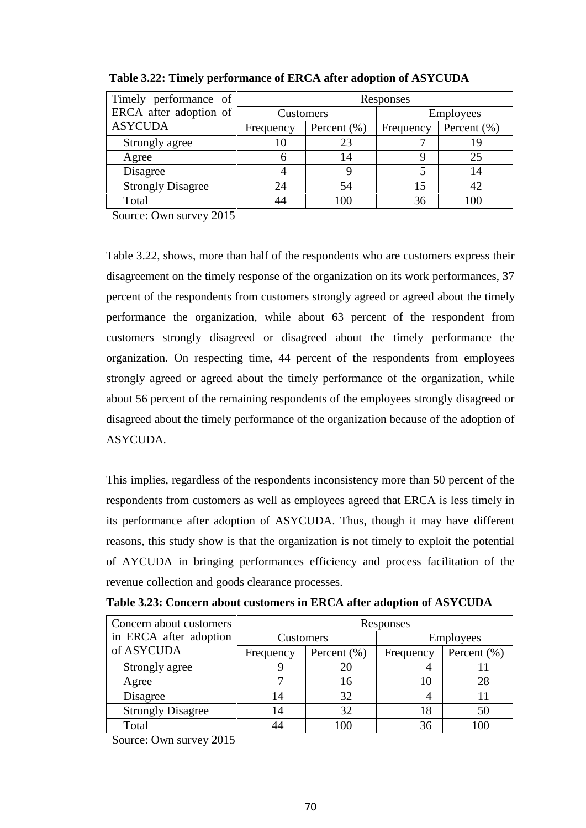| Timely performance of    | Responses                    |     |                  |                 |  |
|--------------------------|------------------------------|-----|------------------|-----------------|--|
| ERCA after adoption of   | Customers                    |     | <b>Employees</b> |                 |  |
| <b>ASYCUDA</b>           | Percent $(\% )$<br>Frequency |     | Frequency        | Percent $(\% )$ |  |
| Strongly agree           |                              | 23  |                  |                 |  |
| Agree                    |                              | 14  |                  | 25              |  |
| Disagree                 |                              |     |                  | <u>  4</u>      |  |
| <b>Strongly Disagree</b> | 24                           | 54  |                  |                 |  |
| Total                    |                              | 100 | 36               |                 |  |

**Table 3.22: Timely performance of ERCA after adoption of ASYCUDA**

Source: Own survey 2015

Table 3.22, shows, more than half of the respondents who are customers express their disagreement on the timely response of the organization on its work performances, 37 percent of the respondents from customers strongly agreed or agreed about the timely performance the organization, while about 63 percent of the respondent from customers strongly disagreed or disagreed about the timely performance the organization. On respecting time, 44 percent of the respondents from employees strongly agreed or agreed about the timely performance of the organization, while about 56 percent of the remaining respondents of the employees strongly disagreed or disagreed about the timely performance of the organization because of the adoption of ASYCUDA.

This implies, regardless of the respondents inconsistency more than 50 percent of the respondents from customers as well as employees agreed that ERCA is less timely in its performance after adoption of ASYCUDA. Thus, though it may have different reasons, this study show is that the organization is not timely to exploit the potential of AYCUDA in bringing performances efficiency and process facilitation of the revenue collection and goods clearance processes.

| Concern about customers  | Responses                    |     |                  |                 |  |  |
|--------------------------|------------------------------|-----|------------------|-----------------|--|--|
| in ERCA after adoption   | Customers                    |     | <b>Employees</b> |                 |  |  |
| of ASYCUDA               | Percent $(\% )$<br>Frequency |     | Frequency        | Percent $(\% )$ |  |  |
| Strongly agree           |                              | 20  |                  |                 |  |  |
| Agree                    |                              | 16  | 10               | 28              |  |  |
| Disagree                 | 14                           | 32  |                  |                 |  |  |
| <b>Strongly Disagree</b> | 14                           | 32  | 18               | 50              |  |  |
| Total                    | 44                           | 100 | 36               | $\alpha$        |  |  |

| Table 3.23: Concern about customers in ERCA after adoption of ASYCUDA |  |
|-----------------------------------------------------------------------|--|
|                                                                       |  |

Source: Own survey 2015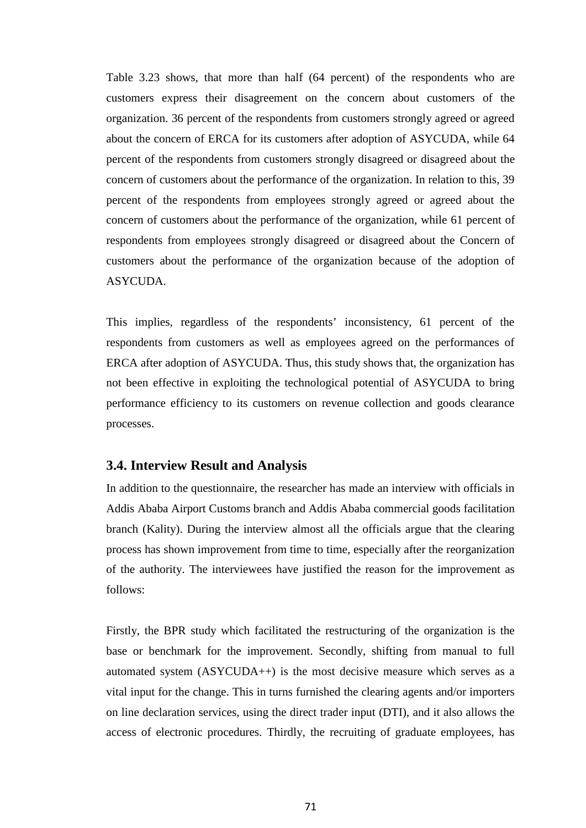Table 3.23 shows, that more than half (64 percent) of the respondents who are customers express their disagreement on the concern about customers of the organization. 36 percent of the respondents from customers strongly agreed or agreed about the concern of ERCA for its customers after adoption of ASYCUDA, while 64 percent of the respondents from customers strongly disagreed or disagreed about the concern of customers about the performance of the organization. In relation to this, 39 percent of the respondents from employees strongly agreed or agreed about the concern of customers about the performance of the organization, while 61 percent of respondents from employees strongly disagreed or disagreed about the Concern of customers about the performance of the organization because of the adoption of ASYCUDA.

This implies, regardless of the respondents' inconsistency, 61 percent of the respondents from customers as well as employees agreed on the performances of ERCA after adoption of ASYCUDA. Thus, this study shows that, the organization has not been effective in exploiting the technological potential of ASYCUDA to bring performance efficiency to its customers on revenue collection and goods clearance processes.

#### **3.4. Interview Result and Analysis**

In addition to the questionnaire, the researcher has made an interview with officials in Addis Ababa Airport Customs branch and Addis Ababa commercial goods facilitation branch (Kality). During the interview almost all the officials argue that the clearing process has shown improvement from time to time, especially after the reorganization of the authority. The interviewees have justified the reason for the improvement as follows:

Firstly, the BPR study which facilitated the restructuring of the organization is the base or benchmark for the improvement. Secondly, shifting from manual to full automated system (ASYCUDA++) is the most decisive measure which serves as a vital input for the change. This in turns furnished the clearing agents and/or importers on line declaration services, using the direct trader input (DTI), and it also allows the access of electronic procedures. Thirdly, the recruiting of graduate employees, has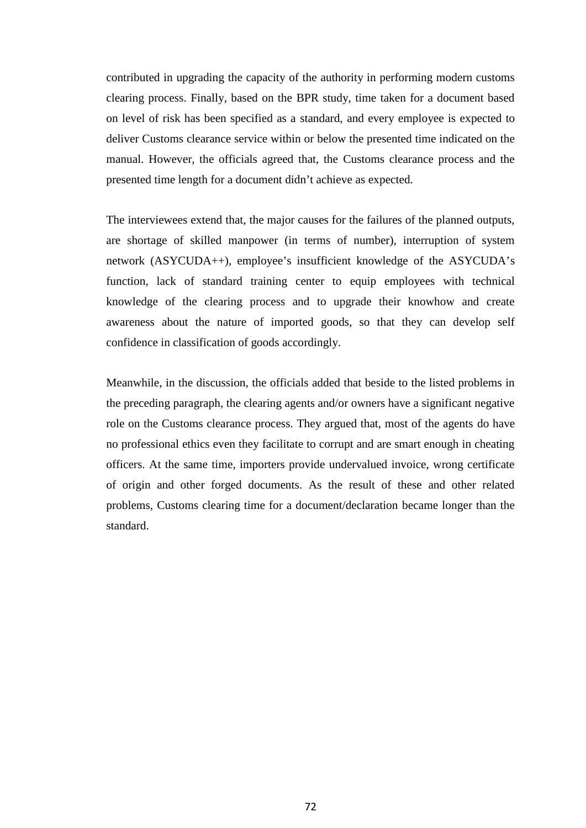contributed in upgrading the capacity of the authority in performing modern customs clearing process. Finally, based on the BPR study, time taken for a document based on level of risk has been specified as a standard, and every employee is expected to deliver Customs clearance service within or below the presented time indicated on the manual. However, the officials agreed that, the Customs clearance process and the presented time length for a document didn't achieve as expected.

The interviewees extend that, the major causes for the failures of the planned outputs, are shortage of skilled manpower (in terms of number), interruption of system network (ASYCUDA++), employee's insufficient knowledge of the ASYCUDA's function, lack of standard training center to equip employees with technical knowledge of the clearing process and to upgrade their knowhow and create awareness about the nature of imported goods, so that they can develop self confidence in classification of goods accordingly.

Meanwhile, in the discussion, the officials added that beside to the listed problems in the preceding paragraph, the clearing agents and/or owners have a significant negative role on the Customs clearance process. They argued that, most of the agents do have no professional ethics even they facilitate to corrupt and are smart enough in cheating officers. At the same time, importers provide undervalued invoice, wrong certificate of origin and other forged documents. As the result of these and other related problems, Customs clearing time for a document/declaration became longer than the standard.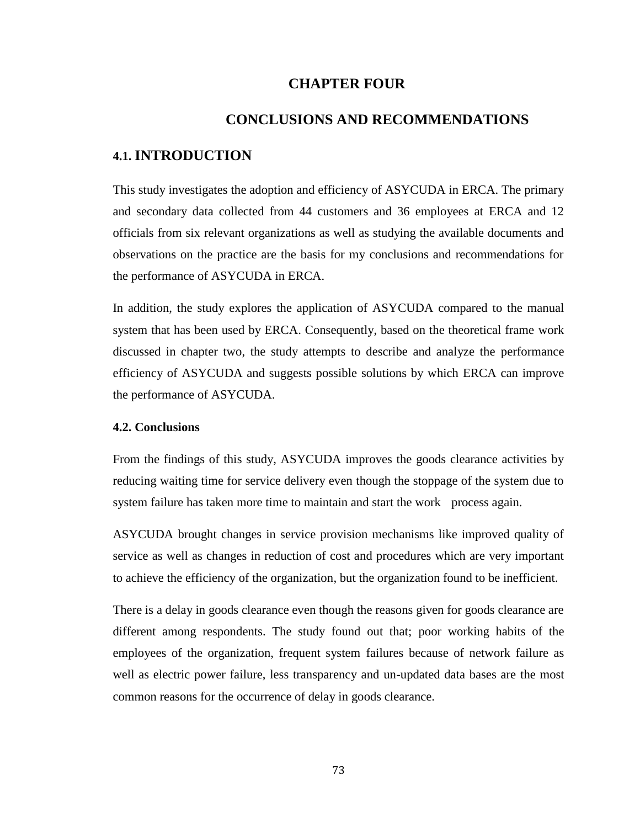#### **CHAPTER FOUR**

#### **CONCLUSIONS AND RECOMMENDATIONS**

#### **4.1. INTRODUCTION**

This study investigates the adoption and efficiency of ASYCUDA in ERCA. The primary and secondary data collected from 44 customers and 36 employees at ERCA and 12 officials from six relevant organizations as well as studying the available documents and observations on the practice are the basis for my conclusions and recommendations for the performance of ASYCUDA in ERCA.

In addition, the study explores the application of ASYCUDA compared to the manual system that has been used by ERCA. Consequently, based on the theoretical frame work discussed in chapter two, the study attempts to describe and analyze the performance efficiency of ASYCUDA and suggests possible solutions by which ERCA can improve the performance of ASYCUDA.

#### **4.2. Conclusions**

From the findings of this study, ASYCUDA improves the goods clearance activities by reducing waiting time for service delivery even though the stoppage of the system due to system failure has taken more time to maintain and start the work process again.

ASYCUDA brought changes in service provision mechanisms like improved quality of service as well as changes in reduction of cost and procedures which are very important to achieve the efficiency of the organization, but the organization found to be inefficient.

There is a delay in goods clearance even though the reasons given for goods clearance are different among respondents. The study found out that; poor working habits of the employees of the organization, frequent system failures because of network failure as well as electric power failure, less transparency and un-updated data bases are the most common reasons for the occurrence of delay in goods clearance.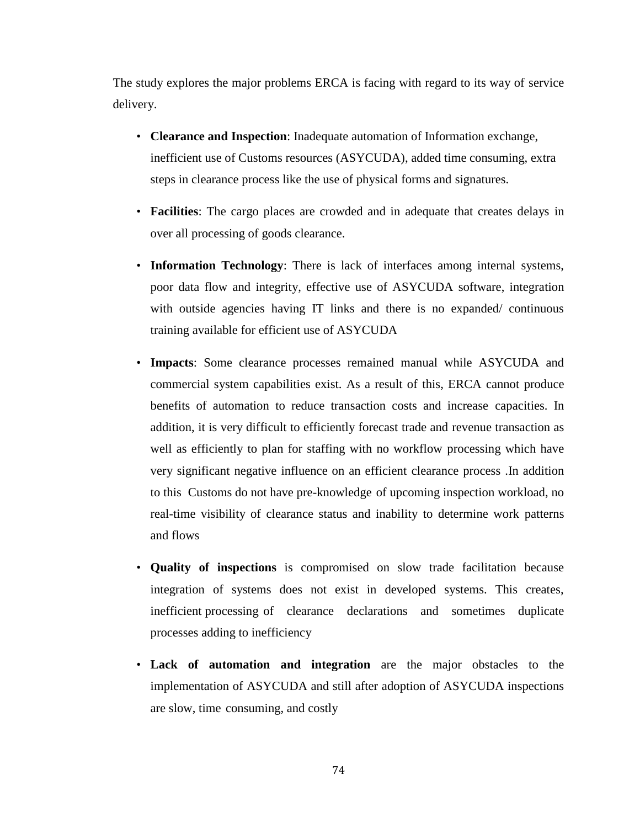The study explores the major problems ERCA is facing with regard to its way of service delivery.

- **Clearance and Inspection**: Inadequate automation of Information exchange, inefficient use of Customs resources (ASYCUDA), added time consuming, extra steps in clearance process like the use of physical forms and signatures.
- **Facilities**: The cargo places are crowded and in adequate that creates delays in over all processing of goods clearance.
- **Information Technology**: There is lack of interfaces among internal systems, poor data flow and integrity, effective use of ASYCUDA software, integration with outside agencies having IT links and there is no expanded/ continuous training available for efficient use of ASYCUDA
- **Impacts**: Some clearance processes remained manual while ASYCUDA and commercial system capabilities exist. As a result of this, ERCA cannot produce benefits of automation to reduce transaction costs and increase capacities. In addition, it is very difficult to efficiently forecast trade and revenue transaction as well as efficiently to plan for staffing with no workflow processing which have very significant negative influence on an efficient clearance process .In addition to this Customs do not have pre-knowledge of upcoming inspection workload, no real-time visibility of clearance status and inability to determine work patterns and flows
- **Quality of inspections** is compromised on slow trade facilitation because integration of systems does not exist in developed systems. This creates, inefficient processing of clearance declarations and sometimes duplicate processes adding to inefficiency
- **Lack of automation and integration** are the major obstacles to the implementation of ASYCUDA and still after adoption of ASYCUDA inspections are slow, time consuming, and costly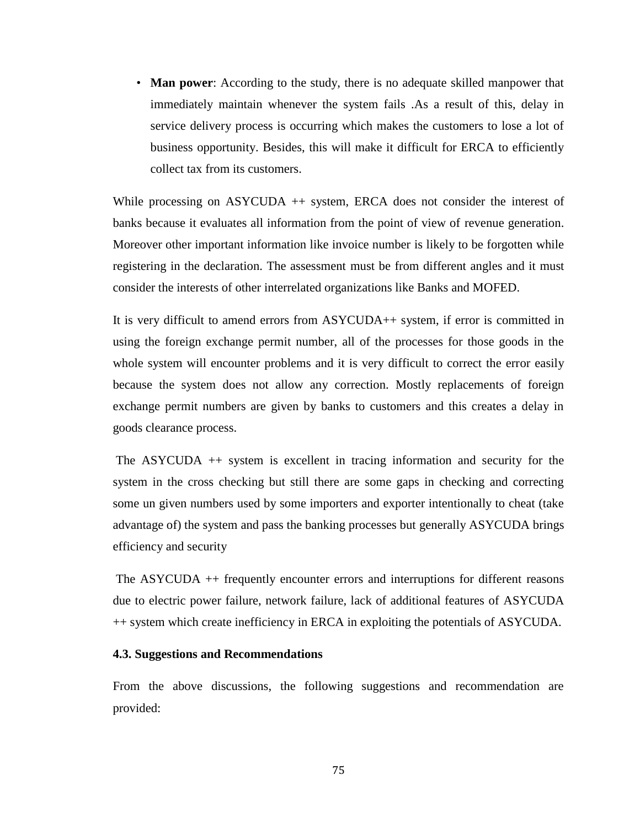• **Man power**: According to the study, there is no adequate skilled manpower that immediately maintain whenever the system fails .As a result of this, delay in service delivery process is occurring which makes the customers to lose a lot of business opportunity. Besides, this will make it difficult for ERCA to efficiently collect tax from its customers.

While processing on ASYCUDA  $++$  system, ERCA does not consider the interest of banks because it evaluates all information from the point of view of revenue generation. Moreover other important information like invoice number is likely to be forgotten while registering in the declaration. The assessment must be from different angles and it must consider the interests of other interrelated organizations like Banks and MOFED.

It is very difficult to amend errors from ASYCUDA++ system, if error is committed in using the foreign exchange permit number, all of the processes for those goods in the whole system will encounter problems and it is very difficult to correct the error easily because the system does not allow any correction. Mostly replacements of foreign exchange permit numbers are given by banks to customers and this creates a delay in goods clearance process.

The ASYCUDA ++ system is excellent in tracing information and security for the system in the cross checking but still there are some gaps in checking and correcting some un given numbers used by some importers and exporter intentionally to cheat (take advantage of) the system and pass the banking processes but generally ASYCUDA brings efficiency and security

The ASYCUDA ++ frequently encounter errors and interruptions for different reasons due to electric power failure, network failure, lack of additional features of ASYCUDA ++ system which create inefficiency in ERCA in exploiting the potentials of ASYCUDA.

#### **4.3. Suggestions and Recommendations**

From the above discussions, the following suggestions and recommendation are provided: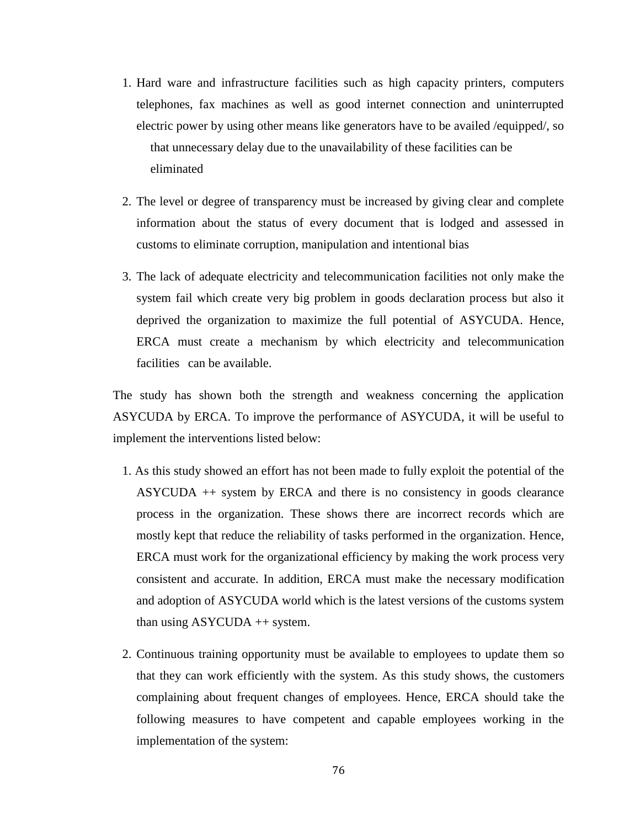- 1. Hard ware and infrastructure facilities such as high capacity printers, computers telephones, fax machines as well as good internet connection and uninterrupted electric power by using other means like generators have to be availed /equipped/, so that unnecessary delay due to the unavailability of these facilities can be eliminated
- 2. The level or degree of transparency must be increased by giving clear and complete information about the status of every document that is lodged and assessed in customs to eliminate corruption, manipulation and intentional bias
- 3. The lack of adequate electricity and telecommunication facilities not only make the system fail which create very big problem in goods declaration process but also it deprived the organization to maximize the full potential of ASYCUDA. Hence, ERCA must create a mechanism by which electricity and telecommunication facilities can be available.

The study has shown both the strength and weakness concerning the application ASYCUDA by ERCA. To improve the performance of ASYCUDA, it will be useful to implement the interventions listed below:

- 1. As this study showed an effort has not been made to fully exploit the potential of the ASYCUDA ++ system by ERCA and there is no consistency in goods clearance process in the organization. These shows there are incorrect records which are mostly kept that reduce the reliability of tasks performed in the organization. Hence, ERCA must work for the organizational efficiency by making the work process very consistent and accurate. In addition, ERCA must make the necessary modification and adoption of ASYCUDA world which is the latest versions of the customs system than using ASYCUDA ++ system.
- 2. Continuous training opportunity must be available to employees to update them so that they can work efficiently with the system. As this study shows, the customers complaining about frequent changes of employees. Hence, ERCA should take the following measures to have competent and capable employees working in the implementation of the system: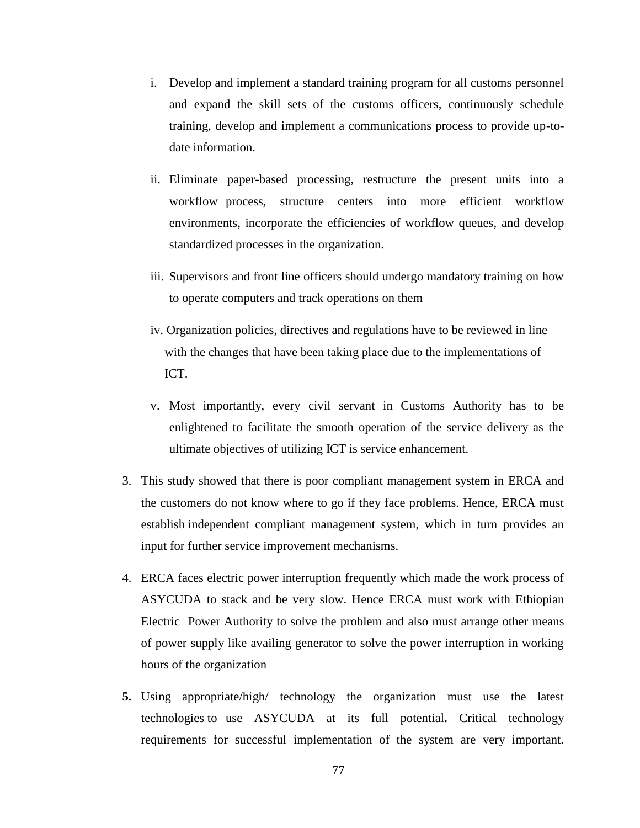- i. Develop and implement a standard training program for all customs personnel and expand the skill sets of the customs officers, continuously schedule training, develop and implement a communications process to provide up-to date information.
- ii. Eliminate paper-based processing, restructure the present units into a workflow process, structure centers into more efficient workflow environments, incorporate the efficiencies of workflow queues, and develop standardized processes in the organization.
- iii. Supervisors and front line officers should undergo mandatory training on how to operate computers and track operations on them
- iv. Organization policies, directives and regulations have to be reviewed in line with the changes that have been taking place due to the implementations of ICT.
- v. Most importantly, every civil servant in Customs Authority has to be enlightened to facilitate the smooth operation of the service delivery as the ultimate objectives of utilizing ICT is service enhancement.
- 3. This study showed that there is poor compliant management system in ERCA and the customers do not know where to go if they face problems. Hence, ERCA must establish independent compliant management system, which in turn provides an input for further service improvement mechanisms.
- 4. ERCA faces electric power interruption frequently which made the work process of ASYCUDA to stack and be very slow. Hence ERCA must work with Ethiopian Electric Power Authority to solve the problem and also must arrange other means of power supply like availing generator to solve the power interruption in working hours of the organization
- **5.** Using appropriate/high/ technology the organization must use the latest technologies to use ASYCUDA at its full potential**.** Critical technology requirements for successful implementation of the system are very important.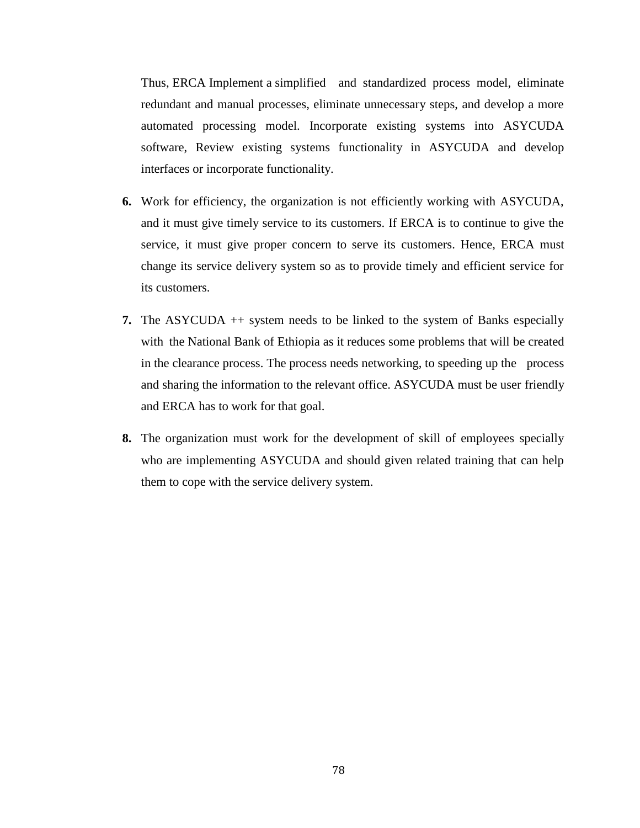Thus, ERCA Implement a simplified and standardized process model, eliminate redundant and manual processes, eliminate unnecessary steps, and develop a more automated processing model. Incorporate existing systems into ASYCUDA software, Review existing systems functionality in ASYCUDA and develop interfaces or incorporate functionality.

- **6.** Work for efficiency, the organization is not efficiently working with ASYCUDA, and it must give timely service to its customers. If ERCA is to continue to give the service, it must give proper concern to serve its customers. Hence, ERCA must change its service delivery system so as to provide timely and efficient service for its customers.
- **7.** The ASYCUDA ++ system needs to be linked to the system of Banks especially with the National Bank of Ethiopia as it reduces some problems that will be created in the clearance process. The process needs networking, to speeding up the process and sharing the information to the relevant office. ASYCUDA must be user friendly and ERCA has to work for that goal.
- **8.** The organization must work for the development of skill of employees specially who are implementing ASYCUDA and should given related training that can help them to cope with the service delivery system.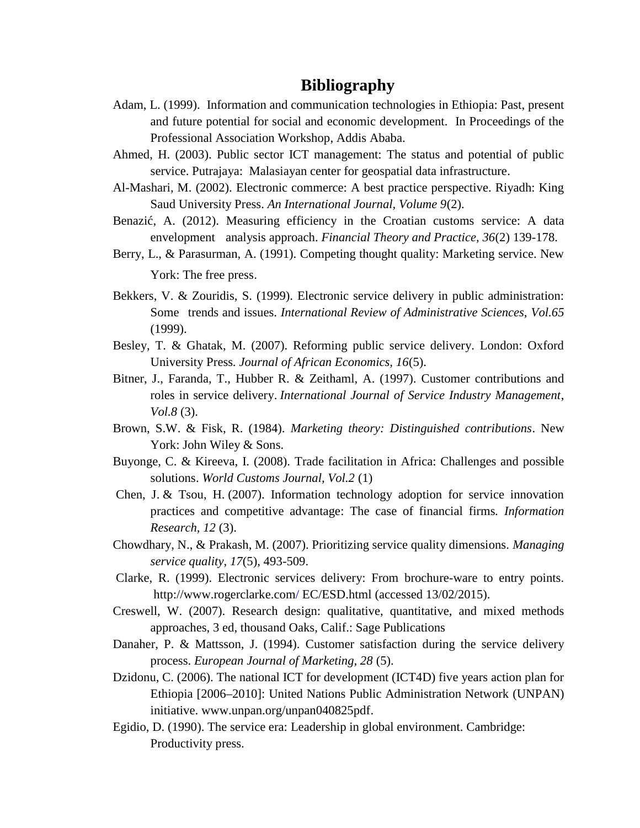## **Bibliography**

- Adam, L. (1999). Information and communication technologies in Ethiopia: Past, present and future potential for social and economic development. In Proceedings of the Professional Association Workshop, Addis Ababa.
- Ahmed, H. (2003). Public sector ICT management: The status and potential of public service. Putrajaya: Malasiayan center for geospatial data infrastructure.
- Al-Mashari, M. (2002). Electronic commerce: A best practice perspective. Riyadh: King Saud University Press. *An International Journal, Volume 9*(2).
- Benazi, A. (2012). Measuring efficiency in the Croatian customs service: A data envelopment analysis approach. *Financial Theory and Practice, 36*(2) 139-178.
- Berry, L., & Parasurman, A. (1991). Competing thought quality: Marketing service. New York: The free press.
- Bekkers, V. & Zouridis, S. (1999). Electronic service delivery in public administration: Some trends and issues. *International Review of Administrative Sciences, Vol.65* (1999).
- Besley, T. & Ghatak, M. (2007). Reforming public service delivery. London: Oxford University Press*. Journal of African Economics, 16*(5).
- Bitner, J., Faranda, T., Hubber R. & Zeithaml, A. (1997). Customer contributions and roles in service delivery. *International Journal of Service Industry Management*, *Vol.8* (3).
- Brown, S.W. & Fisk, R. (1984). *Marketing theory: Distinguished contributions*. New York: John Wiley & Sons.
- Buyonge, C. & Kireeva, I. (2008). Trade facilitation in Africa: Challenges and possible solutions. *World Customs Journal, Vol.2* (1)
- Chen, J. & Tsou, H. (2007). Information technology adoption for service innovation practices and competitive advantage: The case of financial firms*. Information Research, 12* (3).
- Chowdhary, N., & Prakash, M. (2007). Prioritizing service quality dimensions. *Managing service quality*, *17*(5), 493-509.
- Clarke, R. (1999). Electronic services delivery: From brochure-ware to entry points. http://www.rogerclarke.com/ EC/ESD.html (accessed 13/02/2015).
- Creswell, W. (2007). Research design: qualitative, quantitative, and mixed methods approaches, 3 ed, thousand Oaks, Calif.: Sage Publications
- Danaher, P. & Mattsson, J. (1994). Customer satisfaction during the service delivery process. *European Journal of Marketing, 28* (5).
- Dzidonu, C. (2006). The national ICT for development (ICT4D) five years action plan for Ethiopia [2006–2010]: United Nations Public Administration Network (UNPAN) initiative. www.unpan.org/unpan040825pdf.
- Egidio, D. (1990). The service era: Leadership in global environment. Cambridge: Productivity press.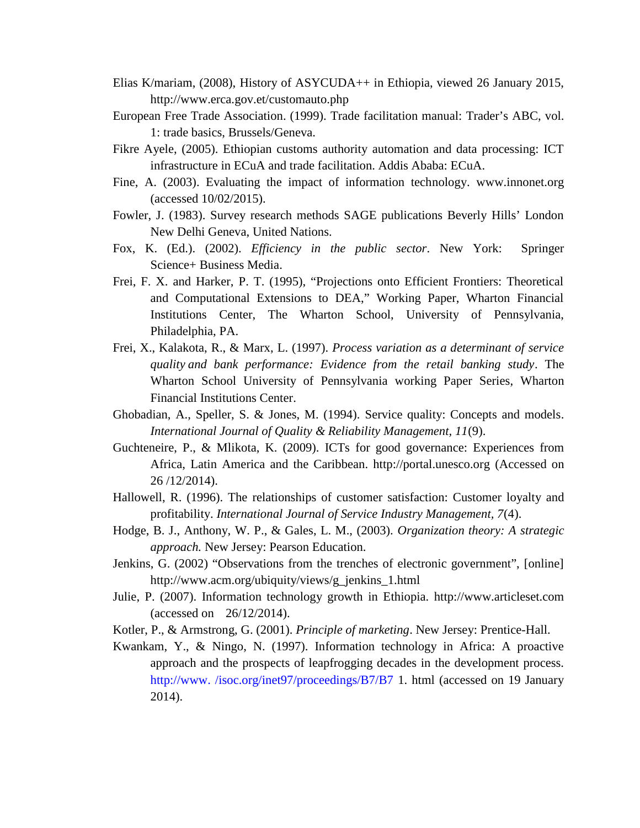- Elias K/mariam, (2008), History of ASYCUDA++ in Ethiopia, viewed 26 January 2015, http://www.erca.gov.et/customauto.php
- European Free Trade Association. (1999). Trade facilitation manual: Trader's ABC, vol. 1: trade basics, Brussels/Geneva.
- Fikre Ayele, (2005). Ethiopian customs authority automation and data processing: ICT infrastructure in ECuA and trade facilitation. Addis Ababa: ECuA.
- Fine, A. (2003). Evaluating the impact of information technology. www.innonet.org (accessed 10/02/2015).
- Fowler, J. (1983). Survey research methods SAGE publications Beverly Hills' London New Delhi Geneva, United Nations.
- Fox, K. (Ed.). (2002). *Efficiency in the public sector*. New York: Springer Science+ Business Media.
- Frei, F. X. and Harker, P. T. (1995), "Projections onto Efficient Frontiers: Theoretical and Computational Extensions to DEA," Working Paper, Wharton Financial Institutions Center, The Wharton School, University of Pennsylvania, Philadelphia, PA.
- Frei, X., Kalakota, R., & Marx, L. (1997). *Process variation as a determinant of service quality and bank performance: Evidence from the retail banking study*. The Wharton School University of Pennsylvania working Paper Series, Wharton Financial Institutions Center.
- Ghobadian, A., Speller, S. & Jones, M. (1994). Service quality: Concepts and models. *International Journal of Quality & Reliability Management, 11*(9).
- Guchteneire, P., & Mlikota, K. (2009). ICTs for good governance: Experiences from Africa, Latin America and the Caribbean. http://portal.unesco.org (Accessed on 26 /12/2014).
- Hallowell, R. (1996). The relationships of customer satisfaction: Customer loyalty and profitability. *International Journal of Service Industry Management, 7*(4).
- Hodge, B. J., Anthony, W. P., & Gales, L. M., (2003). *Organization theory: A strategic approach.* New Jersey: Pearson Education.
- Jenkins, G. (2002) "Observations from the trenches of electronic government", [online] http://www.acm.org/ubiquity/views/g\_jenkins\_1.html
- Julie, P. (2007). Information technology growth in Ethiopia. http://www.articleset.com (accessed on 26/12/2014).
- Kotler, P., & Armstrong, G. (2001). *Principle of marketing*. New Jersey: Prentice-Hall.
- Kwankam, Y., & Ningo, N. (1997). Information technology in Africa: A proactive approach and the prospects of leapfrogging decades in the development process. http://www./isoc.org/inet97/proceedings/B7/B7 1. html (accessed on 19 January 2014).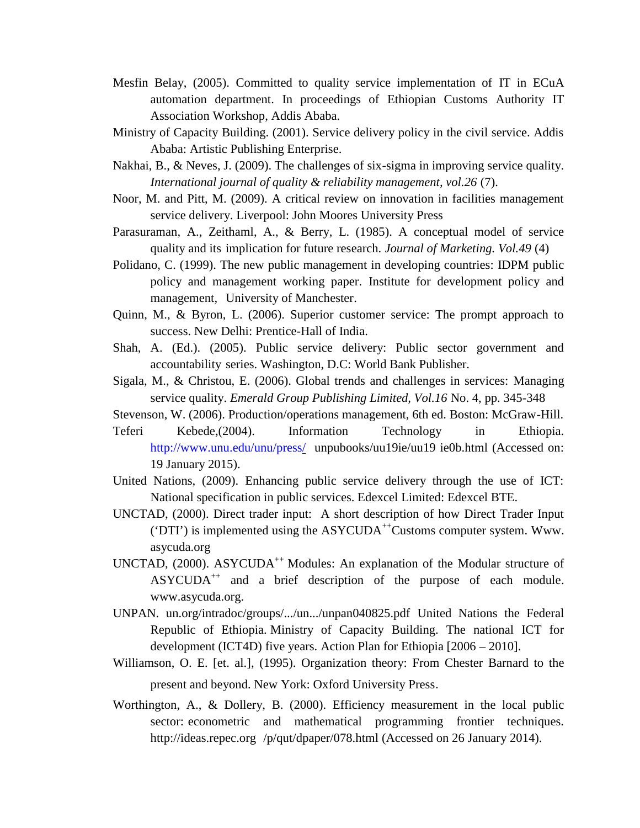- Mesfin Belay, (2005). Committed to quality service implementation of IT in ECuA automation department. In proceedings of Ethiopian Customs Authority IT Association Workshop, Addis Ababa.
- Ministry of Capacity Building. (2001). Service delivery policy in the civil service. Addis Ababa: Artistic Publishing Enterprise.
- Nakhai, B., & Neves, J. (2009). The challenges of six-sigma in improving service quality. *International journal of quality & reliability management, vol.26* (7).
- Noor, M. and Pitt, M. (2009). A critical review on innovation in facilities management service delivery. Liverpool: John Moores University Press
- Parasuraman, A., Zeithaml, A., & Berry, L. (1985). A conceptual model of service quality and its implication for future research. *Journal of Marketing. Vol.49* (4)
- Polidano, C. (1999). The new public management in developing countries: IDPM public policy and management working paper. Institute for development policy and management, University of Manchester.
- Quinn, M., & Byron, L. (2006). Superior customer service: The prompt approach to success. New Delhi: Prentice-Hall of India.
- Shah, A. (Ed.). (2005). Public service delivery: Public sector government and accountability series. Washington, D.C: World Bank Publisher.
- Sigala, M., & Christou, E. (2006). Global trends and challenges in services: Managing service quality. *Emerald Group Publishing Limited, Vol.16* No. 4, pp. 345-348
- Stevenson, W. (2006). Production/operations management, 6th ed. Boston: McGraw-Hill.
- Teferi Kebede,(2004). Information Technology in Ethiopia. http://www.unu.edu/unu/press/ unpubooks/uu19ie/uu19 ie0b.html (Accessed on: 19 January 2015).
- United Nations, (2009). Enhancing public service delivery through the use of ICT: National specification in public services. Edexcel Limited: Edexcel BTE.
- UNCTAD, (2000). Direct trader input: A short description of how Direct Trader Input ('DTI') is implemented using the  $\text{ASYCUDA}^{++}\text{Customs computer system}$ . Www. asycuda.org
- UNCTAD, (2000). ASYCUDA<sup>++</sup> Modules: An explanation of the Modular structure of ASYCUDA<sup>++</sup> and a brief description of the purpose of each module. www.asycuda.org.
- UNPAN. un.org/intradoc/groups/.../un.../unpan040825.pdf United Nations the Federal Republic of Ethiopia. Ministry of Capacity Building. The national ICT for development (ICT4D) five years. Action Plan for Ethiopia [2006 – 2010].
- Williamson, O. E. [et. al.], (1995). Organization theory: From Chester Barnard to the present and beyond. New York: Oxford University Press.
- Worthington, A., & Dollery, B. (2000). Efficiency measurement in the local public sector: econometric and mathematical programming frontier techniques. http://ideas.repec.org /p/qut/dpaper/078.html (Accessed on 26 January 2014).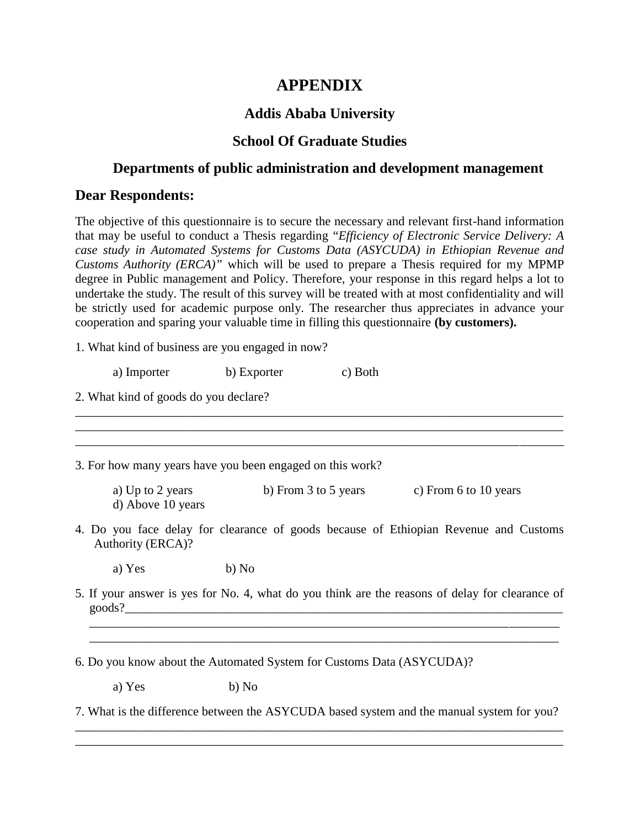## **APPENDIX**

## **Addis Ababa University**

### **School Of Graduate Studies**

## **Departments of public administration and development management**

### **Dear Respondents:**

The objective of this questionnaire is to secure the necessary and relevant first-hand information that may be useful to conduct a Thesis regarding "*Efficiency of Electronic Service Delivery: A case study in Automated Systems for Customs Data (ASYCUDA) in Ethiopian Revenue and Customs Authority (ERCA)"* which will be used to prepare a Thesis required for my MPMP degree in Public management and Policy. Therefore, your response in this regard helps a lot to undertake the study. The result of this survey will be treated with at most confidentiality and will be strictly used for academic purpose only. The researcher thus appreciates in advance your cooperation and sparing your valuable time in filling this questionnaire **(by customers).**

1. What kind of business are you engaged in now?

a) Importer b) Exporter c) Both

2. What kind of goods do you declare?

3. For how many years have you been engaged on this work?

a) Up to 2 years b) From 3 to 5 years c) From 6 to 10 years d) Above 10 years

\_\_\_\_\_\_\_\_\_\_\_\_\_\_\_\_\_\_\_\_\_\_\_\_\_\_\_\_\_\_\_\_\_\_\_\_\_\_\_\_\_\_\_\_\_\_\_\_\_\_\_\_\_\_\_\_\_\_\_\_\_\_\_\_\_\_\_\_\_\_\_\_\_\_\_\_\_\_ \_\_\_\_\_\_\_\_\_\_\_\_\_\_\_\_\_\_\_\_\_\_\_\_\_\_\_\_\_\_\_\_\_\_\_\_\_\_\_\_\_\_\_\_\_\_\_\_\_\_\_\_\_\_\_\_\_\_\_\_\_\_\_\_\_\_\_\_\_\_\_\_\_\_\_\_\_\_

4. Do you face delay for clearance of goods because of Ethiopian Revenue and Customs Authority (ERCA)?

a) Yes b) No

5. If your answer is yes for No. 4, what do you think are the reasons of delay for clearance of  $\geq$   $\geq$   $\geq$   $\geq$   $\geq$   $\geq$   $\geq$   $\geq$   $\geq$   $\geq$   $\geq$   $\geq$   $\geq$   $\geq$   $\geq$   $\geq$   $\geq$   $\geq$   $\geq$   $\geq$   $\geq$   $\geq$   $\geq$   $\geq$   $\geq$   $\geq$   $\geq$   $\geq$   $\geq$   $\geq$   $\geq$   $\geq$   $\geq$   $\geq$   $\geq$   $\geq$   $\geq$ 

\_\_\_\_\_\_\_\_\_\_\_\_\_\_\_\_\_\_\_\_\_\_\_\_\_\_\_\_\_\_\_\_\_\_\_\_\_\_\_\_\_\_\_\_\_\_\_\_\_\_\_\_\_\_\_\_\_\_\_\_\_\_\_\_\_\_\_\_\_\_\_\_\_\_\_ \_\_\_\_\_\_\_\_\_\_\_\_\_\_\_\_\_\_\_\_\_\_\_\_\_\_\_\_\_\_\_\_\_\_\_\_\_\_\_\_\_\_\_\_\_\_\_\_\_\_\_\_\_\_\_\_\_\_\_\_\_\_\_\_\_\_\_\_\_\_\_\_\_\_\_

\_\_\_\_\_\_\_\_\_\_\_\_\_\_\_\_\_\_\_\_\_\_\_\_\_\_\_\_\_\_\_\_\_\_\_\_\_\_\_\_\_\_\_\_\_\_\_\_\_\_\_\_\_\_\_\_\_\_\_\_\_\_\_\_\_\_\_\_\_\_\_\_\_\_\_\_\_\_

6. Do you know about the Automated System for Customs Data (ASYCUDA)?

a)  $Yes$  b)  $No$ 

7. What is the difference between the ASYCUDA based system and the manual system for you?

\_\_\_\_\_\_\_\_\_\_\_\_\_\_\_\_\_\_\_\_\_\_\_\_\_\_\_\_\_\_\_\_\_\_\_\_\_\_\_\_\_\_\_\_\_\_\_\_\_\_\_\_\_\_\_\_\_\_\_\_\_\_\_\_\_\_\_\_\_\_\_\_\_\_\_\_\_\_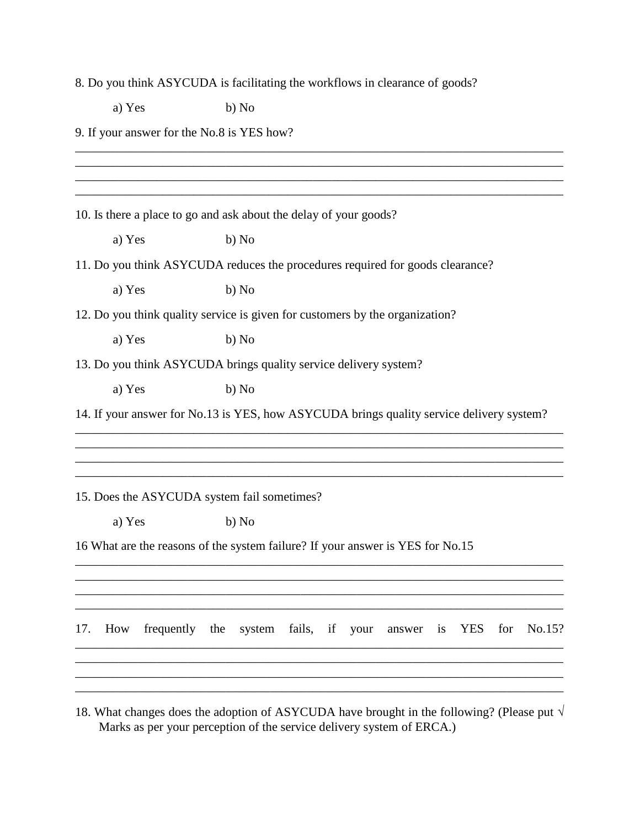8. Do you think ASYCUDA is facilitating the workflows in clearance of goods?

a) Yes b) No

9. If your answer for the No.8 is YES how?

\_\_\_\_\_\_\_\_\_\_\_\_\_\_\_\_\_\_\_\_\_\_\_\_\_\_\_\_\_\_\_\_\_\_\_\_\_\_\_\_\_\_\_\_\_\_\_\_\_\_\_\_\_\_\_\_\_\_\_\_\_\_\_\_\_\_\_\_\_\_\_\_\_\_\_\_\_\_  $\mathcal{L}_\mathcal{L} = \mathcal{L}_\mathcal{L} = \mathcal{L}_\mathcal{L} = \mathcal{L}_\mathcal{L} = \mathcal{L}_\mathcal{L} = \mathcal{L}_\mathcal{L} = \mathcal{L}_\mathcal{L} = \mathcal{L}_\mathcal{L} = \mathcal{L}_\mathcal{L} = \mathcal{L}_\mathcal{L} = \mathcal{L}_\mathcal{L} = \mathcal{L}_\mathcal{L} = \mathcal{L}_\mathcal{L} = \mathcal{L}_\mathcal{L} = \mathcal{L}_\mathcal{L} = \mathcal{L}_\mathcal{L} = \mathcal{L}_\mathcal{L}$ \_\_\_\_\_\_\_\_\_\_\_\_\_\_\_\_\_\_\_\_\_\_\_\_\_\_\_\_\_\_\_\_\_\_\_\_\_\_\_\_\_\_\_\_\_\_\_\_\_\_\_\_\_\_\_\_\_\_\_\_\_\_\_\_\_\_\_\_\_\_\_\_\_\_\_\_\_\_ 10. Is there a place to go and ask about the delay of your goods? a) Yes b) No 11. Do you think ASYCUDA reduces the procedures required for goods clearance? a) Yes b)  $No$ 12. Do you think quality service is given for customers by the organization? a) Yes b) No 13. Do you think ASYCUDA brings quality service delivery system? a) Yes b) No 14. If your answer for No.13 is YES, how ASYCUDA brings quality service delivery system? \_\_\_\_\_\_\_\_\_\_\_\_\_\_\_\_\_\_\_\_\_\_\_\_\_\_\_\_\_\_\_\_\_\_\_\_\_\_\_\_\_\_\_\_\_\_\_\_\_\_\_\_\_\_\_\_\_\_\_\_\_\_\_\_\_\_\_\_\_\_\_\_\_\_\_\_\_\_ \_\_\_\_\_\_\_\_\_\_\_\_\_\_\_\_\_\_\_\_\_\_\_\_\_\_\_\_\_\_\_\_\_\_\_\_\_\_\_\_\_\_\_\_\_\_\_\_\_\_\_\_\_\_\_\_\_\_\_\_\_\_\_\_\_\_\_\_\_\_\_\_\_\_\_\_\_\_ \_\_\_\_\_\_\_\_\_\_\_\_\_\_\_\_\_\_\_\_\_\_\_\_\_\_\_\_\_\_\_\_\_\_\_\_\_\_\_\_\_\_\_\_\_\_\_\_\_\_\_\_\_\_\_\_\_\_\_\_\_\_\_\_\_\_\_\_\_\_\_\_\_\_\_\_\_\_ \_\_\_\_\_\_\_\_\_\_\_\_\_\_\_\_\_\_\_\_\_\_\_\_\_\_\_\_\_\_\_\_\_\_\_\_\_\_\_\_\_\_\_\_\_\_\_\_\_\_\_\_\_\_\_\_\_\_\_\_\_\_\_\_\_\_\_\_\_\_\_\_\_\_\_\_\_\_ 15. Does the ASYCUDA system fail sometimes? a) Yes b) No 16 What are the reasons of the system failure? If your answer is YES for No.15 \_\_\_\_\_\_\_\_\_\_\_\_\_\_\_\_\_\_\_\_\_\_\_\_\_\_\_\_\_\_\_\_\_\_\_\_\_\_\_\_\_\_\_\_\_\_\_\_\_\_\_\_\_\_\_\_\_\_\_\_\_\_\_\_\_\_\_\_\_\_\_\_\_\_\_\_\_\_ \_\_\_\_\_\_\_\_\_\_\_\_\_\_\_\_\_\_\_\_\_\_\_\_\_\_\_\_\_\_\_\_\_\_\_\_\_\_\_\_\_\_\_\_\_\_\_\_\_\_\_\_\_\_\_\_\_\_\_\_\_\_\_\_\_\_\_\_\_\_\_\_\_\_\_\_\_\_ \_\_\_\_\_\_\_\_\_\_\_\_\_\_\_\_\_\_\_\_\_\_\_\_\_\_\_\_\_\_\_\_\_\_\_\_\_\_\_\_\_\_\_\_\_\_\_\_\_\_\_\_\_\_\_\_\_\_\_\_\_\_\_\_\_\_\_\_\_\_\_\_\_\_\_\_\_\_ \_\_\_\_\_\_\_\_\_\_\_\_\_\_\_\_\_\_\_\_\_\_\_\_\_\_\_\_\_\_\_\_\_\_\_\_\_\_\_\_\_\_\_\_\_\_\_\_\_\_\_\_\_\_\_\_\_\_\_\_\_\_\_\_\_\_\_\_\_\_\_\_\_\_\_\_\_\_ 17. How frequently the system fails, if your answer is YES for No.15? \_\_\_\_\_\_\_\_\_\_\_\_\_\_\_\_\_\_\_\_\_\_\_\_\_\_\_\_\_\_\_\_\_\_\_\_\_\_\_\_\_\_\_\_\_\_\_\_\_\_\_\_\_\_\_\_\_\_\_\_\_\_\_\_\_\_\_\_\_\_\_\_\_\_\_\_\_\_ \_\_\_\_\_\_\_\_\_\_\_\_\_\_\_\_\_\_\_\_\_\_\_\_\_\_\_\_\_\_\_\_\_\_\_\_\_\_\_\_\_\_\_\_\_\_\_\_\_\_\_\_\_\_\_\_\_\_\_\_\_\_\_\_\_\_\_\_\_\_\_\_\_\_\_\_\_\_  $\mathcal{L}_\mathcal{L} = \mathcal{L}_\mathcal{L} = \mathcal{L}_\mathcal{L} = \mathcal{L}_\mathcal{L} = \mathcal{L}_\mathcal{L} = \mathcal{L}_\mathcal{L} = \mathcal{L}_\mathcal{L} = \mathcal{L}_\mathcal{L} = \mathcal{L}_\mathcal{L} = \mathcal{L}_\mathcal{L} = \mathcal{L}_\mathcal{L} = \mathcal{L}_\mathcal{L} = \mathcal{L}_\mathcal{L} = \mathcal{L}_\mathcal{L} = \mathcal{L}_\mathcal{L} = \mathcal{L}_\mathcal{L} = \mathcal{L}_\mathcal{L}$ \_\_\_\_\_\_\_\_\_\_\_\_\_\_\_\_\_\_\_\_\_\_\_\_\_\_\_\_\_\_\_\_\_\_\_\_\_\_\_\_\_\_\_\_\_\_\_\_\_\_\_\_\_\_\_\_\_\_\_\_\_\_\_\_\_\_\_\_\_\_\_\_\_\_\_\_\_\_

 $\mathcal{L}_\mathcal{A} = \mathcal{L}_\mathcal{A} = \mathcal{L}_\mathcal{A} = \mathcal{L}_\mathcal{A} = \mathcal{L}_\mathcal{A} = \mathcal{L}_\mathcal{A} = \mathcal{L}_\mathcal{A} = \mathcal{L}_\mathcal{A} = \mathcal{L}_\mathcal{A} = \mathcal{L}_\mathcal{A} = \mathcal{L}_\mathcal{A} = \mathcal{L}_\mathcal{A} = \mathcal{L}_\mathcal{A} = \mathcal{L}_\mathcal{A} = \mathcal{L}_\mathcal{A} = \mathcal{L}_\mathcal{A} = \mathcal{L}_\mathcal{A}$ 

18. What changes does the adoption of ASYCUDA have brought in the following? (Please put  $\sqrt{ }$ Marks as per your perception of the service delivery system of ERCA.)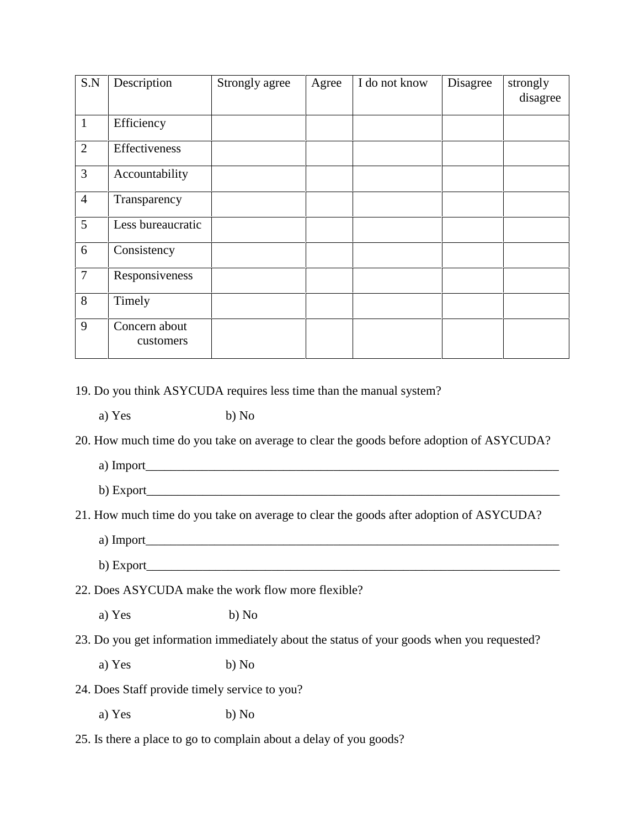| S.N            | Description                | Strongly agree | Agree | I do not know | Disagree | strongly<br>disagree |
|----------------|----------------------------|----------------|-------|---------------|----------|----------------------|
| $\mathbf{1}$   | Efficiency                 |                |       |               |          |                      |
| $\overline{2}$ | Effectiveness              |                |       |               |          |                      |
| $\overline{3}$ | Accountability             |                |       |               |          |                      |
| $\overline{4}$ | Transparency               |                |       |               |          |                      |
| 5              | Less bureaucratic          |                |       |               |          |                      |
| 6              | Consistency                |                |       |               |          |                      |
| $\overline{7}$ | Responsiveness             |                |       |               |          |                      |
| 8              | Timely                     |                |       |               |          |                      |
| 9              | Concern about<br>customers |                |       |               |          |                      |

19. Do you think ASYCUDA requires less time than the manual system?

a) Yes b) No

20. How much time do you take on average to clear the goods before adoption of ASYCUDA?

a) Import\_\_\_\_\_\_\_\_\_\_\_\_\_\_\_\_\_\_\_\_\_\_\_\_\_\_\_\_\_\_\_\_\_\_\_\_\_\_\_\_\_\_\_\_\_\_\_\_\_\_\_\_\_\_\_\_\_\_\_\_\_\_\_\_\_\_

b) Export

21. How much time do you take on average to clear the goods after adoption of ASYCUDA?

- a) Import\_\_\_\_\_\_\_\_\_\_\_\_\_\_\_\_\_\_\_\_\_\_\_\_\_\_\_\_\_\_\_\_\_\_\_\_\_\_\_\_\_\_\_\_\_\_\_\_\_\_\_\_\_\_\_\_\_\_\_\_\_\_\_\_\_\_
- b) Export\_\_\_\_\_\_\_\_\_\_\_\_\_\_\_\_\_\_\_\_\_\_\_\_\_\_\_\_\_\_\_\_\_\_\_\_\_\_\_\_\_\_\_\_\_\_\_\_\_\_\_\_\_\_\_\_\_\_\_\_\_\_\_\_\_\_

22. Does ASYCUDA make the work flow more flexible?

a) Yes b) No

23. Do you get information immediately about the status of your goods when you requested?

a) Yes b) No

24. Does Staff provide timely service to you?

a) Yes b) No

25. Is there a place to go to complain about a delay of you goods?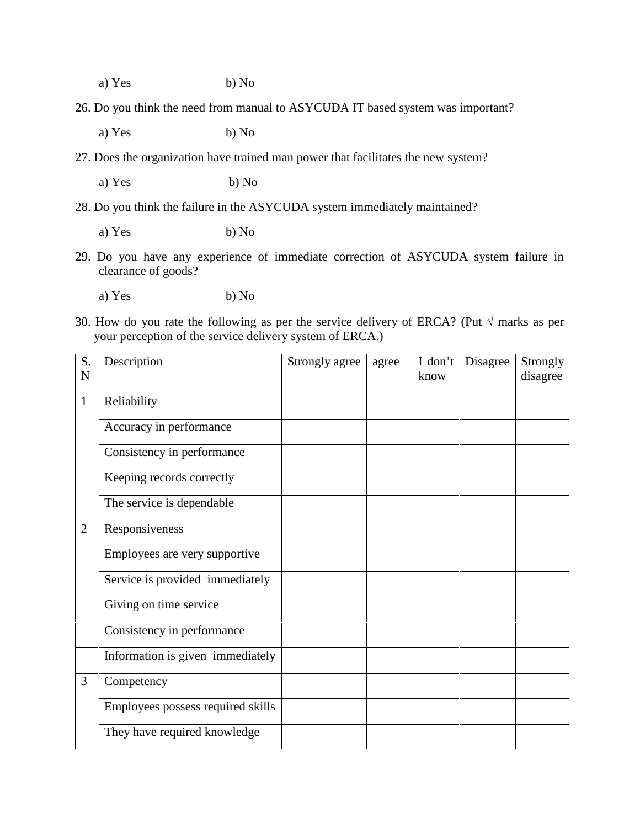a) Yes b) No

26. Do you think the need from manual to ASYCUDA IT based system was important?

a) Yes b) No

27. Does the organization have trained man power that facilitates the new system?

a) Yes b) No

28. Do you think the failure in the ASYCUDA system immediately maintained?

a) Yes b) No

29. Do you have any experience of immediate correction of ASYCUDA system failure in clearance of goods?

a) Yes b) No

30. How do you rate the following as per the service delivery of ERCA? (Put  $\sqrt{ }$  marks as per your perception of the service delivery system of ERCA.)

| S.<br>$\mathbf N$ | Description                       | Strongly agree | agree | I don't<br>know | Disagree | Strongly<br>disagree |
|-------------------|-----------------------------------|----------------|-------|-----------------|----------|----------------------|
| $\mathbf{1}$      | Reliability                       |                |       |                 |          |                      |
|                   | Accuracy in performance           |                |       |                 |          |                      |
|                   | Consistency in performance        |                |       |                 |          |                      |
|                   | Keeping records correctly         |                |       |                 |          |                      |
|                   | The service is dependable         |                |       |                 |          |                      |
| $\overline{2}$    | Responsiveness                    |                |       |                 |          |                      |
|                   | Employees are very supportive     |                |       |                 |          |                      |
|                   | Service is provided immediately   |                |       |                 |          |                      |
|                   | Giving on time service            |                |       |                 |          |                      |
|                   | Consistency in performance        |                |       |                 |          |                      |
|                   | Information is given immediately  |                |       |                 |          |                      |
| 3                 | Competency                        |                |       |                 |          |                      |
|                   | Employees possess required skills |                |       |                 |          |                      |
|                   | They have required knowledge      |                |       |                 |          |                      |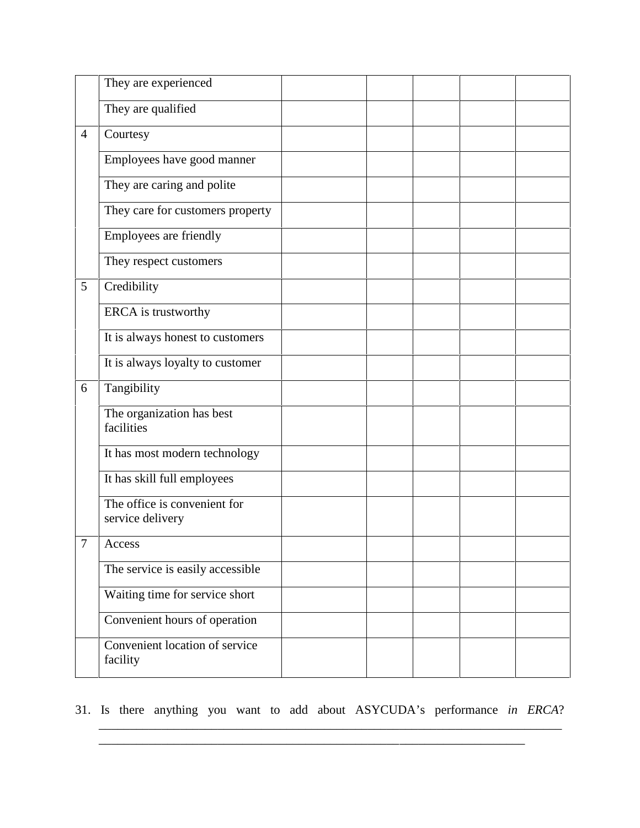|                | They are experienced                             |  |  |  |
|----------------|--------------------------------------------------|--|--|--|
|                | They are qualified                               |  |  |  |
| $\overline{4}$ | Courtesy                                         |  |  |  |
|                | Employees have good manner                       |  |  |  |
|                | They are caring and polite                       |  |  |  |
|                | They care for customers property                 |  |  |  |
|                | Employees are friendly                           |  |  |  |
|                | They respect customers                           |  |  |  |
| 5              | Credibility                                      |  |  |  |
|                | ERCA is trustworthy                              |  |  |  |
|                | It is always honest to customers                 |  |  |  |
|                | It is always loyalty to customer                 |  |  |  |
| 6              | Tangibility                                      |  |  |  |
|                | The organization has best<br>facilities          |  |  |  |
|                | It has most modern technology                    |  |  |  |
|                | It has skill full employees                      |  |  |  |
|                | The office is convenient for<br>service delivery |  |  |  |
| $\tau$         | Access                                           |  |  |  |
|                | The service is easily accessible                 |  |  |  |
|                | Waiting time for service short                   |  |  |  |
|                | Convenient hours of operation                    |  |  |  |
|                | Convenient location of service<br>facility       |  |  |  |

31. Is there anything you want to add about ASYCUDA's performance *in ERCA*?

\_\_\_\_\_\_\_\_\_\_\_\_\_\_\_\_\_\_\_\_\_\_\_\_\_\_\_\_\_\_\_\_\_\_\_\_\_\_\_\_\_\_\_\_\_\_\_\_\_\_\_\_\_\_\_\_\_\_\_\_\_\_\_\_\_\_\_\_\_\_\_\_\_\_

\_\_\_\_\_\_\_\_\_\_\_\_\_\_\_\_\_\_\_\_\_\_\_\_\_\_\_\_\_\_\_\_\_\_\_\_\_\_\_\_\_\_\_\_\_\_\_\_\_\_\_\_\_\_\_\_\_\_\_\_\_\_\_\_\_\_\_\_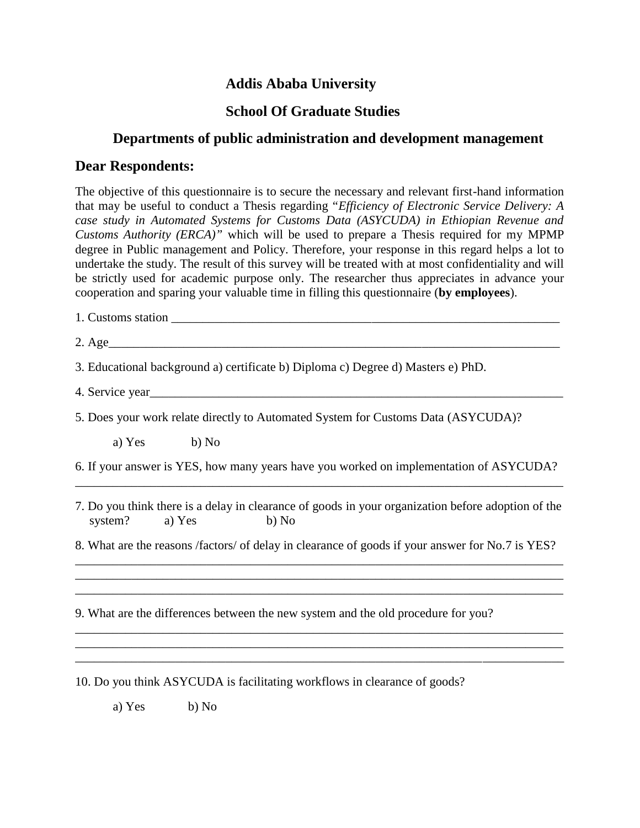### **Addis Ababa University**

### **School Of Graduate Studies**

### **Departments of public administration and development management**

#### **Dear Respondents:**

The objective of this questionnaire is to secure the necessary and relevant first-hand information that may be useful to conduct a Thesis regarding "*Efficiency of Electronic Service Delivery: A case study in Automated Systems for Customs Data (ASYCUDA) in Ethiopian Revenue and Customs Authority (ERCA)"* which will be used to prepare a Thesis required for my MPMP degree in Public management and Policy. Therefore, your response in this regard helps a lot to undertake the study. The result of this survey will be treated with at most confidentiality and will be strictly used for academic purpose only. The researcher thus appreciates in advance your cooperation and sparing your valuable time in filling this questionnaire (**by employees**).

- 1. Customs station
- 2. Age

3. Educational background a) certificate b) Diploma c) Degree d) Masters e) PhD.

4. Service year

5. Does your work relate directly to Automated System for Customs Data (ASYCUDA)?

a) Yes b) No

6. If your answer is YES, how many years have you worked on implementation of ASYCUDA?

\_\_\_\_\_\_\_\_\_\_\_\_\_\_\_\_\_\_\_\_\_\_\_\_\_\_\_\_\_\_\_\_\_\_\_\_\_\_\_\_\_\_\_\_\_\_\_\_\_\_\_\_\_\_\_\_\_\_\_\_\_\_\_\_\_\_\_\_\_\_\_\_\_\_\_\_\_\_

\_\_\_\_\_\_\_\_\_\_\_\_\_\_\_\_\_\_\_\_\_\_\_\_\_\_\_\_\_\_\_\_\_\_\_\_\_\_\_\_\_\_\_\_\_\_\_\_\_\_\_\_\_\_\_\_\_\_\_\_\_\_\_\_\_\_\_\_\_\_\_\_\_\_\_\_\_\_ \_\_\_\_\_\_\_\_\_\_\_\_\_\_\_\_\_\_\_\_\_\_\_\_\_\_\_\_\_\_\_\_\_\_\_\_\_\_\_\_\_\_\_\_\_\_\_\_\_\_\_\_\_\_\_\_\_\_\_\_\_\_\_\_\_\_\_\_\_\_\_\_\_\_\_\_\_\_ \_\_\_\_\_\_\_\_\_\_\_\_\_\_\_\_\_\_\_\_\_\_\_\_\_\_\_\_\_\_\_\_\_\_\_\_\_\_\_\_\_\_\_\_\_\_\_\_\_\_\_\_\_\_\_\_\_\_\_\_\_\_\_\_\_\_\_\_\_\_\_\_\_\_\_\_\_\_

\_\_\_\_\_\_\_\_\_\_\_\_\_\_\_\_\_\_\_\_\_\_\_\_\_\_\_\_\_\_\_\_\_\_\_\_\_\_\_\_\_\_\_\_\_\_\_\_\_\_\_\_\_\_\_\_\_\_\_\_\_\_\_\_\_\_\_\_\_\_\_\_\_\_\_\_\_\_ \_\_\_\_\_\_\_\_\_\_\_\_\_\_\_\_\_\_\_\_\_\_\_\_\_\_\_\_\_\_\_\_\_\_\_\_\_\_\_\_\_\_\_\_\_\_\_\_\_\_\_\_\_\_\_\_\_\_\_\_\_\_\_\_\_\_\_\_\_\_\_\_\_\_\_\_\_\_ \_\_\_\_\_\_\_\_\_\_\_\_\_\_\_\_\_\_\_\_\_\_\_\_\_\_\_\_\_\_\_\_\_\_\_\_\_\_\_\_\_\_\_\_\_\_\_\_\_\_\_\_\_\_\_\_\_\_\_\_\_\_\_\_\_\_\_\_\_\_\_\_\_\_\_\_\_\_

- 7. Do you think there is a delay in clearance of goods in your organization before adoption of the system? a) Yes b) No
- 8. What are the reasons /factors/ of delay in clearance of goods if your answer for No.7 is YES?

9. What are the differences between the new system and the old procedure for you?

10. Do you think ASYCUDA is facilitating workflows in clearance of goods?

a) Yes b) No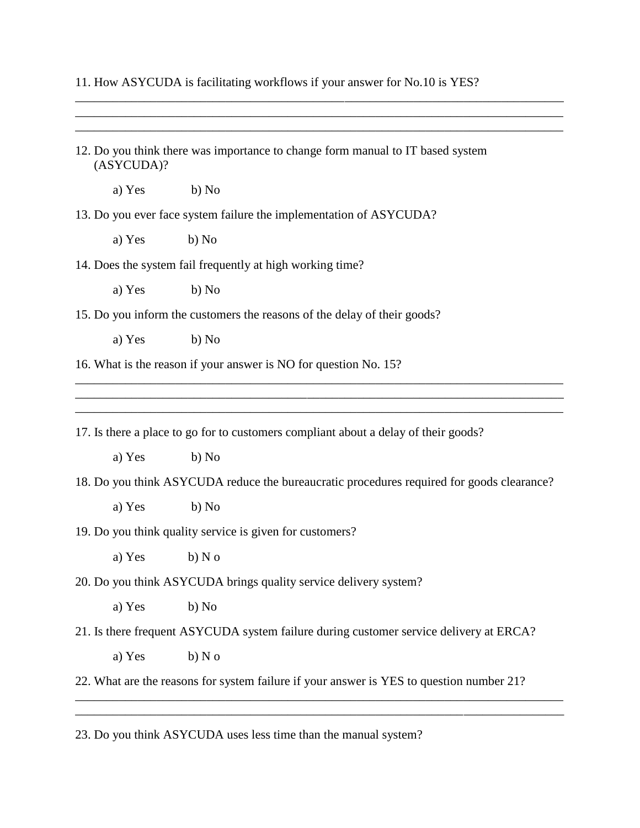11. How ASYCUDA is facilitating workflows if your answer for No.10 is YES?

\_\_\_\_\_\_\_\_\_\_\_\_\_\_\_\_\_\_\_\_\_\_\_\_\_\_\_\_\_\_\_\_\_\_\_\_\_\_\_\_\_\_\_\_\_\_\_\_\_\_\_\_\_\_\_\_\_\_\_\_\_\_\_\_\_\_\_\_\_\_\_\_\_\_\_\_\_\_ \_\_\_\_\_\_\_\_\_\_\_\_\_\_\_\_\_\_\_\_\_\_\_\_\_\_\_\_\_\_\_\_\_\_\_\_\_\_\_\_\_\_\_\_\_\_\_\_\_\_\_\_\_\_\_\_\_\_\_\_\_\_\_\_\_\_\_\_\_\_\_\_\_\_\_\_\_\_

| (ASYCUDA)? | 12. Do you think there was importance to change form manual to IT based system            |
|------------|-------------------------------------------------------------------------------------------|
| a) Yes     | b) No                                                                                     |
|            | 13. Do you ever face system failure the implementation of ASYCUDA?                        |
| a) Yes     | b) No                                                                                     |
|            | 14. Does the system fail frequently at high working time?                                 |
| a) Yes     | b) No                                                                                     |
|            | 15. Do you inform the customers the reasons of the delay of their goods?                  |
| a) Yes     | b) No                                                                                     |
|            | 16. What is the reason if your answer is NO for question No. 15?                          |
|            |                                                                                           |
|            |                                                                                           |
|            | 17. Is there a place to go for to customers compliant about a delay of their goods?       |
| a) Yes     | b) No                                                                                     |
|            | 18. Do you think ASYCUDA reduce the bureaucratic procedures required for goods clearance? |
|            |                                                                                           |
| a) Yes     | b) No                                                                                     |
|            | 19. Do you think quality service is given for customers?                                  |
| a) Yes     | $b)$ N $o$                                                                                |
|            | 20. Do you think ASYCUDA brings quality service delivery system?                          |
| a) Yes     | b) No                                                                                     |
|            | 21. Is there frequent ASYCUDA system failure during customer service delivery at ERCA?    |
| a) Yes     | $b)$ N $o$                                                                                |

23. Do you think ASYCUDA uses less time than the manual system?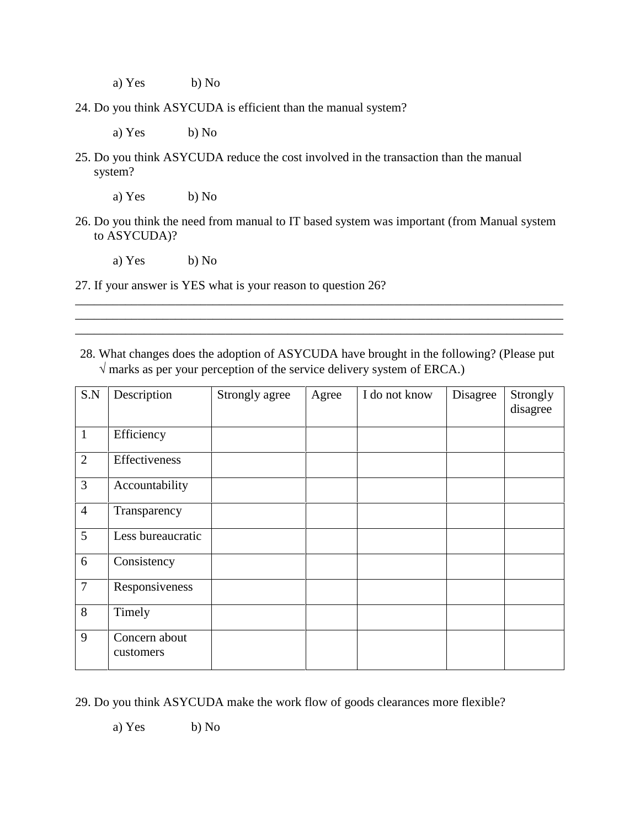a) Yes b) No

24. Do you think ASYCUDA is efficient than the manual system?

a) Yes b) No

25. Do you think ASYCUDA reduce the cost involved in the transaction than the manual system?

a) Yes b) No

26. Do you think the need from manual to IT based system was important (from Manual system to ASYCUDA)?

a) Yes b) No

27. If your answer is YES what is your reason to question 26?

28. What changes does the adoption of ASYCUDA have brought in the following? (Please put  $\sqrt{\overline{m}}$  marks as per your perception of the service delivery system of ERCA.)

\_\_\_\_\_\_\_\_\_\_\_\_\_\_\_\_\_\_\_\_\_\_\_\_\_\_\_\_\_\_\_\_\_\_\_\_\_\_\_\_\_\_\_\_\_\_\_\_\_\_\_\_\_\_\_\_\_\_\_\_\_\_\_\_\_\_\_\_\_\_\_\_\_\_\_\_\_\_ \_\_\_\_\_\_\_\_\_\_\_\_\_\_\_\_\_\_\_\_\_\_\_\_\_\_\_\_\_\_\_\_\_\_\_\_\_\_\_\_\_\_\_\_\_\_\_\_\_\_\_\_\_\_\_\_\_\_\_\_\_\_\_\_\_\_\_\_\_\_\_\_\_\_\_\_\_\_ \_\_\_\_\_\_\_\_\_\_\_\_\_\_\_\_\_\_\_\_\_\_\_\_\_\_\_\_\_\_\_\_\_\_\_\_\_\_\_\_\_\_\_\_\_\_\_\_\_\_\_\_\_\_\_\_\_\_\_\_\_\_\_\_\_\_\_\_\_\_\_\_\_\_\_\_\_\_

| S.N            | Description                | Strongly agree | Agree | I do not know | Disagree | Strongly<br>disagree |
|----------------|----------------------------|----------------|-------|---------------|----------|----------------------|
| $\mathbf{1}$   | Efficiency                 |                |       |               |          |                      |
| $\overline{2}$ | Effectiveness              |                |       |               |          |                      |
| $\overline{3}$ | Accountability             |                |       |               |          |                      |
| $\overline{4}$ | Transparency               |                |       |               |          |                      |
| 5              | Less bureaucratic          |                |       |               |          |                      |
| 6              | Consistency                |                |       |               |          |                      |
| $\overline{7}$ | Responsiveness             |                |       |               |          |                      |
| 8              | Timely                     |                |       |               |          |                      |
| 9              | Concern about<br>customers |                |       |               |          |                      |

29. Do you think ASYCUDA make the work flow of goods clearances more flexible?

a) Yes b) No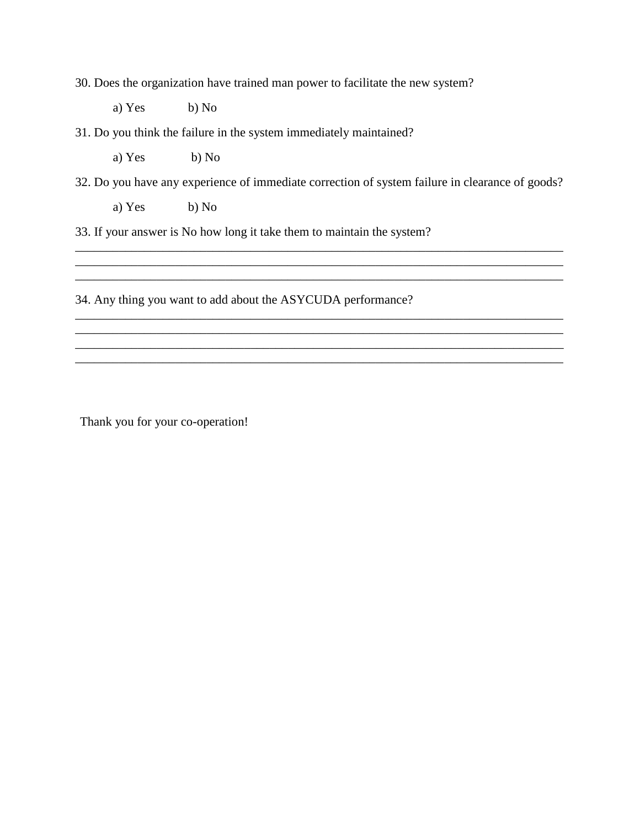30. Does the organization have trained man power to facilitate the new system?

a) Yes b) No

31. Do you think the failure in the system immediately maintained?

a) Yes b) No

32. Do you have any experience of immediate correction of system failure in clearance of goods?

\_\_\_\_\_\_\_\_\_\_\_\_\_\_\_\_\_\_\_\_\_\_\_\_\_\_\_\_\_\_\_\_\_\_\_\_\_\_\_\_\_\_\_\_\_\_\_\_\_\_\_\_\_\_\_\_\_\_\_\_\_\_\_\_\_\_\_\_\_\_\_\_\_\_\_\_\_\_

\_\_\_\_\_\_\_\_\_\_\_\_\_\_\_\_\_\_\_\_\_\_\_\_\_\_\_\_\_\_\_\_\_\_\_\_\_\_\_\_\_\_\_\_\_\_\_\_\_\_\_\_\_\_\_\_\_\_\_\_\_\_\_\_\_\_\_\_\_\_\_\_\_\_\_\_\_\_ \_\_\_\_\_\_\_\_\_\_\_\_\_\_\_\_\_\_\_\_\_\_\_\_\_\_\_\_\_\_\_\_\_\_\_\_\_\_\_\_\_\_\_\_\_\_\_\_\_\_\_\_\_\_\_\_\_\_\_\_\_\_\_\_\_\_\_\_\_\_\_\_\_\_\_\_\_\_ \_\_\_\_\_\_\_\_\_\_\_\_\_\_\_\_\_\_\_\_\_\_\_\_\_\_\_\_\_\_\_\_\_\_\_\_\_\_\_\_\_\_\_\_\_\_\_\_\_\_\_\_\_\_\_\_\_\_\_\_\_\_\_\_\_\_\_\_\_\_\_\_\_\_\_\_\_\_

\_\_\_\_\_\_\_\_\_\_\_\_\_\_\_\_\_\_\_\_\_\_\_\_\_\_\_\_\_\_\_\_\_\_\_\_\_\_\_\_\_\_\_\_\_\_\_\_\_\_\_\_\_\_\_\_\_\_\_\_\_\_\_\_\_\_\_\_\_\_\_\_\_\_\_\_\_\_

\_\_\_\_\_\_\_\_\_\_\_\_\_\_\_\_\_\_\_\_\_\_\_\_\_\_\_\_\_\_\_\_\_\_\_\_\_\_\_\_\_\_\_\_\_\_\_\_\_\_\_\_\_\_\_\_\_\_\_\_\_\_\_\_\_\_\_\_\_\_\_\_\_\_\_\_\_\_

a) Yes b) No

33. If your answer is No how long it take them to maintain the system?

34. Any thing you want to add about the ASYCUDA performance?

Thank you for your co-operation!